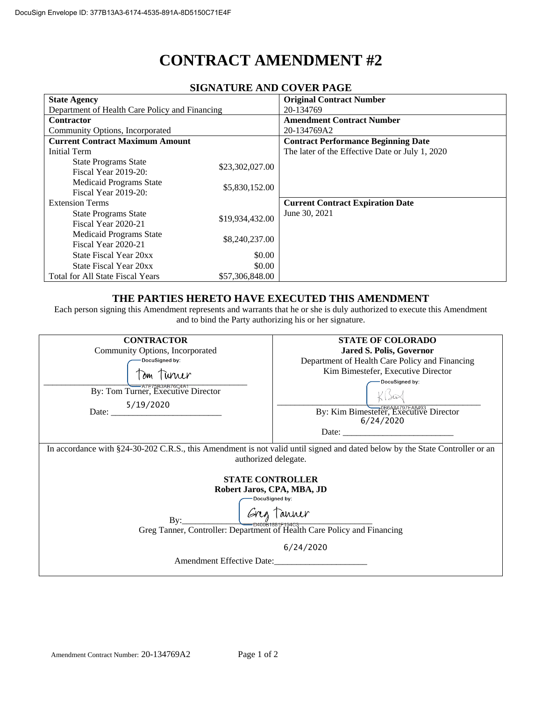# **CONTRACT AMENDMENT #2**

| SIGNATUNE AND COVERTAGE                                |                 |                                                 |  |  |
|--------------------------------------------------------|-----------------|-------------------------------------------------|--|--|
| <b>State Agency</b>                                    |                 | <b>Original Contract Number</b>                 |  |  |
| Department of Health Care Policy and Financing         |                 | 20-134769                                       |  |  |
| <b>Contractor</b>                                      |                 | <b>Amendment Contract Number</b>                |  |  |
| Community Options, Incorporated                        |                 | 20-134769A2                                     |  |  |
| <b>Current Contract Maximum Amount</b>                 |                 | <b>Contract Performance Beginning Date</b>      |  |  |
| Initial Term                                           |                 | The later of the Effective Date or July 1, 2020 |  |  |
| <b>State Programs State</b><br>Fiscal Year 2019-20:    | \$23,302,027.00 |                                                 |  |  |
| <b>Medicaid Programs State</b><br>Fiscal Year 2019-20: | \$5,830,152.00  |                                                 |  |  |
| <b>Extension Terms</b>                                 |                 | <b>Current Contract Expiration Date</b>         |  |  |
| <b>State Programs State</b><br>Fiscal Year 2020-21     | \$19,934,432.00 | June 30, 2021                                   |  |  |
| <b>Medicaid Programs State</b><br>Fiscal Year 2020-21  | \$8,240,237.00  |                                                 |  |  |
| State Fiscal Year 20xx                                 | \$0.00          |                                                 |  |  |
| State Fiscal Year 20xx                                 | \$0.00          |                                                 |  |  |
| <b>Total for All State Fiscal Years</b>                | \$57,306,848.00 |                                                 |  |  |

# **SIGNATURE AND COVER PAGE**

# **THE PARTIES HERETO HAVE EXECUTED THIS AMENDMENT**

Each person signing this Amendment represents and warrants that he or she is duly authorized to execute this Amendment and to bind the Party authorizing his or her signature.

| <b>CONTRACTOR</b>                                                                                                                                                                                                                                                                                                            | <b>STATE OF COLORADO</b>                                                                                                                                                                                                                                                                                                                                                                                      |  |
|------------------------------------------------------------------------------------------------------------------------------------------------------------------------------------------------------------------------------------------------------------------------------------------------------------------------------|---------------------------------------------------------------------------------------------------------------------------------------------------------------------------------------------------------------------------------------------------------------------------------------------------------------------------------------------------------------------------------------------------------------|--|
| Community Options, Incorporated                                                                                                                                                                                                                                                                                              | <b>Jared S. Polis, Governor</b>                                                                                                                                                                                                                                                                                                                                                                               |  |
| -DocuSigned by:                                                                                                                                                                                                                                                                                                              | Department of Health Care Policy and Financing                                                                                                                                                                                                                                                                                                                                                                |  |
| Tom Turner                                                                                                                                                                                                                                                                                                                   | Kim Bimestefer, Executive Director                                                                                                                                                                                                                                                                                                                                                                            |  |
|                                                                                                                                                                                                                                                                                                                              | DocuSigned by:                                                                                                                                                                                                                                                                                                                                                                                                |  |
| By: Tom Turner, Executive Director                                                                                                                                                                                                                                                                                           |                                                                                                                                                                                                                                                                                                                                                                                                               |  |
|                                                                                                                                                                                                                                                                                                                              |                                                                                                                                                                                                                                                                                                                                                                                                               |  |
| Date: $\frac{5/19/2020}{2}$                                                                                                                                                                                                                                                                                                  | By: Kim Bimestefer, Executive Director                                                                                                                                                                                                                                                                                                                                                                        |  |
|                                                                                                                                                                                                                                                                                                                              | 6/24/2020                                                                                                                                                                                                                                                                                                                                                                                                     |  |
|                                                                                                                                                                                                                                                                                                                              | Date: $\frac{1}{\sqrt{1-\frac{1}{2}}\sqrt{1-\frac{1}{2}}\sqrt{1-\frac{1}{2}}\sqrt{1-\frac{1}{2}}\sqrt{1-\frac{1}{2}}\sqrt{1-\frac{1}{2}}\sqrt{1-\frac{1}{2}}\sqrt{1-\frac{1}{2}}\sqrt{1-\frac{1}{2}}\sqrt{1-\frac{1}{2}}\sqrt{1-\frac{1}{2}}\sqrt{1-\frac{1}{2}}\sqrt{1-\frac{1}{2}}\sqrt{1-\frac{1}{2}}\sqrt{1-\frac{1}{2}}\sqrt{1-\frac{1}{2}}\sqrt{1-\frac{1}{2}}\sqrt{1-\frac{1}{2}}\sqrt{1-\frac{1}{2}}$ |  |
| In accordance with §24-30-202 C.R.S., this Amendment is not valid until signed and dated below by the State Controller or an<br>authorized delegate.<br><b>STATE CONTROLLER</b><br>Robert Jaros, CPA, MBA, JD<br>Bv:<br>Greg Tanner, Controller: Department of Health Care Policy and Financing<br>Amendment Effective Date: | DocuSigned by:<br>6/24/2020                                                                                                                                                                                                                                                                                                                                                                                   |  |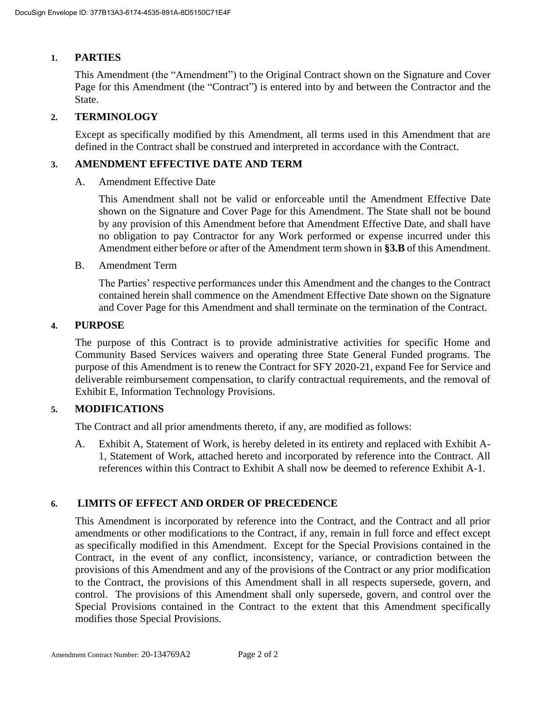### **1. PARTIES**

This Amendment (the "Amendment") to the Original Contract shown on the Signature and Cover Page for this Amendment (the "Contract") is entered into by and between the Contractor and the State.

## **2. TERMINOLOGY**

Except as specifically modified by this Amendment, all terms used in this Amendment that are defined in the Contract shall be construed and interpreted in accordance with the Contract.

#### **3. AMENDMENT EFFECTIVE DATE AND TERM**

A. Amendment Effective Date

This Amendment shall not be valid or enforceable until the Amendment Effective Date shown on the Signature and Cover Page for this Amendment. The State shall not be bound by any provision of this Amendment before that Amendment Effective Date, and shall have no obligation to pay Contractor for any Work performed or expense incurred under this Amendment either before or after of the Amendment term shown in **§3.B** of this Amendment.

B. Amendment Term

The Parties' respective performances under this Amendment and the changes to the Contract contained herein shall commence on the Amendment Effective Date shown on the Signature and Cover Page for this Amendment and shall terminate on the termination of the Contract.

#### **4. PURPOSE**

The purpose of this Contract is to provide administrative activities for specific Home and Community Based Services waivers and operating three State General Funded programs. The purpose of this Amendment is to renew the Contract for SFY 2020-21, expand Fee for Service and deliverable reimbursement compensation, to clarify contractual requirements, and the removal of Exhibit E, Information Technology Provisions.

## **5. MODIFICATIONS**

The Contract and all prior amendments thereto, if any, are modified as follows:

A. Exhibit A, Statement of Work, is hereby deleted in its entirety and replaced with Exhibit A-1, Statement of Work, attached hereto and incorporated by reference into the Contract. All references within this Contract to Exhibit A shall now be deemed to reference Exhibit A-1.

#### **6. LIMITS OF EFFECT AND ORDER OF PRECEDENCE**

This Amendment is incorporated by reference into the Contract, and the Contract and all prior amendments or other modifications to the Contract, if any, remain in full force and effect except as specifically modified in this Amendment. Except for the Special Provisions contained in the Contract, in the event of any conflict, inconsistency, variance, or contradiction between the provisions of this Amendment and any of the provisions of the Contract or any prior modification to the Contract, the provisions of this Amendment shall in all respects supersede, govern, and control. The provisions of this Amendment shall only supersede, govern, and control over the Special Provisions contained in the Contract to the extent that this Amendment specifically modifies those Special Provisions.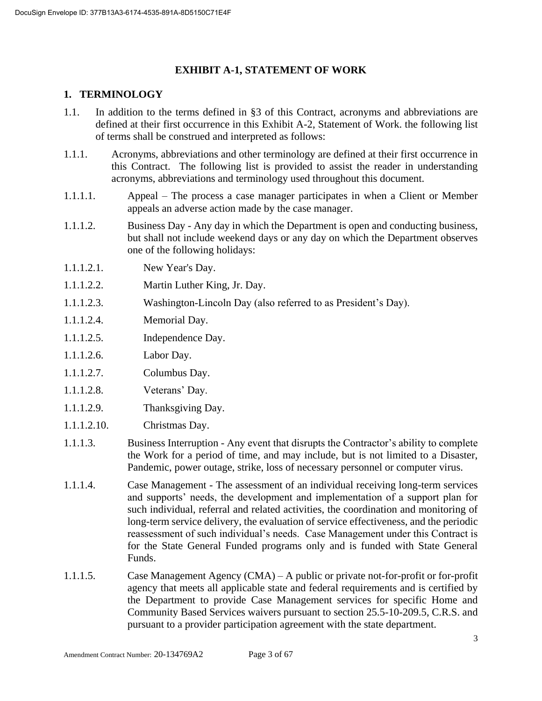# **EXHIBIT A-1, STATEMENT OF WORK**

# **1. TERMINOLOGY**

- 1.1. In addition to the terms defined in §3 of this Contract, acronyms and abbreviations are defined at their first occurrence in this Exhibit A-2, Statement of Work. the following list of terms shall be construed and interpreted as follows:
- 1.1.1. Acronyms, abbreviations and other terminology are defined at their first occurrence in this Contract. The following list is provided to assist the reader in understanding acronyms, abbreviations and terminology used throughout this document.
- 1.1.1.1. Appeal The process a case manager participates in when a Client or Member appeals an adverse action made by the case manager.
- 1.1.1.2. Business Day Any day in which the Department is open and conducting business, but shall not include weekend days or any day on which the Department observes one of the following holidays:
- 1.1.1.2.1. New Year's Day.
- 1.1.1.2.2. Martin Luther King, Jr. Day.
- 1.1.1.2.3. Washington-Lincoln Day (also referred to as President's Day).
- 1.1.1.2.4. Memorial Day.
- 1.1.1.2.5. Independence Day.
- 1.1.1.2.6. Labor Day.
- 1.1.1.2.7. Columbus Day.
- 1.1.1.2.8. Veterans' Day.
- 1.1.1.2.9. Thanksgiving Day.
- 1.1.1.2.10. Christmas Day.
- 1.1.1.3. Business Interruption Any event that disrupts the Contractor's ability to complete the Work for a period of time, and may include, but is not limited to a Disaster, Pandemic, power outage, strike, loss of necessary personnel or computer virus.
- 1.1.1.4. Case Management The assessment of an individual receiving long-term services and supports' needs, the development and implementation of a support plan for such individual, referral and related activities, the coordination and monitoring of long-term service delivery, the evaluation of service effectiveness, and the periodic reassessment of such individual's needs. Case Management under this Contract is for the State General Funded programs only and is funded with State General Funds.
- 1.1.1.5. Case Management Agency (CMA) A public or private not-for-profit or for-profit agency that meets all applicable state and federal requirements and is certified by the Department to provide Case Management services for specific Home and Community Based Services waivers pursuant to section 25.5-10-209.5, C.R.S. and pursuant to a provider participation agreement with the state department.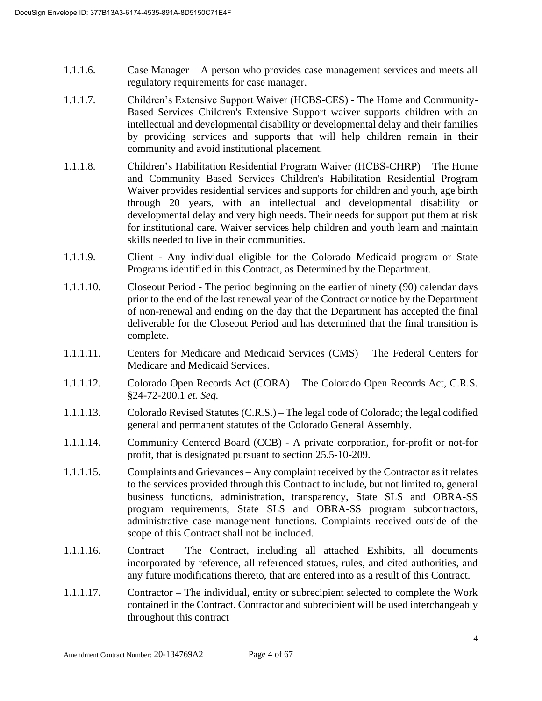- 1.1.1.6. Case Manager A person who provides case management services and meets all regulatory requirements for case manager.
- 1.1.1.7. Children's Extensive Support Waiver (HCBS-CES) The Home and Community-Based Services Children's Extensive Support waiver supports children with an intellectual and developmental disability or developmental delay and their families by providing services and supports that will help children remain in their community and avoid institutional placement.
- 1.1.1.8. Children's Habilitation Residential Program Waiver (HCBS-CHRP) The Home and Community Based Services Children's Habilitation Residential Program Waiver provides residential services and supports for children and youth, age birth through 20 years, with an intellectual and developmental disability or developmental delay and very high needs. Their needs for support put them at risk for institutional care. Waiver services help children and youth learn and maintain skills needed to live in their communities.
- 1.1.1.9. Client Any individual eligible for the Colorado Medicaid program or State Programs identified in this Contract, as Determined by the Department.
- 1.1.1.10. Closeout Period The period beginning on the earlier of ninety (90) calendar days prior to the end of the last renewal year of the Contract or notice by the Department of non-renewal and ending on the day that the Department has accepted the final deliverable for the Closeout Period and has determined that the final transition is complete.
- 1.1.1.11. Centers for Medicare and Medicaid Services (CMS) The Federal Centers for Medicare and Medicaid Services.
- 1.1.1.12. Colorado Open Records Act (CORA) The Colorado Open Records Act, C.R.S. §24-72-200.1 *et. Seq.*
- 1.1.1.13. Colorado Revised Statutes (C.R.S.) The legal code of Colorado; the legal codified general and permanent statutes of the Colorado General Assembly.
- 1.1.1.14. Community Centered Board (CCB) A private corporation, for-profit or not-for profit, that is designated pursuant to section 25.5-10-209.
- 1.1.1.15. Complaints and Grievances Any complaint received by the Contractor as it relates to the services provided through this Contract to include, but not limited to, general business functions, administration, transparency, State SLS and OBRA-SS program requirements, State SLS and OBRA-SS program subcontractors, administrative case management functions. Complaints received outside of the scope of this Contract shall not be included.
- 1.1.1.16. Contract The Contract, including all attached Exhibits, all documents incorporated by reference, all referenced statues, rules, and cited authorities, and any future modifications thereto, that are entered into as a result of this Contract.
- 1.1.1.17. Contractor The individual, entity or subrecipient selected to complete the Work contained in the Contract. Contractor and subrecipient will be used interchangeably throughout this contract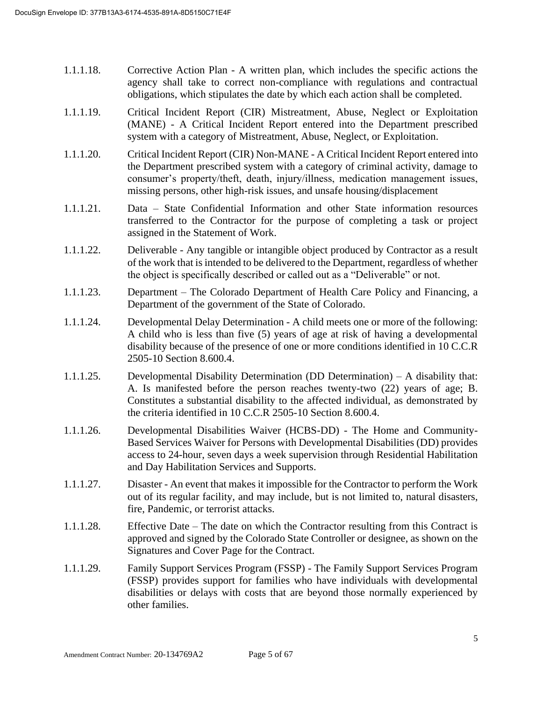- 1.1.1.18. Corrective Action Plan A written plan, which includes the specific actions the agency shall take to correct non-compliance with regulations and contractual obligations, which stipulates the date by which each action shall be completed.
- 1.1.1.19. Critical Incident Report (CIR) Mistreatment, Abuse, Neglect or Exploitation (MANE) - A Critical Incident Report entered into the Department prescribed system with a category of Mistreatment, Abuse, Neglect, or Exploitation.
- 1.1.1.20. Critical Incident Report (CIR) Non-MANE A Critical Incident Report entered into the Department prescribed system with a category of criminal activity, damage to consumer's property/theft, death, injury/illness, medication management issues, missing persons, other high-risk issues, and unsafe housing/displacement
- 1.1.1.21. Data State Confidential Information and other State information resources transferred to the Contractor for the purpose of completing a task or project assigned in the Statement of Work.
- 1.1.1.22. Deliverable Any tangible or intangible object produced by Contractor as a result of the work that is intended to be delivered to the Department, regardless of whether the object is specifically described or called out as a "Deliverable" or not.
- 1.1.1.23. Department The Colorado Department of Health Care Policy and Financing, a Department of the government of the State of Colorado.
- 1.1.1.24. Developmental Delay Determination A child meets one or more of the following: A child who is less than five (5) years of age at risk of having a developmental disability because of the presence of one or more conditions identified in 10 C.C.R 2505-10 Section 8.600.4.
- 1.1.1.25. Developmental Disability Determination (DD Determination) A disability that: A. Is manifested before the person reaches twenty-two (22) years of age; B. Constitutes a substantial disability to the affected individual, as demonstrated by the criteria identified in 10 C.C.R 2505-10 Section 8.600.4.
- 1.1.1.26. Developmental Disabilities Waiver (HCBS-DD) The Home and Community-Based Services Waiver for Persons with Developmental Disabilities (DD) provides access to 24-hour, seven days a week supervision through Residential Habilitation and Day Habilitation Services and Supports.
- 1.1.1.27. Disaster An event that makes it impossible for the Contractor to perform the Work out of its regular facility, and may include, but is not limited to, natural disasters, fire, Pandemic, or terrorist attacks.
- 1.1.1.28. Effective Date The date on which the Contractor resulting from this Contract is approved and signed by the Colorado State Controller or designee, as shown on the Signatures and Cover Page for the Contract.
- 1.1.1.29. Family Support Services Program (FSSP) The Family Support Services Program (FSSP) provides support for families who have individuals with developmental disabilities or delays with costs that are beyond those normally experienced by other families.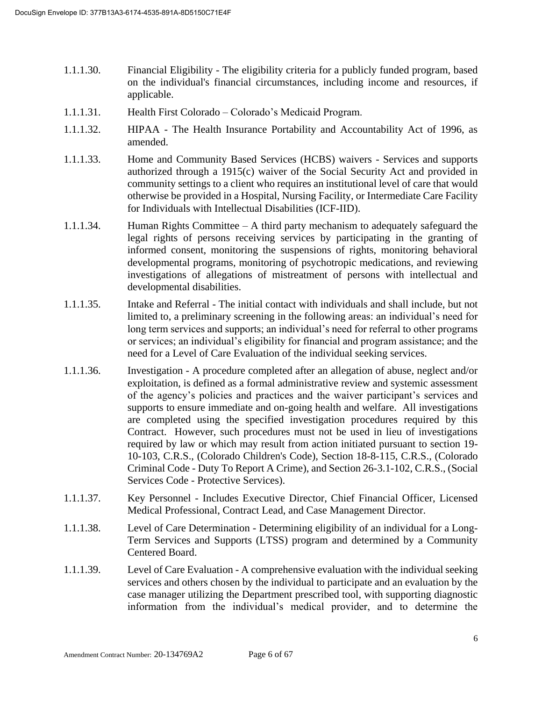- 1.1.1.30. Financial Eligibility The eligibility criteria for a publicly funded program, based on the individual's financial circumstances, including income and resources, if applicable.
- 1.1.1.31. Health First Colorado Colorado's Medicaid Program.
- 1.1.1.32. HIPAA The Health Insurance Portability and Accountability Act of 1996, as amended.
- 1.1.1.33. Home and Community Based Services (HCBS) waivers Services and supports authorized through a 1915(c) waiver of the Social Security Act and provided in community settings to a client who requires an institutional level of care that would otherwise be provided in a Hospital, Nursing Facility, or Intermediate Care Facility for Individuals with Intellectual Disabilities (ICF-IID).
- 1.1.1.34. Human Rights Committee A third party mechanism to adequately safeguard the legal rights of persons receiving services by participating in the granting of informed consent, monitoring the suspensions of rights, monitoring behavioral developmental programs, monitoring of psychotropic medications, and reviewing investigations of allegations of mistreatment of persons with intellectual and developmental disabilities.
- 1.1.1.35. Intake and Referral The initial contact with individuals and shall include, but not limited to, a preliminary screening in the following areas: an individual's need for long term services and supports; an individual's need for referral to other programs or services; an individual's eligibility for financial and program assistance; and the need for a Level of Care Evaluation of the individual seeking services.
- 1.1.1.36. Investigation A procedure completed after an allegation of abuse, neglect and/or exploitation, is defined as a formal administrative review and systemic assessment of the agency's policies and practices and the waiver participant's services and supports to ensure immediate and on-going health and welfare. All investigations are completed using the specified investigation procedures required by this Contract. However, such procedures must not be used in lieu of investigations required by law or which may result from action initiated pursuant to section 19- 10-103, C.R.S., (Colorado Children's Code), Section 18-8-115, C.R.S., (Colorado Criminal Code - Duty To Report A Crime), and Section 26-3.1-102, C.R.S., (Social Services Code - Protective Services).
- 1.1.1.37. Key Personnel Includes Executive Director, Chief Financial Officer, Licensed Medical Professional, Contract Lead, and Case Management Director.
- 1.1.1.38. Level of Care Determination Determining eligibility of an individual for a Long-Term Services and Supports (LTSS) program and determined by a Community Centered Board.
- 1.1.1.39. Level of Care Evaluation A comprehensive evaluation with the individual seeking services and others chosen by the individual to participate and an evaluation by the case manager utilizing the Department prescribed tool, with supporting diagnostic information from the individual's medical provider, and to determine the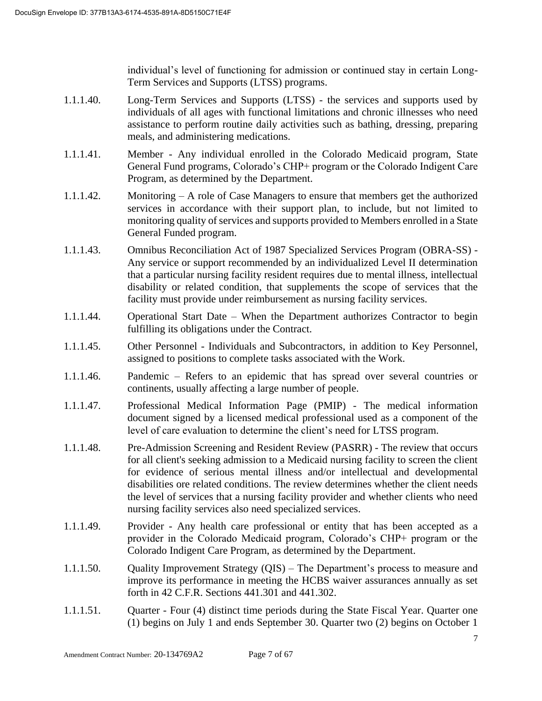individual's level of functioning for admission or continued stay in certain Long-Term Services and Supports (LTSS) programs.

- 1.1.1.40. Long-Term Services and Supports (LTSS) the services and supports used by individuals of all ages with functional limitations and chronic illnesses who need assistance to perform routine daily activities such as bathing, dressing, preparing meals, and administering medications.
- 1.1.1.41. Member Any individual enrolled in the Colorado Medicaid program, State General Fund programs, Colorado's CHP+ program or the Colorado Indigent Care Program, as determined by the Department.
- 1.1.1.42. Monitoring A role of Case Managers to ensure that members get the authorized services in accordance with their support plan, to include, but not limited to monitoring quality of services and supports provided to Members enrolled in a State General Funded program.
- 1.1.1.43. Omnibus Reconciliation Act of 1987 Specialized Services Program (OBRA-SS) Any service or support recommended by an individualized Level II determination that a particular nursing facility resident requires due to mental illness, intellectual disability or related condition, that supplements the scope of services that the facility must provide under reimbursement as nursing facility services.
- 1.1.1.44. Operational Start Date When the Department authorizes Contractor to begin fulfilling its obligations under the Contract.
- 1.1.1.45. Other Personnel Individuals and Subcontractors, in addition to Key Personnel, assigned to positions to complete tasks associated with the Work.
- 1.1.1.46. Pandemic Refers to an epidemic that has spread over several countries or continents, usually affecting a large number of people.
- 1.1.1.47. Professional Medical Information Page (PMIP) The medical information document signed by a licensed medical professional used as a component of the level of care evaluation to determine the client's need for LTSS program.
- 1.1.1.48. Pre-Admission Screening and Resident Review (PASRR) The review that occurs for all client's seeking admission to a Medicaid nursing facility to screen the client for evidence of serious mental illness and/or intellectual and developmental disabilities ore related conditions. The review determines whether the client needs the level of services that a nursing facility provider and whether clients who need nursing facility services also need specialized services.
- 1.1.1.49. Provider Any health care professional or entity that has been accepted as a provider in the Colorado Medicaid program, Colorado's CHP+ program or the Colorado Indigent Care Program, as determined by the Department.
- 1.1.1.50. Quality Improvement Strategy (QIS) The Department's process to measure and improve its performance in meeting the HCBS waiver assurances annually as set forth in 42 C.F.R. Sections 441.301 and 441.302.
- 1.1.1.51. Quarter Four (4) distinct time periods during the State Fiscal Year. Quarter one (1) begins on July 1 and ends September 30. Quarter two (2) begins on October 1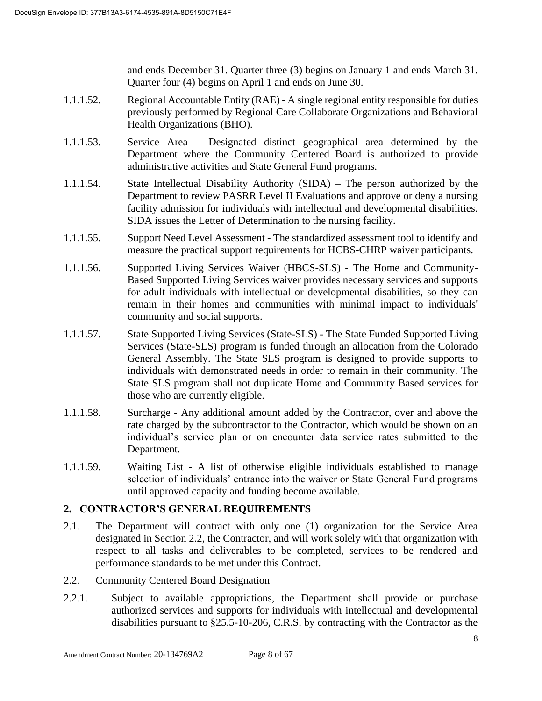and ends December 31. Quarter three (3) begins on January 1 and ends March 31. Quarter four (4) begins on April 1 and ends on June 30.

- 1.1.1.52. Regional Accountable Entity (RAE) A single regional entity responsible for duties previously performed by Regional Care Collaborate Organizations and Behavioral Health Organizations (BHO).
- 1.1.1.53. Service Area Designated distinct geographical area determined by the Department where the Community Centered Board is authorized to provide administrative activities and State General Fund programs.
- 1.1.1.54. State Intellectual Disability Authority (SIDA) The person authorized by the Department to review PASRR Level II Evaluations and approve or deny a nursing facility admission for individuals with intellectual and developmental disabilities. SIDA issues the Letter of Determination to the nursing facility.
- 1.1.1.55. Support Need Level Assessment The standardized assessment tool to identify and measure the practical support requirements for HCBS-CHRP waiver participants.
- 1.1.1.56. Supported Living Services Waiver (HBCS-SLS) The Home and Community-Based Supported Living Services waiver provides necessary services and supports for adult individuals with intellectual or developmental disabilities, so they can remain in their homes and communities with minimal impact to individuals' community and social supports.
- 1.1.1.57. State Supported Living Services (State-SLS) The State Funded Supported Living Services (State-SLS) program is funded through an allocation from the Colorado General Assembly. The State SLS program is designed to provide supports to individuals with demonstrated needs in order to remain in their community. The State SLS program shall not duplicate Home and Community Based services for those who are currently eligible.
- 1.1.1.58. Surcharge Any additional amount added by the Contractor, over and above the rate charged by the subcontractor to the Contractor, which would be shown on an individual's service plan or on encounter data service rates submitted to the Department.
- 1.1.1.59. Waiting List A list of otherwise eligible individuals established to manage selection of individuals' entrance into the waiver or State General Fund programs until approved capacity and funding become available.

# **2. CONTRACTOR'S GENERAL REQUIREMENTS**

- 2.1. The Department will contract with only one (1) organization for the Service Area designated in Section 2.2, the Contractor, and will work solely with that organization with respect to all tasks and deliverables to be completed, services to be rendered and performance standards to be met under this Contract.
- 2.2. Community Centered Board Designation
- 2.2.1. Subject to available appropriations, the Department shall provide or purchase authorized services and supports for individuals with intellectual and developmental disabilities pursuant to §25.5-10-206, C.R.S. by contracting with the Contractor as the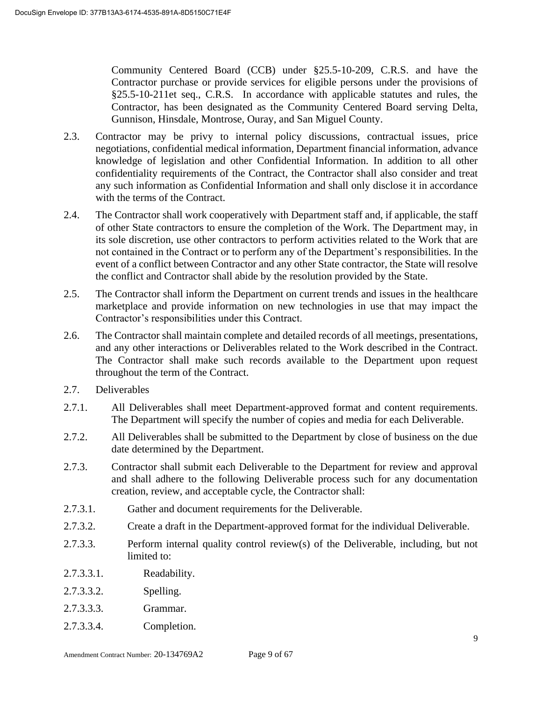Community Centered Board (CCB) under §25.5-10-209, C.R.S. and have the Contractor purchase or provide services for eligible persons under the provisions of §25.5-10-211et seq., C.R.S. In accordance with applicable statutes and rules, the Contractor, has been designated as the Community Centered Board serving Delta, Gunnison, Hinsdale, Montrose, Ouray, and San Miguel County.

- 2.3. Contractor may be privy to internal policy discussions, contractual issues, price negotiations, confidential medical information, Department financial information, advance knowledge of legislation and other Confidential Information. In addition to all other confidentiality requirements of the Contract, the Contractor shall also consider and treat any such information as Confidential Information and shall only disclose it in accordance with the terms of the Contract.
- 2.4. The Contractor shall work cooperatively with Department staff and, if applicable, the staff of other State contractors to ensure the completion of the Work. The Department may, in its sole discretion, use other contractors to perform activities related to the Work that are not contained in the Contract or to perform any of the Department's responsibilities. In the event of a conflict between Contractor and any other State contractor, the State will resolve the conflict and Contractor shall abide by the resolution provided by the State.
- 2.5. The Contractor shall inform the Department on current trends and issues in the healthcare marketplace and provide information on new technologies in use that may impact the Contractor's responsibilities under this Contract.
- 2.6. The Contractor shall maintain complete and detailed records of all meetings, presentations, and any other interactions or Deliverables related to the Work described in the Contract. The Contractor shall make such records available to the Department upon request throughout the term of the Contract.
- 2.7. Deliverables
- 2.7.1. All Deliverables shall meet Department-approved format and content requirements. The Department will specify the number of copies and media for each Deliverable.
- 2.7.2. All Deliverables shall be submitted to the Department by close of business on the due date determined by the Department.
- 2.7.3. Contractor shall submit each Deliverable to the Department for review and approval and shall adhere to the following Deliverable process such for any documentation creation, review, and acceptable cycle, the Contractor shall:
- 2.7.3.1. Gather and document requirements for the Deliverable.
- 2.7.3.2. Create a draft in the Department-approved format for the individual Deliverable.
- 2.7.3.3. Perform internal quality control review(s) of the Deliverable, including, but not limited to:
- 2.7.3.3.1. Readability.
- 2.7.3.3.2. Spelling.
- 2.7.3.3.3. Grammar.
- 2.7.3.3.4. Completion.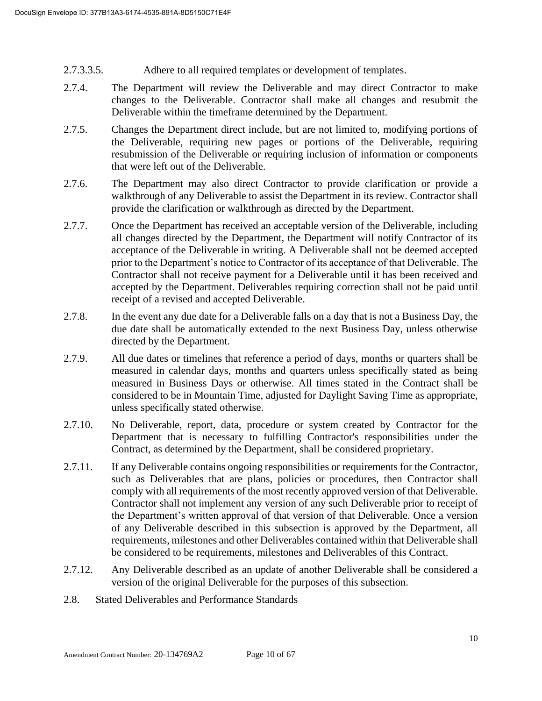- 2.7.3.3.5. Adhere to all required templates or development of templates.
- 2.7.4. The Department will review the Deliverable and may direct Contractor to make changes to the Deliverable. Contractor shall make all changes and resubmit the Deliverable within the timeframe determined by the Department.
- 2.7.5. Changes the Department direct include, but are not limited to, modifying portions of the Deliverable, requiring new pages or portions of the Deliverable, requiring resubmission of the Deliverable or requiring inclusion of information or components that were left out of the Deliverable.
- 2.7.6. The Department may also direct Contractor to provide clarification or provide a walkthrough of any Deliverable to assist the Department in its review. Contractor shall provide the clarification or walkthrough as directed by the Department.
- 2.7.7. Once the Department has received an acceptable version of the Deliverable, including all changes directed by the Department, the Department will notify Contractor of its acceptance of the Deliverable in writing. A Deliverable shall not be deemed accepted prior to the Department's notice to Contractor of its acceptance of that Deliverable. The Contractor shall not receive payment for a Deliverable until it has been received and accepted by the Department. Deliverables requiring correction shall not be paid until receipt of a revised and accepted Deliverable.
- 2.7.8. In the event any due date for a Deliverable falls on a day that is not a Business Day, the due date shall be automatically extended to the next Business Day, unless otherwise directed by the Department.
- 2.7.9. All due dates or timelines that reference a period of days, months or quarters shall be measured in calendar days, months and quarters unless specifically stated as being measured in Business Days or otherwise. All times stated in the Contract shall be considered to be in Mountain Time, adjusted for Daylight Saving Time as appropriate, unless specifically stated otherwise.
- 2.7.10. No Deliverable, report, data, procedure or system created by Contractor for the Department that is necessary to fulfilling Contractor's responsibilities under the Contract, as determined by the Department, shall be considered proprietary.
- 2.7.11. If any Deliverable contains ongoing responsibilities or requirements for the Contractor, such as Deliverables that are plans, policies or procedures, then Contractor shall comply with all requirements of the most recently approved version of that Deliverable. Contractor shall not implement any version of any such Deliverable prior to receipt of the Department's written approval of that version of that Deliverable. Once a version of any Deliverable described in this subsection is approved by the Department, all requirements, milestones and other Deliverables contained within that Deliverable shall be considered to be requirements, milestones and Deliverables of this Contract.
- 2.7.12. Any Deliverable described as an update of another Deliverable shall be considered a version of the original Deliverable for the purposes of this subsection.
- 2.8. Stated Deliverables and Performance Standards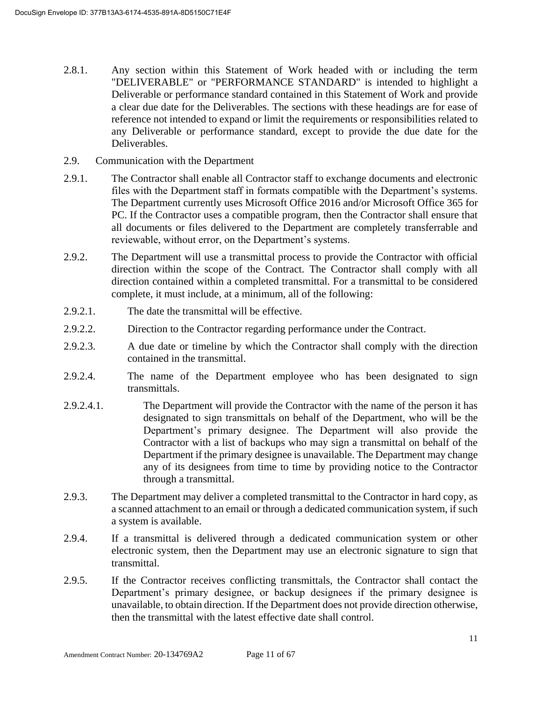- 2.8.1. Any section within this Statement of Work headed with or including the term "DELIVERABLE" or "PERFORMANCE STANDARD" is intended to highlight a Deliverable or performance standard contained in this Statement of Work and provide a clear due date for the Deliverables. The sections with these headings are for ease of reference not intended to expand or limit the requirements or responsibilities related to any Deliverable or performance standard, except to provide the due date for the Deliverables.
- 2.9. Communication with the Department
- 2.9.1. The Contractor shall enable all Contractor staff to exchange documents and electronic files with the Department staff in formats compatible with the Department's systems. The Department currently uses Microsoft Office 2016 and/or Microsoft Office 365 for PC. If the Contractor uses a compatible program, then the Contractor shall ensure that all documents or files delivered to the Department are completely transferrable and reviewable, without error, on the Department's systems.
- 2.9.2. The Department will use a transmittal process to provide the Contractor with official direction within the scope of the Contract. The Contractor shall comply with all direction contained within a completed transmittal. For a transmittal to be considered complete, it must include, at a minimum, all of the following:
- 2.9.2.1. The date the transmittal will be effective.
- 2.9.2.2. Direction to the Contractor regarding performance under the Contract.
- 2.9.2.3. A due date or timeline by which the Contractor shall comply with the direction contained in the transmittal.
- 2.9.2.4. The name of the Department employee who has been designated to sign transmittals.
- 2.9.2.4.1. The Department will provide the Contractor with the name of the person it has designated to sign transmittals on behalf of the Department, who will be the Department's primary designee. The Department will also provide the Contractor with a list of backups who may sign a transmittal on behalf of the Department if the primary designee is unavailable. The Department may change any of its designees from time to time by providing notice to the Contractor through a transmittal.
- 2.9.3. The Department may deliver a completed transmittal to the Contractor in hard copy, as a scanned attachment to an email or through a dedicated communication system, if such a system is available.
- 2.9.4. If a transmittal is delivered through a dedicated communication system or other electronic system, then the Department may use an electronic signature to sign that transmittal.
- 2.9.5. If the Contractor receives conflicting transmittals, the Contractor shall contact the Department's primary designee, or backup designees if the primary designee is unavailable, to obtain direction. If the Department does not provide direction otherwise, then the transmittal with the latest effective date shall control.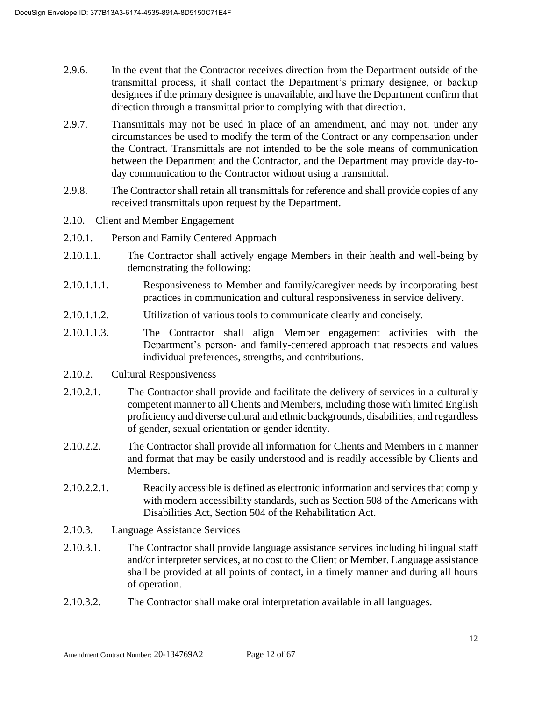- 2.9.6. In the event that the Contractor receives direction from the Department outside of the transmittal process, it shall contact the Department's primary designee, or backup designees if the primary designee is unavailable, and have the Department confirm that direction through a transmittal prior to complying with that direction.
- 2.9.7. Transmittals may not be used in place of an amendment, and may not, under any circumstances be used to modify the term of the Contract or any compensation under the Contract. Transmittals are not intended to be the sole means of communication between the Department and the Contractor, and the Department may provide day-today communication to the Contractor without using a transmittal.
- 2.9.8. The Contractor shall retain all transmittals for reference and shall provide copies of any received transmittals upon request by the Department.
- 2.10. Client and Member Engagement
- 2.10.1. Person and Family Centered Approach
- 2.10.1.1. The Contractor shall actively engage Members in their health and well-being by demonstrating the following:
- 2.10.1.1.1. Responsiveness to Member and family/caregiver needs by incorporating best practices in communication and cultural responsiveness in service delivery.
- 2.10.1.1.2. Utilization of various tools to communicate clearly and concisely.
- 2.10.1.1.3. The Contractor shall align Member engagement activities with the Department's person- and family-centered approach that respects and values individual preferences, strengths, and contributions.
- 2.10.2. Cultural Responsiveness
- 2.10.2.1. The Contractor shall provide and facilitate the delivery of services in a culturally competent manner to all Clients and Members, including those with limited English proficiency and diverse cultural and ethnic backgrounds, disabilities, and regardless of gender, sexual orientation or gender identity.
- 2.10.2.2. The Contractor shall provide all information for Clients and Members in a manner and format that may be easily understood and is readily accessible by Clients and Members.
- 2.10.2.2.1. Readily accessible is defined as electronic information and services that comply with modern accessibility standards, such as Section 508 of the Americans with Disabilities Act, Section 504 of the Rehabilitation Act.
- 2.10.3. Language Assistance Services
- 2.10.3.1. The Contractor shall provide language assistance services including bilingual staff and/or interpreter services, at no cost to the Client or Member. Language assistance shall be provided at all points of contact, in a timely manner and during all hours of operation.
- 2.10.3.2. The Contractor shall make oral interpretation available in all languages.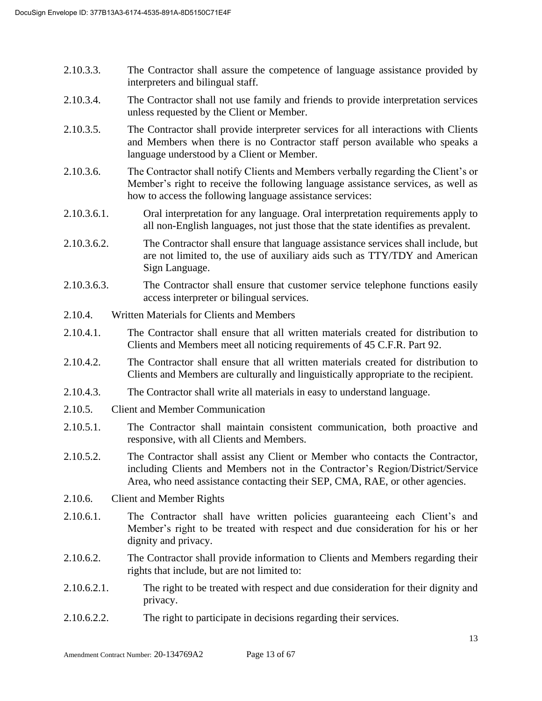- 2.10.3.3. The Contractor shall assure the competence of language assistance provided by interpreters and bilingual staff.
- 2.10.3.4. The Contractor shall not use family and friends to provide interpretation services unless requested by the Client or Member.
- 2.10.3.5. The Contractor shall provide interpreter services for all interactions with Clients and Members when there is no Contractor staff person available who speaks a language understood by a Client or Member.
- 2.10.3.6. The Contractor shall notify Clients and Members verbally regarding the Client's or Member's right to receive the following language assistance services, as well as how to access the following language assistance services:
- 2.10.3.6.1. Oral interpretation for any language. Oral interpretation requirements apply to all non-English languages, not just those that the state identifies as prevalent.
- 2.10.3.6.2. The Contractor shall ensure that language assistance services shall include, but are not limited to, the use of auxiliary aids such as TTY/TDY and American Sign Language.
- 2.10.3.6.3. The Contractor shall ensure that customer service telephone functions easily access interpreter or bilingual services.
- 2.10.4. Written Materials for Clients and Members
- 2.10.4.1. The Contractor shall ensure that all written materials created for distribution to Clients and Members meet all noticing requirements of 45 C.F.R. Part 92.
- 2.10.4.2. The Contractor shall ensure that all written materials created for distribution to Clients and Members are culturally and linguistically appropriate to the recipient.
- 2.10.4.3. The Contractor shall write all materials in easy to understand language.
- 2.10.5. Client and Member Communication
- 2.10.5.1. The Contractor shall maintain consistent communication, both proactive and responsive, with all Clients and Members.
- 2.10.5.2. The Contractor shall assist any Client or Member who contacts the Contractor, including Clients and Members not in the Contractor's Region/District/Service Area, who need assistance contacting their SEP, CMA, RAE, or other agencies.
- 2.10.6. Client and Member Rights
- 2.10.6.1. The Contractor shall have written policies guaranteeing each Client's and Member's right to be treated with respect and due consideration for his or her dignity and privacy.
- 2.10.6.2. The Contractor shall provide information to Clients and Members regarding their rights that include, but are not limited to:
- 2.10.6.2.1. The right to be treated with respect and due consideration for their dignity and privacy.
- 2.10.6.2.2. The right to participate in decisions regarding their services.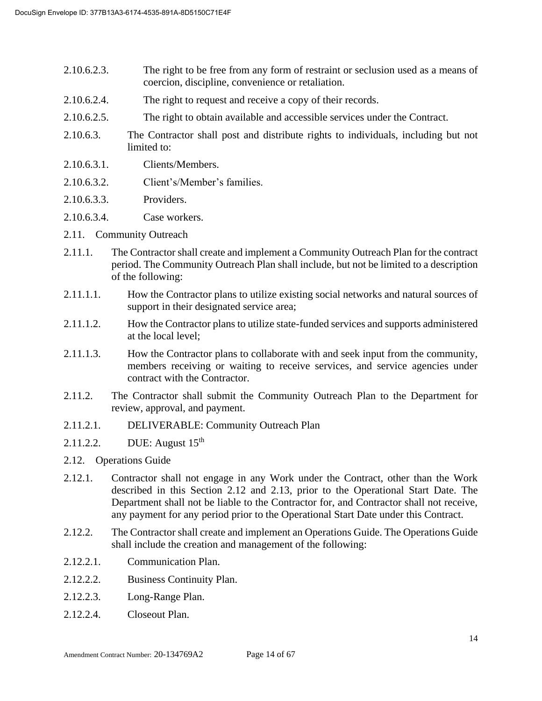- 2.10.6.2.3. The right to be free from any form of restraint or seclusion used as a means of coercion, discipline, convenience or retaliation.
- 2.10.6.2.4. The right to request and receive a copy of their records.
- 2.10.6.2.5. The right to obtain available and accessible services under the Contract.
- 2.10.6.3. The Contractor shall post and distribute rights to individuals, including but not limited to:
- 2.10.6.3.1. Clients/Members.
- 2.10.6.3.2. Client's/Member's families.
- 2.10.6.3.3. Providers.
- 2.10.6.3.4. Case workers.
- 2.11. Community Outreach
- 2.11.1. The Contractor shall create and implement a Community Outreach Plan for the contract period. The Community Outreach Plan shall include, but not be limited to a description of the following:
- 2.11.1.1. How the Contractor plans to utilize existing social networks and natural sources of support in their designated service area;
- 2.11.1.2. How the Contractor plans to utilize state-funded services and supports administered at the local level;
- 2.11.1.3. How the Contractor plans to collaborate with and seek input from the community, members receiving or waiting to receive services, and service agencies under contract with the Contractor.
- 2.11.2. The Contractor shall submit the Community Outreach Plan to the Department for review, approval, and payment.
- 2.11.2.1. DELIVERABLE: Community Outreach Plan
- 2.11.2.2. DUE: August 15<sup>th</sup>
- 2.12. Operations Guide
- 2.12.1. Contractor shall not engage in any Work under the Contract, other than the Work described in this Section 2.12 and 2.13, prior to the Operational Start Date. The Department shall not be liable to the Contractor for, and Contractor shall not receive, any payment for any period prior to the Operational Start Date under this Contract.
- 2.12.2. The Contractor shall create and implement an Operations Guide. The Operations Guide shall include the creation and management of the following:
- 2.12.2.1. Communication Plan.
- 2.12.2.2. Business Continuity Plan.
- 2.12.2.3. Long-Range Plan.
- 2.12.2.4. Closeout Plan.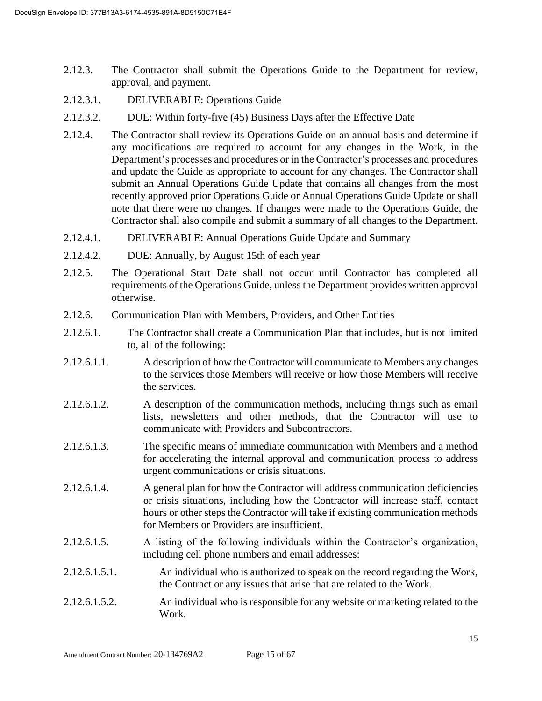- 2.12.3. The Contractor shall submit the Operations Guide to the Department for review, approval, and payment.
- 2.12.3.1. DELIVERABLE: Operations Guide
- 2.12.3.2. DUE: Within forty-five (45) Business Days after the Effective Date
- 2.12.4. The Contractor shall review its Operations Guide on an annual basis and determine if any modifications are required to account for any changes in the Work, in the Department's processes and procedures or in the Contractor's processes and procedures and update the Guide as appropriate to account for any changes. The Contractor shall submit an Annual Operations Guide Update that contains all changes from the most recently approved prior Operations Guide or Annual Operations Guide Update or shall note that there were no changes. If changes were made to the Operations Guide, the Contractor shall also compile and submit a summary of all changes to the Department.
- 2.12.4.1. DELIVERABLE: Annual Operations Guide Update and Summary
- 2.12.4.2. DUE: Annually, by August 15th of each year
- 2.12.5. The Operational Start Date shall not occur until Contractor has completed all requirements of the Operations Guide, unless the Department provides written approval otherwise.
- 2.12.6. Communication Plan with Members, Providers, and Other Entities
- 2.12.6.1. The Contractor shall create a Communication Plan that includes, but is not limited to, all of the following:
- 2.12.6.1.1. A description of how the Contractor will communicate to Members any changes to the services those Members will receive or how those Members will receive the services.
- 2.12.6.1.2. A description of the communication methods, including things such as email lists, newsletters and other methods, that the Contractor will use to communicate with Providers and Subcontractors.
- 2.12.6.1.3. The specific means of immediate communication with Members and a method for accelerating the internal approval and communication process to address urgent communications or crisis situations.
- 2.12.6.1.4. A general plan for how the Contractor will address communication deficiencies or crisis situations, including how the Contractor will increase staff, contact hours or other steps the Contractor will take if existing communication methods for Members or Providers are insufficient.
- 2.12.6.1.5. A listing of the following individuals within the Contractor's organization, including cell phone numbers and email addresses:
- 2.12.6.1.5.1. An individual who is authorized to speak on the record regarding the Work, the Contract or any issues that arise that are related to the Work.
- 2.12.6.1.5.2. An individual who is responsible for any website or marketing related to the Work.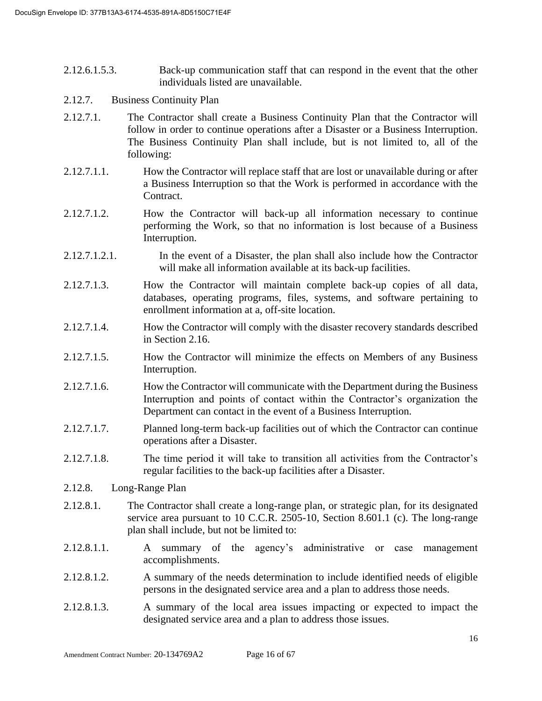- 2.12.6.1.5.3. Back-up communication staff that can respond in the event that the other individuals listed are unavailable.
- 2.12.7. Business Continuity Plan
- 2.12.7.1. The Contractor shall create a Business Continuity Plan that the Contractor will follow in order to continue operations after a Disaster or a Business Interruption. The Business Continuity Plan shall include, but is not limited to, all of the following:
- 2.12.7.1.1. How the Contractor will replace staff that are lost or unavailable during or after a Business Interruption so that the Work is performed in accordance with the Contract.
- 2.12.7.1.2. How the Contractor will back-up all information necessary to continue performing the Work, so that no information is lost because of a Business Interruption.
- 2.12.7.1.2.1. In the event of a Disaster, the plan shall also include how the Contractor will make all information available at its back-up facilities.
- 2.12.7.1.3. How the Contractor will maintain complete back-up copies of all data, databases, operating programs, files, systems, and software pertaining to enrollment information at a, off-site location.
- 2.12.7.1.4. How the Contractor will comply with the disaster recovery standards described in Section 2.16.
- 2.12.7.1.5. How the Contractor will minimize the effects on Members of any Business Interruption.
- 2.12.7.1.6. How the Contractor will communicate with the Department during the Business Interruption and points of contact within the Contractor's organization the Department can contact in the event of a Business Interruption.
- 2.12.7.1.7. Planned long-term back-up facilities out of which the Contractor can continue operations after a Disaster.
- 2.12.7.1.8. The time period it will take to transition all activities from the Contractor's regular facilities to the back-up facilities after a Disaster.
- 2.12.8. Long-Range Plan
- 2.12.8.1. The Contractor shall create a long-range plan, or strategic plan, for its designated service area pursuant to 10 C.C.R. 2505-10, Section 8.601.1 (c). The long-range plan shall include, but not be limited to:
- 2.12.8.1.1. A summary of the agency's administrative or case management accomplishments.
- 2.12.8.1.2. A summary of the needs determination to include identified needs of eligible persons in the designated service area and a plan to address those needs.
- 2.12.8.1.3. A summary of the local area issues impacting or expected to impact the designated service area and a plan to address those issues.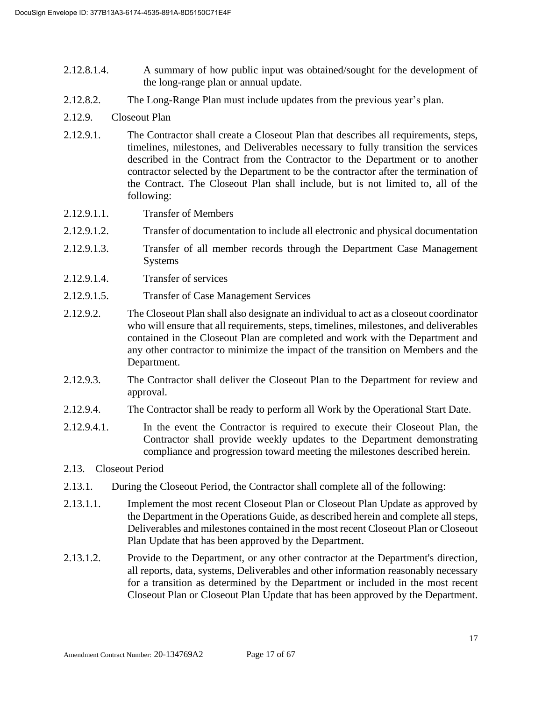- 2.12.8.1.4. A summary of how public input was obtained/sought for the development of the long-range plan or annual update.
- 2.12.8.2. The Long-Range Plan must include updates from the previous year's plan.
- 2.12.9. Closeout Plan
- 2.12.9.1. The Contractor shall create a Closeout Plan that describes all requirements, steps, timelines, milestones, and Deliverables necessary to fully transition the services described in the Contract from the Contractor to the Department or to another contractor selected by the Department to be the contractor after the termination of the Contract. The Closeout Plan shall include, but is not limited to, all of the following:
- 2.12.9.1.1. Transfer of Members
- 2.12.9.1.2. Transfer of documentation to include all electronic and physical documentation
- 2.12.9.1.3. Transfer of all member records through the Department Case Management Systems
- 2.12.9.1.4. Transfer of services
- 2.12.9.1.5. Transfer of Case Management Services
- 2.12.9.2. The Closeout Plan shall also designate an individual to act as a closeout coordinator who will ensure that all requirements, steps, timelines, milestones, and deliverables contained in the Closeout Plan are completed and work with the Department and any other contractor to minimize the impact of the transition on Members and the Department.
- 2.12.9.3. The Contractor shall deliver the Closeout Plan to the Department for review and approval.
- 2.12.9.4. The Contractor shall be ready to perform all Work by the Operational Start Date.
- 2.12.9.4.1. In the event the Contractor is required to execute their Closeout Plan, the Contractor shall provide weekly updates to the Department demonstrating compliance and progression toward meeting the milestones described herein.

#### 2.13. Closeout Period

- 2.13.1. During the Closeout Period, the Contractor shall complete all of the following:
- 2.13.1.1. Implement the most recent Closeout Plan or Closeout Plan Update as approved by the Department in the Operations Guide, as described herein and complete all steps, Deliverables and milestones contained in the most recent Closeout Plan or Closeout Plan Update that has been approved by the Department.
- 2.13.1.2. Provide to the Department, or any other contractor at the Department's direction, all reports, data, systems, Deliverables and other information reasonably necessary for a transition as determined by the Department or included in the most recent Closeout Plan or Closeout Plan Update that has been approved by the Department.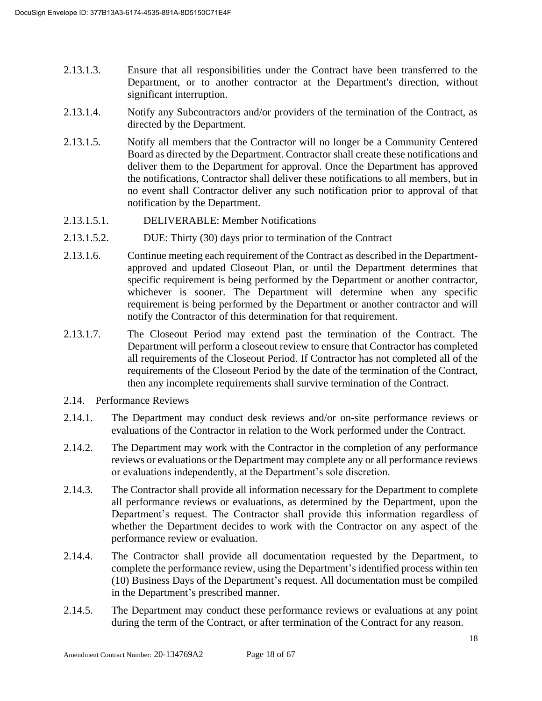- 2.13.1.3. Ensure that all responsibilities under the Contract have been transferred to the Department, or to another contractor at the Department's direction, without significant interruption.
- 2.13.1.4. Notify any Subcontractors and/or providers of the termination of the Contract, as directed by the Department.
- 2.13.1.5. Notify all members that the Contractor will no longer be a Community Centered Board as directed by the Department. Contractor shall create these notifications and deliver them to the Department for approval. Once the Department has approved the notifications, Contractor shall deliver these notifications to all members, but in no event shall Contractor deliver any such notification prior to approval of that notification by the Department.
- 2.13.1.5.1. DELIVERABLE: Member Notifications
- 2.13.1.5.2. DUE: Thirty (30) days prior to termination of the Contract
- 2.13.1.6. Continue meeting each requirement of the Contract as described in the Departmentapproved and updated Closeout Plan, or until the Department determines that specific requirement is being performed by the Department or another contractor, whichever is sooner. The Department will determine when any specific requirement is being performed by the Department or another contractor and will notify the Contractor of this determination for that requirement.
- 2.13.1.7. The Closeout Period may extend past the termination of the Contract. The Department will perform a closeout review to ensure that Contractor has completed all requirements of the Closeout Period. If Contractor has not completed all of the requirements of the Closeout Period by the date of the termination of the Contract, then any incomplete requirements shall survive termination of the Contract.
- 2.14. Performance Reviews
- 2.14.1. The Department may conduct desk reviews and/or on-site performance reviews or evaluations of the Contractor in relation to the Work performed under the Contract.
- 2.14.2. The Department may work with the Contractor in the completion of any performance reviews or evaluations or the Department may complete any or all performance reviews or evaluations independently, at the Department's sole discretion.
- 2.14.3. The Contractor shall provide all information necessary for the Department to complete all performance reviews or evaluations, as determined by the Department, upon the Department's request. The Contractor shall provide this information regardless of whether the Department decides to work with the Contractor on any aspect of the performance review or evaluation.
- 2.14.4. The Contractor shall provide all documentation requested by the Department, to complete the performance review, using the Department's identified process within ten (10) Business Days of the Department's request. All documentation must be compiled in the Department's prescribed manner.
- 2.14.5. The Department may conduct these performance reviews or evaluations at any point during the term of the Contract, or after termination of the Contract for any reason.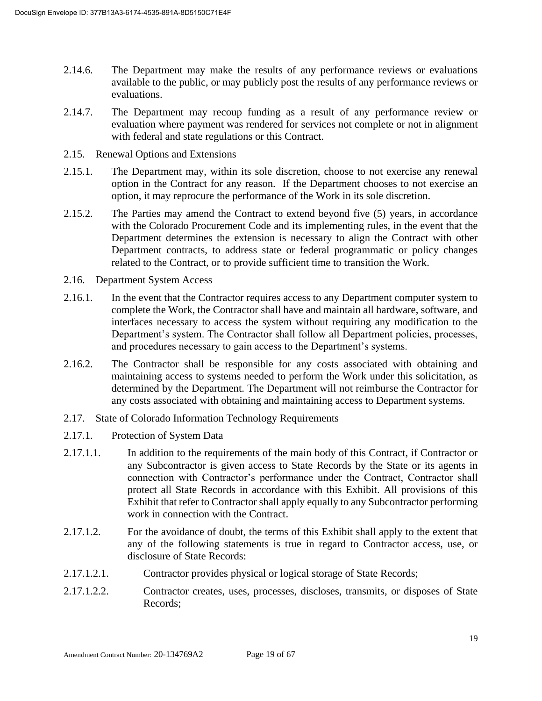- 2.14.6. The Department may make the results of any performance reviews or evaluations available to the public, or may publicly post the results of any performance reviews or evaluations.
- 2.14.7. The Department may recoup funding as a result of any performance review or evaluation where payment was rendered for services not complete or not in alignment with federal and state regulations or this Contract.
- 2.15. Renewal Options and Extensions
- 2.15.1. The Department may, within its sole discretion, choose to not exercise any renewal option in the Contract for any reason. If the Department chooses to not exercise an option, it may reprocure the performance of the Work in its sole discretion.
- 2.15.2. The Parties may amend the Contract to extend beyond five (5) years, in accordance with the Colorado Procurement Code and its implementing rules, in the event that the Department determines the extension is necessary to align the Contract with other Department contracts, to address state or federal programmatic or policy changes related to the Contract, or to provide sufficient time to transition the Work.
- 2.16. Department System Access
- 2.16.1. In the event that the Contractor requires access to any Department computer system to complete the Work, the Contractor shall have and maintain all hardware, software, and interfaces necessary to access the system without requiring any modification to the Department's system. The Contractor shall follow all Department policies, processes, and procedures necessary to gain access to the Department's systems.
- 2.16.2. The Contractor shall be responsible for any costs associated with obtaining and maintaining access to systems needed to perform the Work under this solicitation, as determined by the Department. The Department will not reimburse the Contractor for any costs associated with obtaining and maintaining access to Department systems.
- 2.17. State of Colorado Information Technology Requirements
- 2.17.1. Protection of System Data
- 2.17.1.1. In addition to the requirements of the main body of this Contract, if Contractor or any Subcontractor is given access to State Records by the State or its agents in connection with Contractor's performance under the Contract, Contractor shall protect all State Records in accordance with this Exhibit. All provisions of this Exhibit that refer to Contractor shall apply equally to any Subcontractor performing work in connection with the Contract.
- 2.17.1.2. For the avoidance of doubt, the terms of this Exhibit shall apply to the extent that any of the following statements is true in regard to Contractor access, use, or disclosure of State Records:
- 2.17.1.2.1. Contractor provides physical or logical storage of State Records;
- 2.17.1.2.2. Contractor creates, uses, processes, discloses, transmits, or disposes of State Records;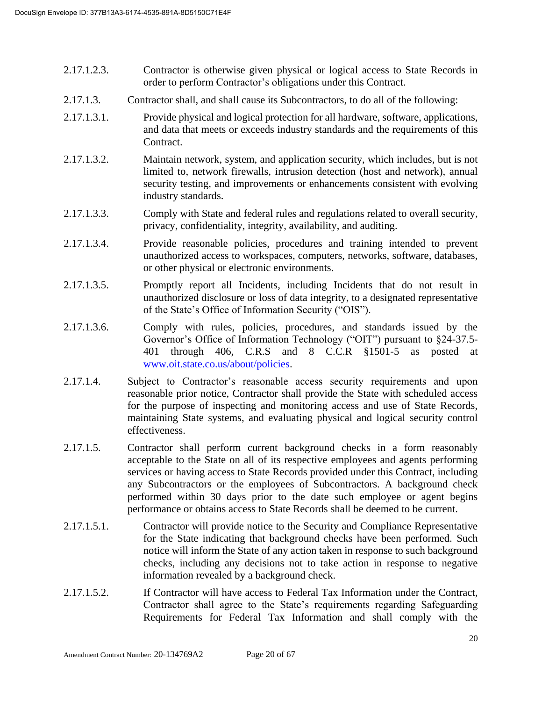- 2.17.1.2.3. Contractor is otherwise given physical or logical access to State Records in order to perform Contractor's obligations under this Contract.
- 2.17.1.3. Contractor shall, and shall cause its Subcontractors, to do all of the following:
- 2.17.1.3.1. Provide physical and logical protection for all hardware, software, applications, and data that meets or exceeds industry standards and the requirements of this Contract.
- 2.17.1.3.2. Maintain network, system, and application security, which includes, but is not limited to, network firewalls, intrusion detection (host and network), annual security testing, and improvements or enhancements consistent with evolving industry standards.
- 2.17.1.3.3. Comply with State and federal rules and regulations related to overall security, privacy, confidentiality, integrity, availability, and auditing.
- 2.17.1.3.4. Provide reasonable policies, procedures and training intended to prevent unauthorized access to workspaces, computers, networks, software, databases, or other physical or electronic environments.
- 2.17.1.3.5. Promptly report all Incidents, including Incidents that do not result in unauthorized disclosure or loss of data integrity, to a designated representative of the State's Office of Information Security ("OIS").
- 2.17.1.3.6. Comply with rules, policies, procedures, and standards issued by the Governor's Office of Information Technology ("OIT") pursuant to §24-37.5- 401 through 406, C.R.S and 8 C.C.R §1501-5 as posted at [www.oit.state.co.us/about/policies.](http://www.oit.state.co.us/about/policies)
- 2.17.1.4. Subject to Contractor's reasonable access security requirements and upon reasonable prior notice, Contractor shall provide the State with scheduled access for the purpose of inspecting and monitoring access and use of State Records, maintaining State systems, and evaluating physical and logical security control effectiveness.
- 2.17.1.5. Contractor shall perform current background checks in a form reasonably acceptable to the State on all of its respective employees and agents performing services or having access to State Records provided under this Contract, including any Subcontractors or the employees of Subcontractors. A background check performed within 30 days prior to the date such employee or agent begins performance or obtains access to State Records shall be deemed to be current.
- 2.17.1.5.1. Contractor will provide notice to the Security and Compliance Representative for the State indicating that background checks have been performed. Such notice will inform the State of any action taken in response to such background checks, including any decisions not to take action in response to negative information revealed by a background check.
- 2.17.1.5.2. If Contractor will have access to Federal Tax Information under the Contract, Contractor shall agree to the State's requirements regarding Safeguarding Requirements for Federal Tax Information and shall comply with the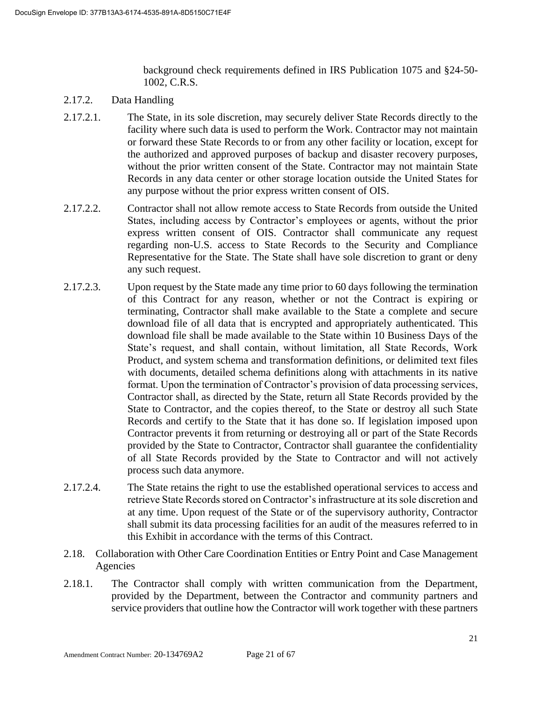background check requirements defined in IRS Publication 1075 and §24-50- 1002, C.R.S.

- 2.17.2. Data Handling
- 2.17.2.1. The State, in its sole discretion, may securely deliver State Records directly to the facility where such data is used to perform the Work. Contractor may not maintain or forward these State Records to or from any other facility or location, except for the authorized and approved purposes of backup and disaster recovery purposes, without the prior written consent of the State. Contractor may not maintain State Records in any data center or other storage location outside the United States for any purpose without the prior express written consent of OIS.
- 2.17.2.2. Contractor shall not allow remote access to State Records from outside the United States, including access by Contractor's employees or agents, without the prior express written consent of OIS. Contractor shall communicate any request regarding non-U.S. access to State Records to the Security and Compliance Representative for the State. The State shall have sole discretion to grant or deny any such request.
- 2.17.2.3. Upon request by the State made any time prior to 60 days following the termination of this Contract for any reason, whether or not the Contract is expiring or terminating, Contractor shall make available to the State a complete and secure download file of all data that is encrypted and appropriately authenticated. This download file shall be made available to the State within 10 Business Days of the State's request, and shall contain, without limitation, all State Records, Work Product, and system schema and transformation definitions, or delimited text files with documents, detailed schema definitions along with attachments in its native format. Upon the termination of Contractor's provision of data processing services, Contractor shall, as directed by the State, return all State Records provided by the State to Contractor, and the copies thereof, to the State or destroy all such State Records and certify to the State that it has done so. If legislation imposed upon Contractor prevents it from returning or destroying all or part of the State Records provided by the State to Contractor, Contractor shall guarantee the confidentiality of all State Records provided by the State to Contractor and will not actively process such data anymore.
- 2.17.2.4. The State retains the right to use the established operational services to access and retrieve State Records stored on Contractor's infrastructure at its sole discretion and at any time. Upon request of the State or of the supervisory authority, Contractor shall submit its data processing facilities for an audit of the measures referred to in this Exhibit in accordance with the terms of this Contract.
- 2.18. Collaboration with Other Care Coordination Entities or Entry Point and Case Management Agencies
- 2.18.1. The Contractor shall comply with written communication from the Department, provided by the Department, between the Contractor and community partners and service providers that outline how the Contractor will work together with these partners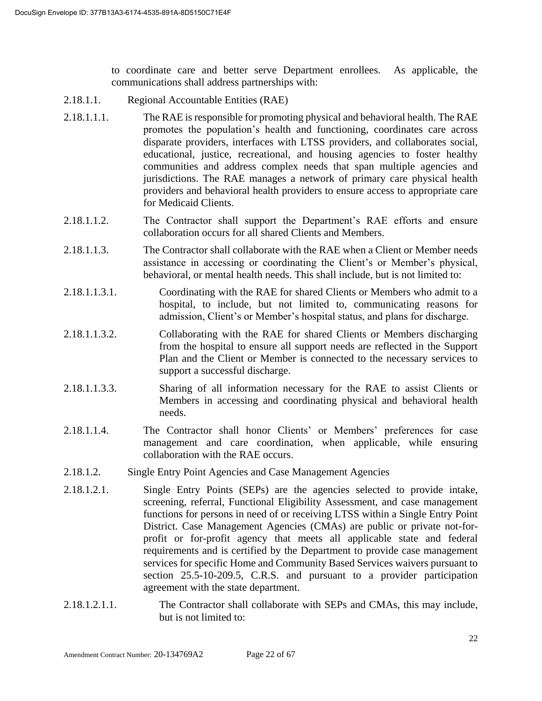to coordinate care and better serve Department enrollees. As applicable, the communications shall address partnerships with:

- 2.18.1.1. Regional Accountable Entities (RAE)
- 2.18.1.1.1. The RAE is responsible for promoting physical and behavioral health. The RAE promotes the population's health and functioning, coordinates care across disparate providers, interfaces with LTSS providers, and collaborates social, educational, justice, recreational, and housing agencies to foster healthy communities and address complex needs that span multiple agencies and jurisdictions. The RAE manages a network of primary care physical health providers and behavioral health providers to ensure access to appropriate care for Medicaid Clients.
- 2.18.1.1.2. The Contractor shall support the Department's RAE efforts and ensure collaboration occurs for all shared Clients and Members.
- 2.18.1.1.3. The Contractor shall collaborate with the RAE when a Client or Member needs assistance in accessing or coordinating the Client's or Member's physical, behavioral, or mental health needs. This shall include, but is not limited to:
- 2.18.1.1.3.1. Coordinating with the RAE for shared Clients or Members who admit to a hospital, to include, but not limited to, communicating reasons for admission, Client's or Member's hospital status, and plans for discharge.
- 2.18.1.1.3.2. Collaborating with the RAE for shared Clients or Members discharging from the hospital to ensure all support needs are reflected in the Support Plan and the Client or Member is connected to the necessary services to support a successful discharge.
- 2.18.1.1.3.3. Sharing of all information necessary for the RAE to assist Clients or Members in accessing and coordinating physical and behavioral health needs.
- 2.18.1.1.4. The Contractor shall honor Clients' or Members' preferences for case management and care coordination, when applicable, while ensuring collaboration with the RAE occurs.
- 2.18.1.2. Single Entry Point Agencies and Case Management Agencies
- 2.18.1.2.1. Single Entry Points (SEPs) are the agencies selected to provide intake, screening, referral, Functional Eligibility Assessment, and case management functions for persons in need of or receiving LTSS within a Single Entry Point District. Case Management Agencies (CMAs) are public or private not-forprofit or for-profit agency that meets all applicable state and federal requirements and is certified by the Department to provide case management services for specific Home and Community Based Services waivers pursuant to section 25.5-10-209.5, C.R.S. and pursuant to a provider participation agreement with the state department.
- 2.18.1.2.1.1. The Contractor shall collaborate with SEPs and CMAs, this may include, but is not limited to: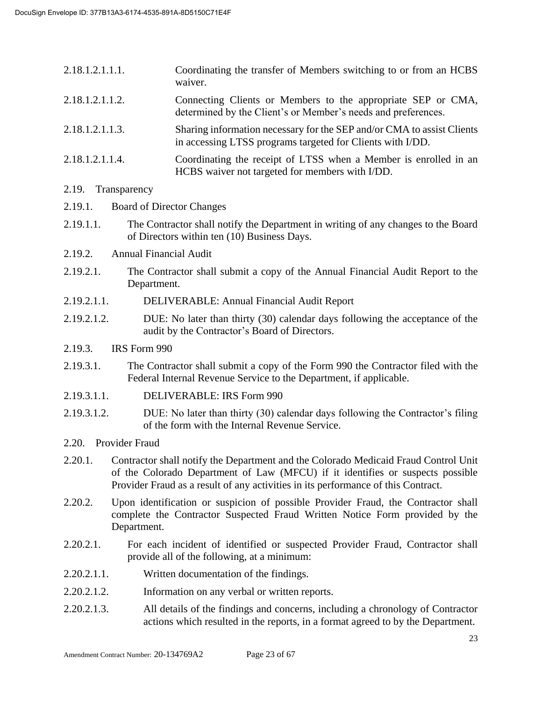| 2.18.1.2.1.1.1. | Coordinating the transfer of Members switching to or from an HCBS<br>waiver.                                                         |
|-----------------|--------------------------------------------------------------------------------------------------------------------------------------|
| 2.18.1.2.1.1.2. | Connecting Clients or Members to the appropriate SEP or CMA,<br>determined by the Client's or Member's needs and preferences.        |
| 2.18.1.2.1.1.3. | Sharing information necessary for the SEP and/or CMA to assist Clients<br>in accessing LTSS programs targeted for Clients with I/DD. |
| 2.18.1.2.1.1.4. | Coordinating the receipt of LTSS when a Member is enrolled in an<br>HCBS waiver not targeted for members with I/DD.                  |

#### 2.19. Transparency

- 2.19.1. Board of Director Changes
- 2.19.1.1. The Contractor shall notify the Department in writing of any changes to the Board of Directors within ten (10) Business Days.
- 2.19.2. Annual Financial Audit
- 2.19.2.1. The Contractor shall submit a copy of the Annual Financial Audit Report to the Department.
- 2.19.2.1.1. DELIVERABLE: Annual Financial Audit Report
- 2.19.2.1.2. DUE: No later than thirty (30) calendar days following the acceptance of the audit by the Contractor's Board of Directors.
- 2.19.3. IRS Form 990
- 2.19.3.1. The Contractor shall submit a copy of the Form 990 the Contractor filed with the Federal Internal Revenue Service to the Department, if applicable.
- 2.19.3.1.1. DELIVERABLE: IRS Form 990
- 2.19.3.1.2. DUE: No later than thirty (30) calendar days following the Contractor's filing of the form with the Internal Revenue Service.
- 2.20. Provider Fraud
- 2.20.1. Contractor shall notify the Department and the Colorado Medicaid Fraud Control Unit of the Colorado Department of Law (MFCU) if it identifies or suspects possible Provider Fraud as a result of any activities in its performance of this Contract.
- 2.20.2. Upon identification or suspicion of possible Provider Fraud, the Contractor shall complete the Contractor Suspected Fraud Written Notice Form provided by the Department.
- 2.20.2.1. For each incident of identified or suspected Provider Fraud, Contractor shall provide all of the following, at a minimum:
- 2.20.2.1.1. Written documentation of the findings.
- 2.20.2.1.2. Information on any verbal or written reports.
- 2.20.2.1.3. All details of the findings and concerns, including a chronology of Contractor actions which resulted in the reports, in a format agreed to by the Department.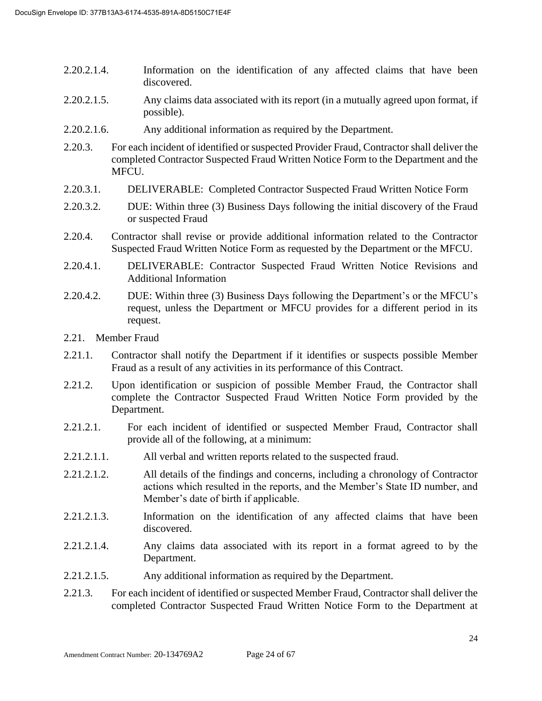- 2.20.2.1.4. Information on the identification of any affected claims that have been discovered.
- 2.20.2.1.5. Any claims data associated with its report (in a mutually agreed upon format, if possible).
- 2.20.2.1.6. Any additional information as required by the Department.
- 2.20.3. For each incident of identified or suspected Provider Fraud, Contractor shall deliver the completed Contractor Suspected Fraud Written Notice Form to the Department and the MFCU.
- 2.20.3.1. DELIVERABLE: Completed Contractor Suspected Fraud Written Notice Form
- 2.20.3.2. DUE: Within three (3) Business Days following the initial discovery of the Fraud or suspected Fraud
- 2.20.4. Contractor shall revise or provide additional information related to the Contractor Suspected Fraud Written Notice Form as requested by the Department or the MFCU.
- 2.20.4.1. DELIVERABLE: Contractor Suspected Fraud Written Notice Revisions and Additional Information
- 2.20.4.2. DUE: Within three (3) Business Days following the Department's or the MFCU's request, unless the Department or MFCU provides for a different period in its request.
- 2.21. Member Fraud
- 2.21.1. Contractor shall notify the Department if it identifies or suspects possible Member Fraud as a result of any activities in its performance of this Contract.
- 2.21.2. Upon identification or suspicion of possible Member Fraud, the Contractor shall complete the Contractor Suspected Fraud Written Notice Form provided by the Department.
- 2.21.2.1. For each incident of identified or suspected Member Fraud, Contractor shall provide all of the following, at a minimum:
- 2.21.2.1.1. All verbal and written reports related to the suspected fraud.
- 2.21.2.1.2. All details of the findings and concerns, including a chronology of Contractor actions which resulted in the reports, and the Member's State ID number, and Member's date of birth if applicable.
- 2.21.2.1.3. Information on the identification of any affected claims that have been discovered.
- 2.21.2.1.4. Any claims data associated with its report in a format agreed to by the Department.
- 2.21.2.1.5. Any additional information as required by the Department.
- 2.21.3. For each incident of identified or suspected Member Fraud, Contractor shall deliver the completed Contractor Suspected Fraud Written Notice Form to the Department at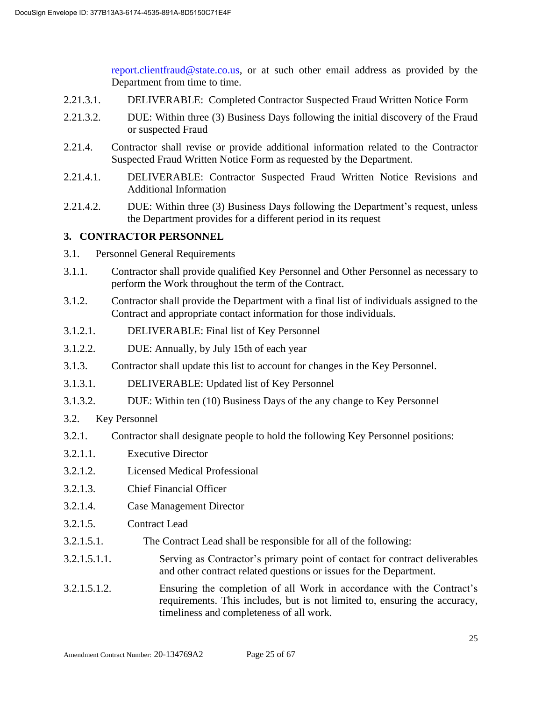[report.clientfraud@state.co.us,](mailto:report.clientfraud@state.co.us) or at such other email address as provided by the Department from time to time.

- 2.21.3.1. DELIVERABLE: Completed Contractor Suspected Fraud Written Notice Form
- 2.21.3.2. DUE: Within three (3) Business Days following the initial discovery of the Fraud or suspected Fraud
- 2.21.4. Contractor shall revise or provide additional information related to the Contractor Suspected Fraud Written Notice Form as requested by the Department.
- 2.21.4.1. DELIVERABLE: Contractor Suspected Fraud Written Notice Revisions and Additional Information
- 2.21.4.2. DUE: Within three (3) Business Days following the Department's request, unless the Department provides for a different period in its request

## **3. CONTRACTOR PERSONNEL**

- 3.1. Personnel General Requirements
- 3.1.1. Contractor shall provide qualified Key Personnel and Other Personnel as necessary to perform the Work throughout the term of the Contract.
- 3.1.2. Contractor shall provide the Department with a final list of individuals assigned to the Contract and appropriate contact information for those individuals.
- 3.1.2.1. DELIVERABLE: Final list of Key Personnel
- 3.1.2.2. DUE: Annually, by July 15th of each year
- 3.1.3. Contractor shall update this list to account for changes in the Key Personnel.
- 3.1.3.1. DELIVERABLE: Updated list of Key Personnel
- 3.1.3.2. DUE: Within ten (10) Business Days of the any change to Key Personnel
- 3.2. Key Personnel
- 3.2.1. Contractor shall designate people to hold the following Key Personnel positions:
- 3.2.1.1. Executive Director
- 3.2.1.2. Licensed Medical Professional
- 3.2.1.3. Chief Financial Officer
- 3.2.1.4. Case Management Director
- 3.2.1.5. Contract Lead
- 3.2.1.5.1. The Contract Lead shall be responsible for all of the following:
- 3.2.1.5.1.1. Serving as Contractor's primary point of contact for contract deliverables and other contract related questions or issues for the Department.
- 3.2.1.5.1.2. Ensuring the completion of all Work in accordance with the Contract's requirements. This includes, but is not limited to, ensuring the accuracy, timeliness and completeness of all work.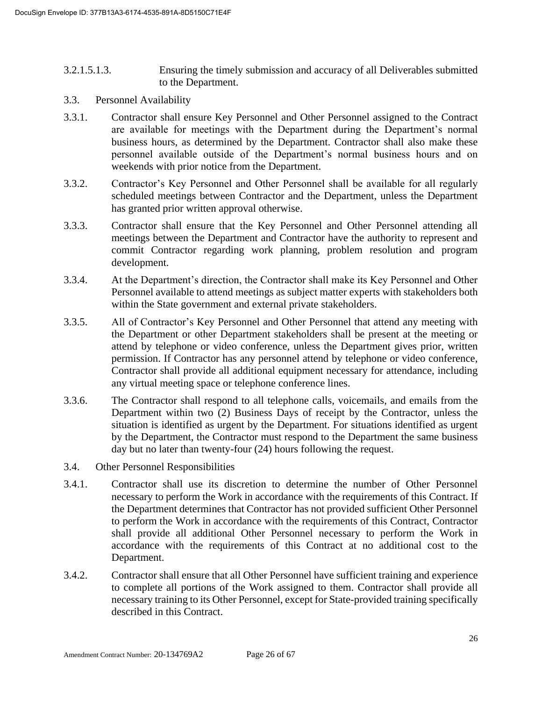- 3.2.1.5.1.3. Ensuring the timely submission and accuracy of all Deliverables submitted to the Department.
- 3.3. Personnel Availability
- 3.3.1. Contractor shall ensure Key Personnel and Other Personnel assigned to the Contract are available for meetings with the Department during the Department's normal business hours, as determined by the Department. Contractor shall also make these personnel available outside of the Department's normal business hours and on weekends with prior notice from the Department.
- 3.3.2. Contractor's Key Personnel and Other Personnel shall be available for all regularly scheduled meetings between Contractor and the Department, unless the Department has granted prior written approval otherwise.
- 3.3.3. Contractor shall ensure that the Key Personnel and Other Personnel attending all meetings between the Department and Contractor have the authority to represent and commit Contractor regarding work planning, problem resolution and program development.
- 3.3.4. At the Department's direction, the Contractor shall make its Key Personnel and Other Personnel available to attend meetings as subject matter experts with stakeholders both within the State government and external private stakeholders.
- 3.3.5. All of Contractor's Key Personnel and Other Personnel that attend any meeting with the Department or other Department stakeholders shall be present at the meeting or attend by telephone or video conference, unless the Department gives prior, written permission. If Contractor has any personnel attend by telephone or video conference, Contractor shall provide all additional equipment necessary for attendance, including any virtual meeting space or telephone conference lines.
- 3.3.6. The Contractor shall respond to all telephone calls, voicemails, and emails from the Department within two (2) Business Days of receipt by the Contractor, unless the situation is identified as urgent by the Department. For situations identified as urgent by the Department, the Contractor must respond to the Department the same business day but no later than twenty-four (24) hours following the request.
- 3.4. Other Personnel Responsibilities
- 3.4.1. Contractor shall use its discretion to determine the number of Other Personnel necessary to perform the Work in accordance with the requirements of this Contract. If the Department determines that Contractor has not provided sufficient Other Personnel to perform the Work in accordance with the requirements of this Contract, Contractor shall provide all additional Other Personnel necessary to perform the Work in accordance with the requirements of this Contract at no additional cost to the Department.
- 3.4.2. Contractor shall ensure that all Other Personnel have sufficient training and experience to complete all portions of the Work assigned to them. Contractor shall provide all necessary training to its Other Personnel, except for State-provided training specifically described in this Contract.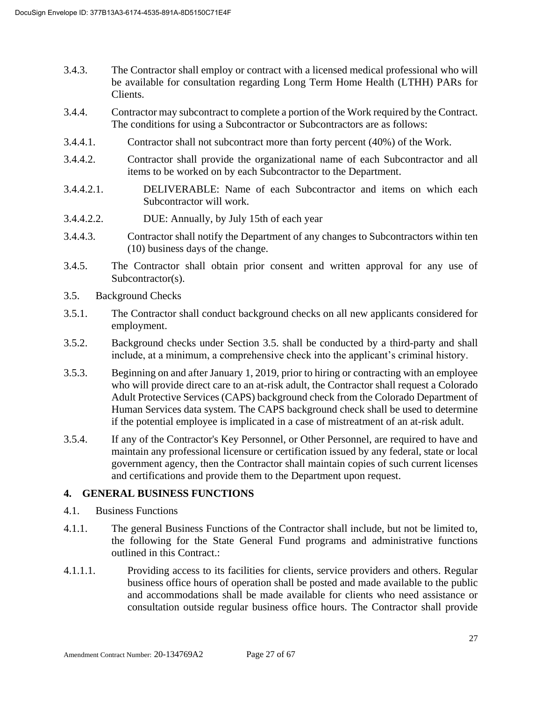- 3.4.3. The Contractor shall employ or contract with a licensed medical professional who will be available for consultation regarding Long Term Home Health (LTHH) PARs for Clients.
- 3.4.4. Contractor may subcontract to complete a portion of the Work required by the Contract. The conditions for using a Subcontractor or Subcontractors are as follows:
- 3.4.4.1. Contractor shall not subcontract more than forty percent (40%) of the Work.
- 3.4.4.2. Contractor shall provide the organizational name of each Subcontractor and all items to be worked on by each Subcontractor to the Department.
- 3.4.4.2.1. DELIVERABLE: Name of each Subcontractor and items on which each Subcontractor will work.
- 3.4.4.2.2. DUE: Annually, by July 15th of each year
- 3.4.4.3. Contractor shall notify the Department of any changes to Subcontractors within ten (10) business days of the change.
- 3.4.5. The Contractor shall obtain prior consent and written approval for any use of Subcontractor(s).
- 3.5. Background Checks
- 3.5.1. The Contractor shall conduct background checks on all new applicants considered for employment.
- 3.5.2. Background checks under Section 3.5. shall be conducted by a third-party and shall include, at a minimum, a comprehensive check into the applicant's criminal history.
- 3.5.3. Beginning on and after January 1, 2019, prior to hiring or contracting with an employee who will provide direct care to an at-risk adult, the Contractor shall request a Colorado Adult Protective Services (CAPS) background check from the Colorado Department of Human Services data system. The CAPS background check shall be used to determine if the potential employee is implicated in a case of mistreatment of an at-risk adult.
- 3.5.4. If any of the Contractor's Key Personnel, or Other Personnel, are required to have and maintain any professional licensure or certification issued by any federal, state or local government agency, then the Contractor shall maintain copies of such current licenses and certifications and provide them to the Department upon request.

#### **4. GENERAL BUSINESS FUNCTIONS**

- 4.1. Business Functions
- 4.1.1. The general Business Functions of the Contractor shall include, but not be limited to, the following for the State General Fund programs and administrative functions outlined in this Contract.:
- 4.1.1.1. Providing access to its facilities for clients, service providers and others. Regular business office hours of operation shall be posted and made available to the public and accommodations shall be made available for clients who need assistance or consultation outside regular business office hours. The Contractor shall provide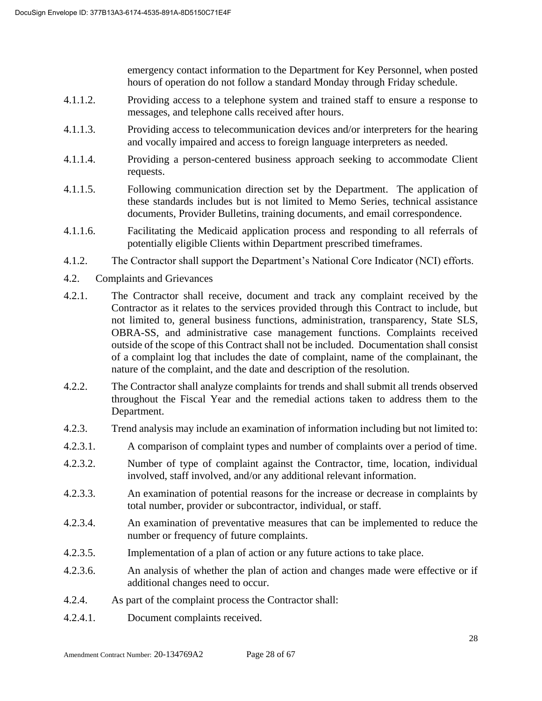emergency contact information to the Department for Key Personnel, when posted hours of operation do not follow a standard Monday through Friday schedule.

- 4.1.1.2. Providing access to a telephone system and trained staff to ensure a response to messages, and telephone calls received after hours.
- 4.1.1.3. Providing access to telecommunication devices and/or interpreters for the hearing and vocally impaired and access to foreign language interpreters as needed.
- 4.1.1.4. Providing a person-centered business approach seeking to accommodate Client requests.
- 4.1.1.5. Following communication direction set by the Department. The application of these standards includes but is not limited to Memo Series, technical assistance documents, Provider Bulletins, training documents, and email correspondence.
- 4.1.1.6. Facilitating the Medicaid application process and responding to all referrals of potentially eligible Clients within Department prescribed timeframes.
- 4.1.2. The Contractor shall support the Department's National Core Indicator (NCI) efforts.
- 4.2. Complaints and Grievances
- 4.2.1. The Contractor shall receive, document and track any complaint received by the Contractor as it relates to the services provided through this Contract to include, but not limited to, general business functions, administration, transparency, State SLS, OBRA-SS, and administrative case management functions. Complaints received outside of the scope of this Contract shall not be included. Documentation shall consist of a complaint log that includes the date of complaint, name of the complainant, the nature of the complaint, and the date and description of the resolution.
- 4.2.2. The Contractor shall analyze complaints for trends and shall submit all trends observed throughout the Fiscal Year and the remedial actions taken to address them to the Department.
- 4.2.3. Trend analysis may include an examination of information including but not limited to:
- 4.2.3.1. A comparison of complaint types and number of complaints over a period of time.
- 4.2.3.2. Number of type of complaint against the Contractor, time, location, individual involved, staff involved, and/or any additional relevant information.
- 4.2.3.3. An examination of potential reasons for the increase or decrease in complaints by total number, provider or subcontractor, individual, or staff.
- 4.2.3.4. An examination of preventative measures that can be implemented to reduce the number or frequency of future complaints.
- 4.2.3.5. Implementation of a plan of action or any future actions to take place.
- 4.2.3.6. An analysis of whether the plan of action and changes made were effective or if additional changes need to occur.
- 4.2.4. As part of the complaint process the Contractor shall:
- 4.2.4.1. Document complaints received.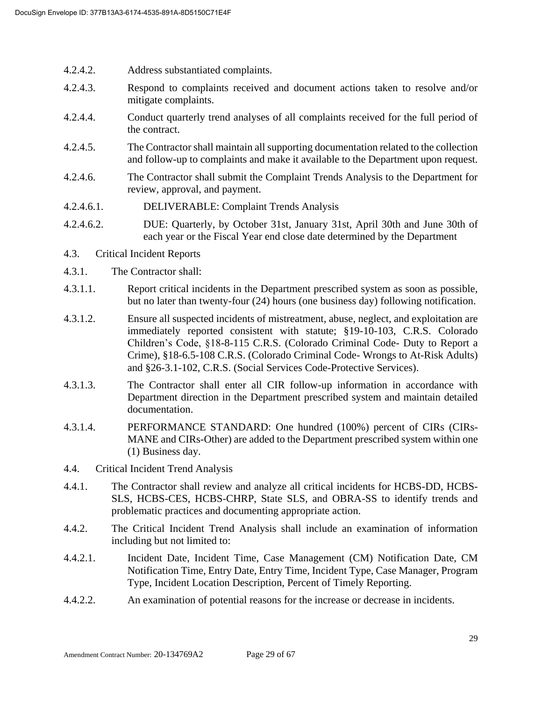- 4.2.4.2. Address substantiated complaints.
- 4.2.4.3. Respond to complaints received and document actions taken to resolve and/or mitigate complaints.
- 4.2.4.4. Conduct quarterly trend analyses of all complaints received for the full period of the contract.
- 4.2.4.5. The Contractor shall maintain all supporting documentation related to the collection and follow-up to complaints and make it available to the Department upon request.
- 4.2.4.6. The Contractor shall submit the Complaint Trends Analysis to the Department for review, approval, and payment.
- 4.2.4.6.1. DELIVERABLE: Complaint Trends Analysis
- 4.2.4.6.2. DUE: Quarterly, by October 31st, January 31st, April 30th and June 30th of each year or the Fiscal Year end close date determined by the Department
- 4.3. Critical Incident Reports
- 4.3.1. The Contractor shall:
- 4.3.1.1. Report critical incidents in the Department prescribed system as soon as possible, but no later than twenty-four (24) hours (one business day) following notification.
- 4.3.1.2. Ensure all suspected incidents of mistreatment, abuse, neglect, and exploitation are immediately reported consistent with statute; §19-10-103, C.R.S. Colorado Children's Code, §18-8-115 C.R.S. (Colorado Criminal Code- Duty to Report a Crime), §18-6.5-108 C.R.S. (Colorado Criminal Code- Wrongs to At-Risk Adults) and §26-3.1-102, C.R.S. (Social Services Code-Protective Services).
- 4.3.1.3. The Contractor shall enter all CIR follow-up information in accordance with Department direction in the Department prescribed system and maintain detailed documentation.
- 4.3.1.4. PERFORMANCE STANDARD: One hundred (100%) percent of CIRs (CIRs-MANE and CIRs-Other) are added to the Department prescribed system within one (1) Business day.
- 4.4. Critical Incident Trend Analysis
- 4.4.1. The Contractor shall review and analyze all critical incidents for HCBS-DD, HCBS-SLS, HCBS-CES, HCBS-CHRP, State SLS, and OBRA-SS to identify trends and problematic practices and documenting appropriate action.
- 4.4.2. The Critical Incident Trend Analysis shall include an examination of information including but not limited to:
- 4.4.2.1. Incident Date, Incident Time, Case Management (CM) Notification Date, CM Notification Time, Entry Date, Entry Time, Incident Type, Case Manager, Program Type, Incident Location Description, Percent of Timely Reporting.
- 4.4.2.2. An examination of potential reasons for the increase or decrease in incidents.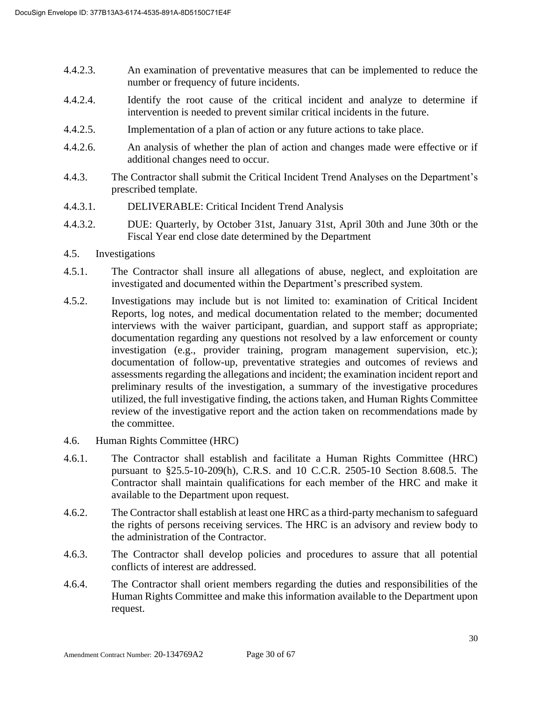- 4.4.2.3. An examination of preventative measures that can be implemented to reduce the number or frequency of future incidents.
- 4.4.2.4. Identify the root cause of the critical incident and analyze to determine if intervention is needed to prevent similar critical incidents in the future.
- 4.4.2.5. Implementation of a plan of action or any future actions to take place.
- 4.4.2.6. An analysis of whether the plan of action and changes made were effective or if additional changes need to occur.
- 4.4.3. The Contractor shall submit the Critical Incident Trend Analyses on the Department's prescribed template.
- 4.4.3.1. DELIVERABLE: Critical Incident Trend Analysis
- 4.4.3.2. DUE: Quarterly, by October 31st, January 31st, April 30th and June 30th or the Fiscal Year end close date determined by the Department
- 4.5. Investigations
- 4.5.1. The Contractor shall insure all allegations of abuse, neglect, and exploitation are investigated and documented within the Department's prescribed system.
- 4.5.2. Investigations may include but is not limited to: examination of Critical Incident Reports, log notes, and medical documentation related to the member; documented interviews with the waiver participant, guardian, and support staff as appropriate; documentation regarding any questions not resolved by a law enforcement or county investigation (e.g., provider training, program management supervision, etc.); documentation of follow-up, preventative strategies and outcomes of reviews and assessments regarding the allegations and incident; the examination incident report and preliminary results of the investigation, a summary of the investigative procedures utilized, the full investigative finding, the actions taken, and Human Rights Committee review of the investigative report and the action taken on recommendations made by the committee.
- 4.6. Human Rights Committee (HRC)
- 4.6.1. The Contractor shall establish and facilitate a Human Rights Committee (HRC) pursuant to §25.5-10-209(h), C.R.S. and 10 C.C.R. 2505-10 Section 8.608.5. The Contractor shall maintain qualifications for each member of the HRC and make it available to the Department upon request.
- 4.6.2. The Contractor shall establish at least one HRC as a third-party mechanism to safeguard the rights of persons receiving services. The HRC is an advisory and review body to the administration of the Contractor.
- 4.6.3. The Contractor shall develop policies and procedures to assure that all potential conflicts of interest are addressed.
- 4.6.4. The Contractor shall orient members regarding the duties and responsibilities of the Human Rights Committee and make this information available to the Department upon request.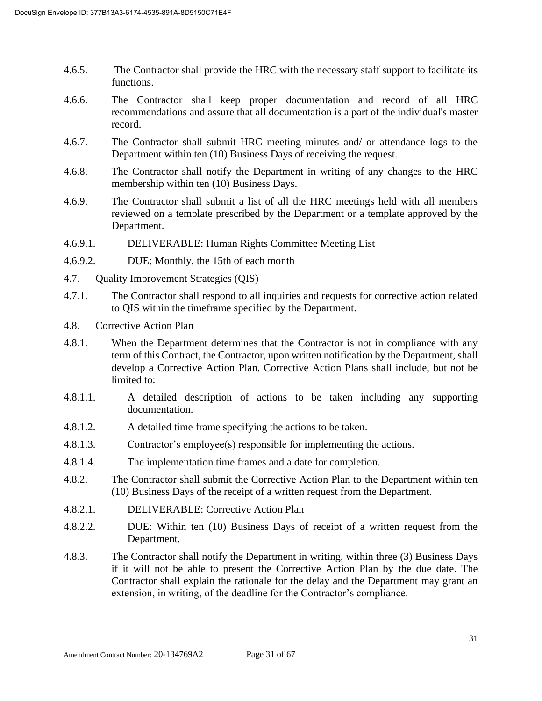- 4.6.5. The Contractor shall provide the HRC with the necessary staff support to facilitate its functions.
- 4.6.6. The Contractor shall keep proper documentation and record of all HRC recommendations and assure that all documentation is a part of the individual's master record.
- 4.6.7. The Contractor shall submit HRC meeting minutes and/ or attendance logs to the Department within ten (10) Business Days of receiving the request.
- 4.6.8. The Contractor shall notify the Department in writing of any changes to the HRC membership within ten (10) Business Days.
- 4.6.9. The Contractor shall submit a list of all the HRC meetings held with all members reviewed on a template prescribed by the Department or a template approved by the Department.
- 4.6.9.1. DELIVERABLE: Human Rights Committee Meeting List
- 4.6.9.2. DUE: Monthly, the 15th of each month
- 4.7. Quality Improvement Strategies (QIS)
- 4.7.1. The Contractor shall respond to all inquiries and requests for corrective action related to QIS within the timeframe specified by the Department.
- 4.8. Corrective Action Plan
- 4.8.1. When the Department determines that the Contractor is not in compliance with any term of this Contract, the Contractor, upon written notification by the Department, shall develop a Corrective Action Plan. Corrective Action Plans shall include, but not be limited to:
- 4.8.1.1. A detailed description of actions to be taken including any supporting documentation.
- 4.8.1.2. A detailed time frame specifying the actions to be taken.
- 4.8.1.3. Contractor's employee(s) responsible for implementing the actions.
- 4.8.1.4. The implementation time frames and a date for completion.
- 4.8.2. The Contractor shall submit the Corrective Action Plan to the Department within ten (10) Business Days of the receipt of a written request from the Department.
- 4.8.2.1. DELIVERABLE: Corrective Action Plan
- 4.8.2.2. DUE: Within ten (10) Business Days of receipt of a written request from the Department.
- 4.8.3. The Contractor shall notify the Department in writing, within three (3) Business Days if it will not be able to present the Corrective Action Plan by the due date. The Contractor shall explain the rationale for the delay and the Department may grant an extension, in writing, of the deadline for the Contractor's compliance.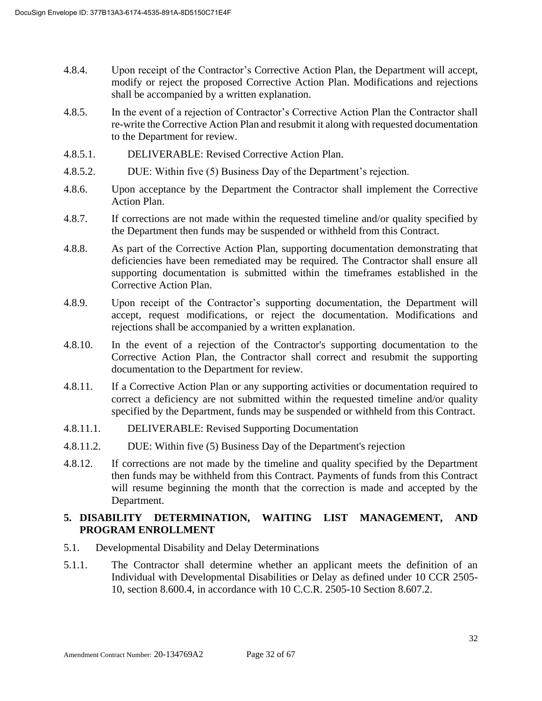- 4.8.4. Upon receipt of the Contractor's Corrective Action Plan, the Department will accept, modify or reject the proposed Corrective Action Plan. Modifications and rejections shall be accompanied by a written explanation.
- 4.8.5. In the event of a rejection of Contractor's Corrective Action Plan the Contractor shall re-write the Corrective Action Plan and resubmit it along with requested documentation to the Department for review.
- 4.8.5.1. DELIVERABLE: Revised Corrective Action Plan.
- 4.8.5.2. DUE: Within five (5) Business Day of the Department's rejection.
- 4.8.6. Upon acceptance by the Department the Contractor shall implement the Corrective Action Plan.
- 4.8.7. If corrections are not made within the requested timeline and/or quality specified by the Department then funds may be suspended or withheld from this Contract.
- 4.8.8. As part of the Corrective Action Plan, supporting documentation demonstrating that deficiencies have been remediated may be required. The Contractor shall ensure all supporting documentation is submitted within the timeframes established in the Corrective Action Plan.
- 4.8.9. Upon receipt of the Contractor's supporting documentation, the Department will accept, request modifications, or reject the documentation. Modifications and rejections shall be accompanied by a written explanation.
- 4.8.10. In the event of a rejection of the Contractor's supporting documentation to the Corrective Action Plan, the Contractor shall correct and resubmit the supporting documentation to the Department for review.
- 4.8.11. If a Corrective Action Plan or any supporting activities or documentation required to correct a deficiency are not submitted within the requested timeline and/or quality specified by the Department, funds may be suspended or withheld from this Contract.
- 4.8.11.1. DELIVERABLE: Revised Supporting Documentation
- 4.8.11.2. DUE: Within five (5) Business Day of the Department's rejection
- 4.8.12. If corrections are not made by the timeline and quality specified by the Department then funds may be withheld from this Contract. Payments of funds from this Contract will resume beginning the month that the correction is made and accepted by the Department.

## **5. DISABILITY DETERMINATION, WAITING LIST MANAGEMENT, AND PROGRAM ENROLLMENT**

- 5.1. Developmental Disability and Delay Determinations
- 5.1.1. The Contractor shall determine whether an applicant meets the definition of an Individual with Developmental Disabilities or Delay as defined under 10 CCR 2505- 10, section 8.600.4, in accordance with 10 C.C.R. 2505-10 Section 8.607.2.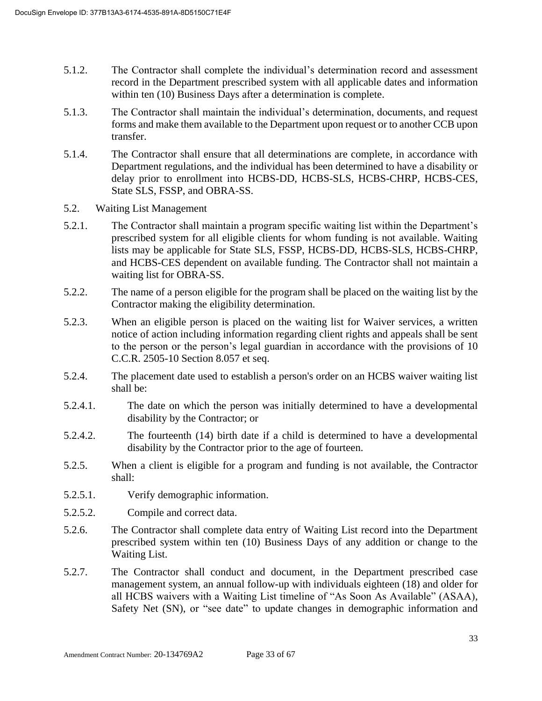- 5.1.2. The Contractor shall complete the individual's determination record and assessment record in the Department prescribed system with all applicable dates and information within ten (10) Business Days after a determination is complete.
- 5.1.3. The Contractor shall maintain the individual's determination, documents, and request forms and make them available to the Department upon request or to another CCB upon transfer.
- 5.1.4. The Contractor shall ensure that all determinations are complete, in accordance with Department regulations, and the individual has been determined to have a disability or delay prior to enrollment into HCBS-DD, HCBS-SLS, HCBS-CHRP, HCBS-CES, State SLS, FSSP, and OBRA-SS.
- 5.2. Waiting List Management
- 5.2.1. The Contractor shall maintain a program specific waiting list within the Department's prescribed system for all eligible clients for whom funding is not available. Waiting lists may be applicable for State SLS, FSSP, HCBS-DD, HCBS-SLS, HCBS-CHRP, and HCBS-CES dependent on available funding. The Contractor shall not maintain a waiting list for OBRA-SS.
- 5.2.2. The name of a person eligible for the program shall be placed on the waiting list by the Contractor making the eligibility determination.
- 5.2.3. When an eligible person is placed on the waiting list for Waiver services, a written notice of action including information regarding client rights and appeals shall be sent to the person or the person's legal guardian in accordance with the provisions of 10 C.C.R. 2505-10 Section 8.057 et seq.
- 5.2.4. The placement date used to establish a person's order on an HCBS waiver waiting list shall be:
- 5.2.4.1. The date on which the person was initially determined to have a developmental disability by the Contractor; or
- 5.2.4.2. The fourteenth (14) birth date if a child is determined to have a developmental disability by the Contractor prior to the age of fourteen.
- 5.2.5. When a client is eligible for a program and funding is not available, the Contractor shall:
- 5.2.5.1. Verify demographic information.
- 5.2.5.2. Compile and correct data.
- 5.2.6. The Contractor shall complete data entry of Waiting List record into the Department prescribed system within ten (10) Business Days of any addition or change to the Waiting List.
- 5.2.7. The Contractor shall conduct and document, in the Department prescribed case management system, an annual follow-up with individuals eighteen (18) and older for all HCBS waivers with a Waiting List timeline of "As Soon As Available" (ASAA), Safety Net (SN), or "see date" to update changes in demographic information and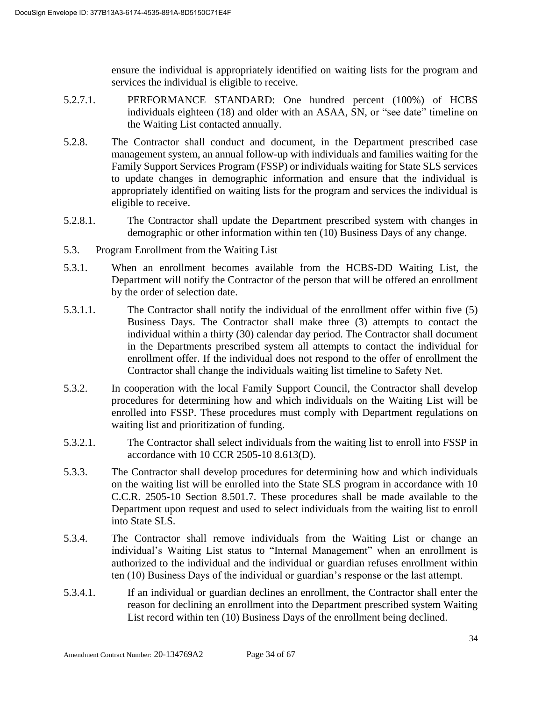ensure the individual is appropriately identified on waiting lists for the program and services the individual is eligible to receive.

- 5.2.7.1. PERFORMANCE STANDARD: One hundred percent (100%) of HCBS individuals eighteen (18) and older with an ASAA, SN, or "see date" timeline on the Waiting List contacted annually.
- 5.2.8. The Contractor shall conduct and document, in the Department prescribed case management system, an annual follow-up with individuals and families waiting for the Family Support Services Program (FSSP) or individuals waiting for State SLS services to update changes in demographic information and ensure that the individual is appropriately identified on waiting lists for the program and services the individual is eligible to receive.
- 5.2.8.1. The Contractor shall update the Department prescribed system with changes in demographic or other information within ten (10) Business Days of any change.
- 5.3. Program Enrollment from the Waiting List
- 5.3.1. When an enrollment becomes available from the HCBS-DD Waiting List, the Department will notify the Contractor of the person that will be offered an enrollment by the order of selection date.
- 5.3.1.1. The Contractor shall notify the individual of the enrollment offer within five (5) Business Days. The Contractor shall make three (3) attempts to contact the individual within a thirty (30) calendar day period. The Contractor shall document in the Departments prescribed system all attempts to contact the individual for enrollment offer. If the individual does not respond to the offer of enrollment the Contractor shall change the individuals waiting list timeline to Safety Net.
- 5.3.2. In cooperation with the local Family Support Council, the Contractor shall develop procedures for determining how and which individuals on the Waiting List will be enrolled into FSSP. These procedures must comply with Department regulations on waiting list and prioritization of funding.
- 5.3.2.1. The Contractor shall select individuals from the waiting list to enroll into FSSP in accordance with 10 CCR 2505-10 8.613(D).
- 5.3.3. The Contractor shall develop procedures for determining how and which individuals on the waiting list will be enrolled into the State SLS program in accordance with 10 C.C.R. 2505-10 Section 8.501.7. These procedures shall be made available to the Department upon request and used to select individuals from the waiting list to enroll into State SLS.
- 5.3.4. The Contractor shall remove individuals from the Waiting List or change an individual's Waiting List status to "Internal Management" when an enrollment is authorized to the individual and the individual or guardian refuses enrollment within ten (10) Business Days of the individual or guardian's response or the last attempt.
- 5.3.4.1. If an individual or guardian declines an enrollment, the Contractor shall enter the reason for declining an enrollment into the Department prescribed system Waiting List record within ten (10) Business Days of the enrollment being declined.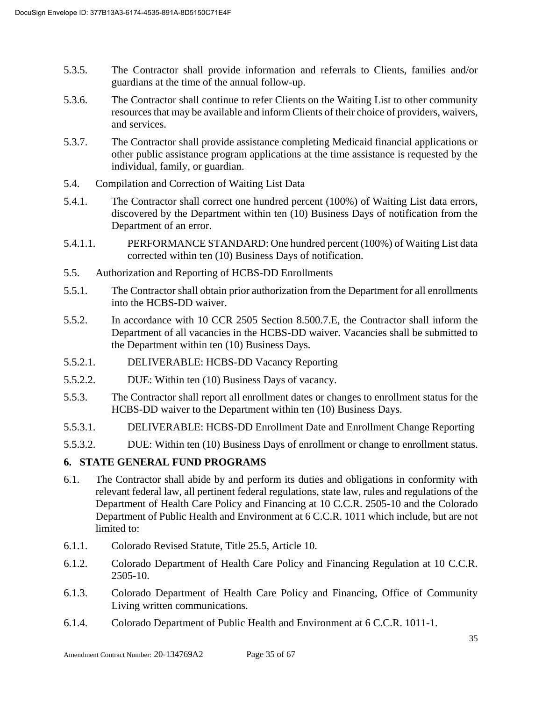- 5.3.5. The Contractor shall provide information and referrals to Clients, families and/or guardians at the time of the annual follow-up.
- 5.3.6. The Contractor shall continue to refer Clients on the Waiting List to other community resources that may be available and inform Clients of their choice of providers, waivers, and services.
- 5.3.7. The Contractor shall provide assistance completing Medicaid financial applications or other public assistance program applications at the time assistance is requested by the individual, family, or guardian.
- 5.4. Compilation and Correction of Waiting List Data
- 5.4.1. The Contractor shall correct one hundred percent (100%) of Waiting List data errors, discovered by the Department within ten (10) Business Days of notification from the Department of an error.
- 5.4.1.1. PERFORMANCE STANDARD: One hundred percent (100%) of Waiting List data corrected within ten (10) Business Days of notification.
- 5.5. Authorization and Reporting of HCBS-DD Enrollments
- 5.5.1. The Contractor shall obtain prior authorization from the Department for all enrollments into the HCBS-DD waiver.
- 5.5.2. In accordance with 10 CCR 2505 Section 8.500.7.E, the Contractor shall inform the Department of all vacancies in the HCBS-DD waiver. Vacancies shall be submitted to the Department within ten (10) Business Days.
- 5.5.2.1. DELIVERABLE: HCBS-DD Vacancy Reporting
- 5.5.2.2. DUE: Within ten (10) Business Days of vacancy.
- 5.5.3. The Contractor shall report all enrollment dates or changes to enrollment status for the HCBS-DD waiver to the Department within ten (10) Business Days.
- 5.5.3.1. DELIVERABLE: HCBS-DD Enrollment Date and Enrollment Change Reporting
- 5.5.3.2. DUE: Within ten (10) Business Days of enrollment or change to enrollment status.

#### **6. STATE GENERAL FUND PROGRAMS**

- 6.1. The Contractor shall abide by and perform its duties and obligations in conformity with relevant federal law, all pertinent federal regulations, state law, rules and regulations of the Department of Health Care Policy and Financing at 10 C.C.R. 2505-10 and the Colorado Department of Public Health and Environment at 6 C.C.R. 1011 which include, but are not limited to:
- 6.1.1. Colorado Revised Statute, Title 25.5, Article 10.
- 6.1.2. Colorado Department of Health Care Policy and Financing Regulation at 10 C.C.R. 2505-10.
- 6.1.3. Colorado Department of Health Care Policy and Financing, Office of Community Living written communications.
- 6.1.4. Colorado Department of Public Health and Environment at 6 C.C.R. 1011-1.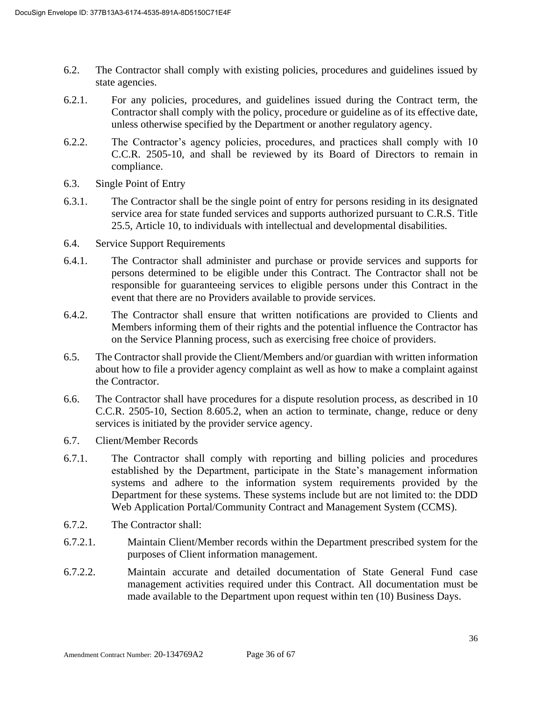- 6.2. The Contractor shall comply with existing policies, procedures and guidelines issued by state agencies.
- 6.2.1. For any policies, procedures, and guidelines issued during the Contract term, the Contractor shall comply with the policy, procedure or guideline as of its effective date, unless otherwise specified by the Department or another regulatory agency.
- 6.2.2. The Contractor's agency policies, procedures, and practices shall comply with 10 C.C.R. 2505-10, and shall be reviewed by its Board of Directors to remain in compliance.
- 6.3. Single Point of Entry
- 6.3.1. The Contractor shall be the single point of entry for persons residing in its designated service area for state funded services and supports authorized pursuant to C.R.S. Title 25.5, Article 10, to individuals with intellectual and developmental disabilities.
- 6.4. Service Support Requirements
- 6.4.1. The Contractor shall administer and purchase or provide services and supports for persons determined to be eligible under this Contract. The Contractor shall not be responsible for guaranteeing services to eligible persons under this Contract in the event that there are no Providers available to provide services.
- 6.4.2. The Contractor shall ensure that written notifications are provided to Clients and Members informing them of their rights and the potential influence the Contractor has on the Service Planning process, such as exercising free choice of providers.
- 6.5. The Contractor shall provide the Client/Members and/or guardian with written information about how to file a provider agency complaint as well as how to make a complaint against the Contractor.
- 6.6. The Contractor shall have procedures for a dispute resolution process, as described in 10 C.C.R. 2505-10, Section 8.605.2, when an action to terminate, change, reduce or deny services is initiated by the provider service agency.
- 6.7. Client/Member Records
- 6.7.1. The Contractor shall comply with reporting and billing policies and procedures established by the Department, participate in the State's management information systems and adhere to the information system requirements provided by the Department for these systems. These systems include but are not limited to: the DDD Web Application Portal/Community Contract and Management System (CCMS).
- 6.7.2. The Contractor shall:
- 6.7.2.1. Maintain Client/Member records within the Department prescribed system for the purposes of Client information management.
- 6.7.2.2. Maintain accurate and detailed documentation of State General Fund case management activities required under this Contract. All documentation must be made available to the Department upon request within ten (10) Business Days.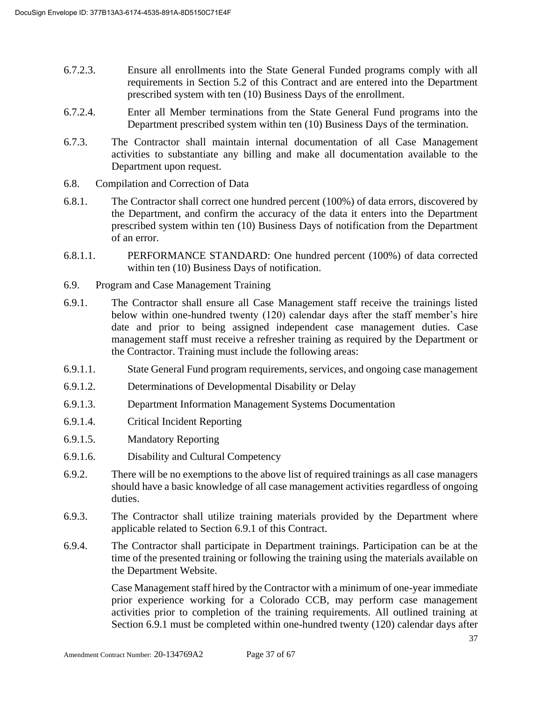- 6.7.2.3. Ensure all enrollments into the State General Funded programs comply with all requirements in Section 5.2 of this Contract and are entered into the Department prescribed system with ten (10) Business Days of the enrollment.
- 6.7.2.4. Enter all Member terminations from the State General Fund programs into the Department prescribed system within ten (10) Business Days of the termination.
- 6.7.3. The Contractor shall maintain internal documentation of all Case Management activities to substantiate any billing and make all documentation available to the Department upon request.
- 6.8. Compilation and Correction of Data
- 6.8.1. The Contractor shall correct one hundred percent (100%) of data errors, discovered by the Department, and confirm the accuracy of the data it enters into the Department prescribed system within ten (10) Business Days of notification from the Department of an error.
- 6.8.1.1. PERFORMANCE STANDARD: One hundred percent (100%) of data corrected within ten (10) Business Days of notification.
- 6.9. Program and Case Management Training
- 6.9.1. The Contractor shall ensure all Case Management staff receive the trainings listed below within one-hundred twenty (120) calendar days after the staff member's hire date and prior to being assigned independent case management duties. Case management staff must receive a refresher training as required by the Department or the Contractor. Training must include the following areas:
- 6.9.1.1. State General Fund program requirements, services, and ongoing case management
- 6.9.1.2. Determinations of Developmental Disability or Delay
- 6.9.1.3. Department Information Management Systems Documentation
- 6.9.1.4. Critical Incident Reporting
- 6.9.1.5. Mandatory Reporting
- 6.9.1.6. Disability and Cultural Competency
- 6.9.2. There will be no exemptions to the above list of required trainings as all case managers should have a basic knowledge of all case management activities regardless of ongoing duties.
- 6.9.3. The Contractor shall utilize training materials provided by the Department where applicable related to Section 6.9.1 of this Contract.
- 6.9.4. The Contractor shall participate in Department trainings. Participation can be at the time of the presented training or following the training using the materials available on the Department Website.

Case Management staff hired by the Contractor with a minimum of one-year immediate prior experience working for a Colorado CCB, may perform case management activities prior to completion of the training requirements. All outlined training at Section 6.9.1 must be completed within one-hundred twenty (120) calendar days after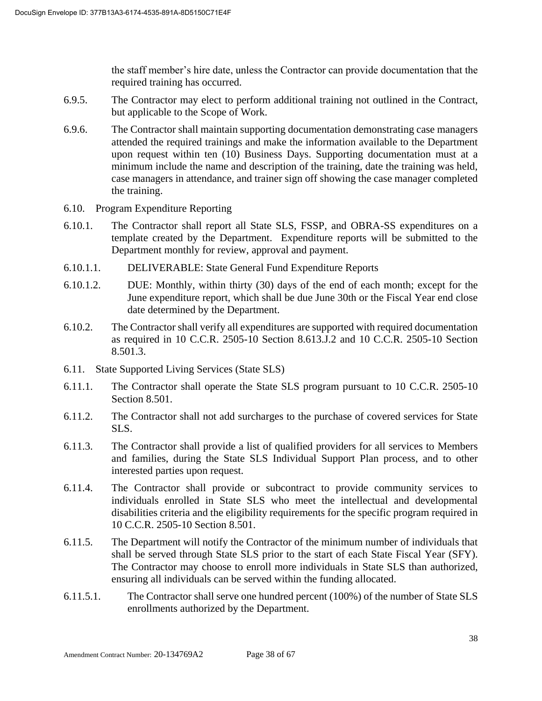the staff member's hire date, unless the Contractor can provide documentation that the required training has occurred.

- 6.9.5. The Contractor may elect to perform additional training not outlined in the Contract, but applicable to the Scope of Work.
- 6.9.6. The Contractor shall maintain supporting documentation demonstrating case managers attended the required trainings and make the information available to the Department upon request within ten (10) Business Days. Supporting documentation must at a minimum include the name and description of the training, date the training was held, case managers in attendance, and trainer sign off showing the case manager completed the training.
- 6.10. Program Expenditure Reporting
- 6.10.1. The Contractor shall report all State SLS, FSSP, and OBRA-SS expenditures on a template created by the Department. Expenditure reports will be submitted to the Department monthly for review, approval and payment.
- 6.10.1.1. DELIVERABLE: State General Fund Expenditure Reports
- 6.10.1.2. DUE: Monthly, within thirty (30) days of the end of each month; except for the June expenditure report, which shall be due June 30th or the Fiscal Year end close date determined by the Department.
- 6.10.2. The Contractor shall verify all expenditures are supported with required documentation as required in 10 C.C.R. 2505-10 Section 8.613.J.2 and 10 C.C.R. 2505-10 Section 8.501.3.
- 6.11. State Supported Living Services (State SLS)
- 6.11.1. The Contractor shall operate the State SLS program pursuant to 10 C.C.R. 2505-10 Section 8.501.
- 6.11.2. The Contractor shall not add surcharges to the purchase of covered services for State SLS.
- 6.11.3. The Contractor shall provide a list of qualified providers for all services to Members and families, during the State SLS Individual Support Plan process, and to other interested parties upon request.
- 6.11.4. The Contractor shall provide or subcontract to provide community services to individuals enrolled in State SLS who meet the intellectual and developmental disabilities criteria and the eligibility requirements for the specific program required in 10 C.C.R. 2505-10 Section 8.501.
- 6.11.5. The Department will notify the Contractor of the minimum number of individuals that shall be served through State SLS prior to the start of each State Fiscal Year (SFY). The Contractor may choose to enroll more individuals in State SLS than authorized, ensuring all individuals can be served within the funding allocated.
- 6.11.5.1. The Contractor shall serve one hundred percent (100%) of the number of State SLS enrollments authorized by the Department.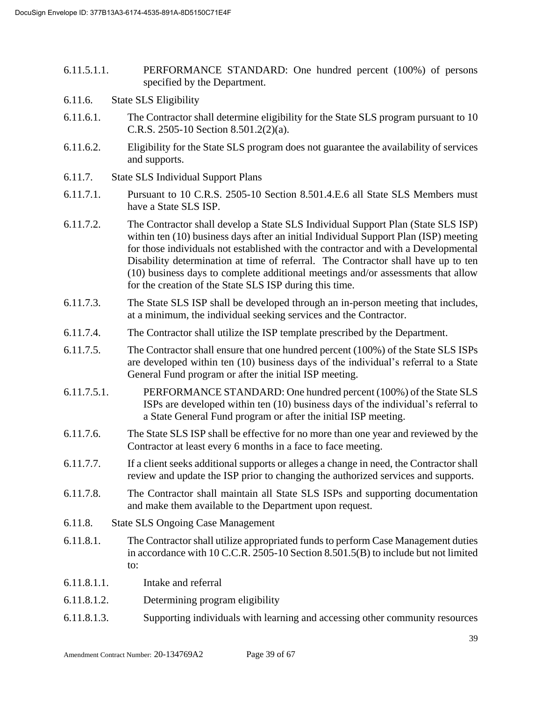- 6.11.5.1.1. PERFORMANCE STANDARD: One hundred percent (100%) of persons specified by the Department.
- 6.11.6. State SLS Eligibility
- 6.11.6.1. The Contractor shall determine eligibility for the State SLS program pursuant to 10 C.R.S. 2505-10 Section 8.501.2(2)(a).
- 6.11.6.2. Eligibility for the State SLS program does not guarantee the availability of services and supports.
- 6.11.7. State SLS Individual Support Plans
- 6.11.7.1. Pursuant to 10 C.R.S. 2505-10 Section 8.501.4.E.6 all State SLS Members must have a State SLS ISP.
- 6.11.7.2. The Contractor shall develop a State SLS Individual Support Plan (State SLS ISP) within ten (10) business days after an initial Individual Support Plan (ISP) meeting for those individuals not established with the contractor and with a Developmental Disability determination at time of referral. The Contractor shall have up to ten (10) business days to complete additional meetings and/or assessments that allow for the creation of the State SLS ISP during this time.
- 6.11.7.3. The State SLS ISP shall be developed through an in-person meeting that includes, at a minimum, the individual seeking services and the Contractor.
- 6.11.7.4. The Contractor shall utilize the ISP template prescribed by the Department.
- 6.11.7.5. The Contractor shall ensure that one hundred percent (100%) of the State SLS ISPs are developed within ten (10) business days of the individual's referral to a State General Fund program or after the initial ISP meeting.
- 6.11.7.5.1. PERFORMANCE STANDARD: One hundred percent (100%) of the State SLS ISPs are developed within ten (10) business days of the individual's referral to a State General Fund program or after the initial ISP meeting.
- 6.11.7.6. The State SLS ISP shall be effective for no more than one year and reviewed by the Contractor at least every 6 months in a face to face meeting.
- 6.11.7.7. If a client seeks additional supports or alleges a change in need, the Contractor shall review and update the ISP prior to changing the authorized services and supports.
- 6.11.7.8. The Contractor shall maintain all State SLS ISPs and supporting documentation and make them available to the Department upon request.
- 6.11.8. State SLS Ongoing Case Management
- 6.11.8.1. The Contractor shall utilize appropriated funds to perform Case Management duties in accordance with 10 C.C.R. 2505-10 Section 8.501.5(B) to include but not limited to:
- 6.11.8.1.1. Intake and referral
- 6.11.8.1.2. Determining program eligibility
- 6.11.8.1.3. Supporting individuals with learning and accessing other community resources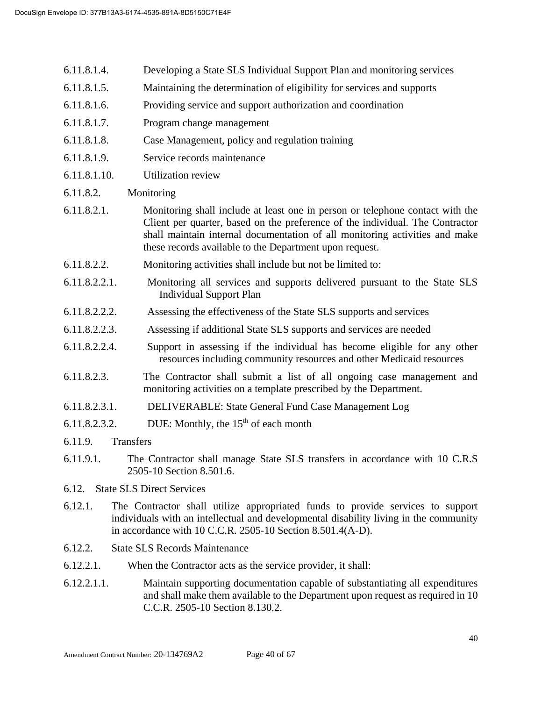- 6.11.8.1.4. Developing a State SLS Individual Support Plan and monitoring services
- 6.11.8.1.5. Maintaining the determination of eligibility for services and supports
- 6.11.8.1.6. Providing service and support authorization and coordination
- 6.11.8.1.7. Program change management
- 6.11.8.1.8. Case Management, policy and regulation training
- 6.11.8.1.9. Service records maintenance
- 6.11.8.1.10. Utilization review
- 6.11.8.2. Monitoring
- 6.11.8.2.1. Monitoring shall include at least one in person or telephone contact with the Client per quarter, based on the preference of the individual. The Contractor shall maintain internal documentation of all monitoring activities and make these records available to the Department upon request.
- 6.11.8.2.2. Monitoring activities shall include but not be limited to:
- 6.11.8.2.2.1. Monitoring all services and supports delivered pursuant to the State SLS Individual Support Plan
- 6.11.8.2.2.2. Assessing the effectiveness of the State SLS supports and services
- 6.11.8.2.2.3. Assessing if additional State SLS supports and services are needed
- 6.11.8.2.2.4. Support in assessing if the individual has become eligible for any other resources including community resources and other Medicaid resources
- 6.11.8.2.3. The Contractor shall submit a list of all ongoing case management and monitoring activities on a template prescribed by the Department.
- 6.11.8.2.3.1. DELIVERABLE: State General Fund Case Management Log
- 6.11.8.2.3.2. DUE: Monthly, the  $15<sup>th</sup>$  of each month
- 6.11.9. Transfers
- 6.11.9.1. The Contractor shall manage State SLS transfers in accordance with 10 C.R.S 2505-10 Section 8.501.6.
- 6.12. State SLS Direct Services
- 6.12.1. The Contractor shall utilize appropriated funds to provide services to support individuals with an intellectual and developmental disability living in the community in accordance with 10 C.C.R. 2505-10 Section 8.501.4(A-D).
- 6.12.2. State SLS Records Maintenance
- 6.12.2.1. When the Contractor acts as the service provider, it shall:
- 6.12.2.1.1. Maintain supporting documentation capable of substantiating all expenditures and shall make them available to the Department upon request as required in 10 C.C.R. 2505-10 Section 8.130.2.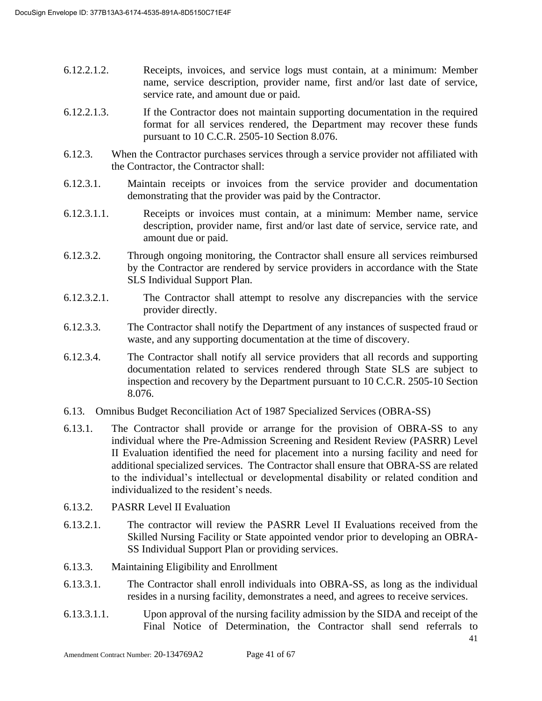- 6.12.2.1.2. Receipts, invoices, and service logs must contain, at a minimum: Member name, service description, provider name, first and/or last date of service, service rate, and amount due or paid.
- 6.12.2.1.3. If the Contractor does not maintain supporting documentation in the required format for all services rendered, the Department may recover these funds pursuant to 10 C.C.R. 2505-10 Section 8.076.
- 6.12.3. When the Contractor purchases services through a service provider not affiliated with the Contractor, the Contractor shall:
- 6.12.3.1. Maintain receipts or invoices from the service provider and documentation demonstrating that the provider was paid by the Contractor.
- 6.12.3.1.1. Receipts or invoices must contain, at a minimum: Member name, service description, provider name, first and/or last date of service, service rate, and amount due or paid.
- 6.12.3.2. Through ongoing monitoring, the Contractor shall ensure all services reimbursed by the Contractor are rendered by service providers in accordance with the State SLS Individual Support Plan.
- 6.12.3.2.1. The Contractor shall attempt to resolve any discrepancies with the service provider directly.
- 6.12.3.3. The Contractor shall notify the Department of any instances of suspected fraud or waste, and any supporting documentation at the time of discovery.
- 6.12.3.4. The Contractor shall notify all service providers that all records and supporting documentation related to services rendered through State SLS are subject to inspection and recovery by the Department pursuant to 10 C.C.R. 2505-10 Section 8.076.
- 6.13. Omnibus Budget Reconciliation Act of 1987 Specialized Services (OBRA**-**SS)
- 6.13.1. The Contractor shall provide or arrange for the provision of OBRA-SS to any individual where the Pre-Admission Screening and Resident Review (PASRR) Level II Evaluation identified the need for placement into a nursing facility and need for additional specialized services. The Contractor shall ensure that OBRA-SS are related to the individual's intellectual or developmental disability or related condition and individualized to the resident's needs.
- 6.13.2. PASRR Level II Evaluation
- 6.13.2.1. The contractor will review the PASRR Level II Evaluations received from the Skilled Nursing Facility or State appointed vendor prior to developing an OBRA-SS Individual Support Plan or providing services.
- 6.13.3. Maintaining Eligibility and Enrollment
- 6.13.3.1. The Contractor shall enroll individuals into OBRA-SS, as long as the individual resides in a nursing facility, demonstrates a need, and agrees to receive services.
- 6.13.3.1.1. Upon approval of the nursing facility admission by the SIDA and receipt of the Final Notice of Determination, the Contractor shall send referrals to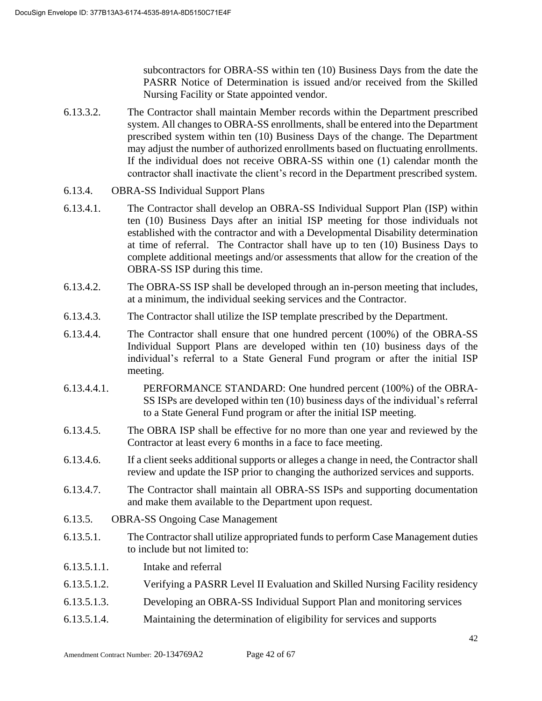subcontractors for OBRA-SS within ten (10) Business Days from the date the PASRR Notice of Determination is issued and/or received from the Skilled Nursing Facility or State appointed vendor.

- 6.13.3.2. The Contractor shall maintain Member records within the Department prescribed system. All changes to OBRA-SS enrollments, shall be entered into the Department prescribed system within ten (10) Business Days of the change. The Department may adjust the number of authorized enrollments based on fluctuating enrollments. If the individual does not receive OBRA-SS within one (1) calendar month the contractor shall inactivate the client's record in the Department prescribed system.
- 6.13.4. OBRA-SS Individual Support Plans
- 6.13.4.1. The Contractor shall develop an OBRA-SS Individual Support Plan (ISP) within ten (10) Business Days after an initial ISP meeting for those individuals not established with the contractor and with a Developmental Disability determination at time of referral. The Contractor shall have up to ten (10) Business Days to complete additional meetings and/or assessments that allow for the creation of the OBRA-SS ISP during this time.
- 6.13.4.2. The OBRA-SS ISP shall be developed through an in-person meeting that includes, at a minimum, the individual seeking services and the Contractor.
- 6.13.4.3. The Contractor shall utilize the ISP template prescribed by the Department.
- 6.13.4.4. The Contractor shall ensure that one hundred percent (100%) of the OBRA-SS Individual Support Plans are developed within ten (10) business days of the individual's referral to a State General Fund program or after the initial ISP meeting.
- 6.13.4.4.1. PERFORMANCE STANDARD: One hundred percent (100%) of the OBRA-SS ISPs are developed within ten (10) business days of the individual's referral to a State General Fund program or after the initial ISP meeting.
- 6.13.4.5. The OBRA ISP shall be effective for no more than one year and reviewed by the Contractor at least every 6 months in a face to face meeting.
- 6.13.4.6. If a client seeks additional supports or alleges a change in need, the Contractor shall review and update the ISP prior to changing the authorized services and supports.
- 6.13.4.7. The Contractor shall maintain all OBRA-SS ISPs and supporting documentation and make them available to the Department upon request.
- 6.13.5. OBRA-SS Ongoing Case Management
- 6.13.5.1. The Contractor shall utilize appropriated funds to perform Case Management duties to include but not limited to:
- 6.13.5.1.1. Intake and referral
- 6.13.5.1.2. Verifying a PASRR Level II Evaluation and Skilled Nursing Facility residency
- 6.13.5.1.3. Developing an OBRA-SS Individual Support Plan and monitoring services
- 6.13.5.1.4. Maintaining the determination of eligibility for services and supports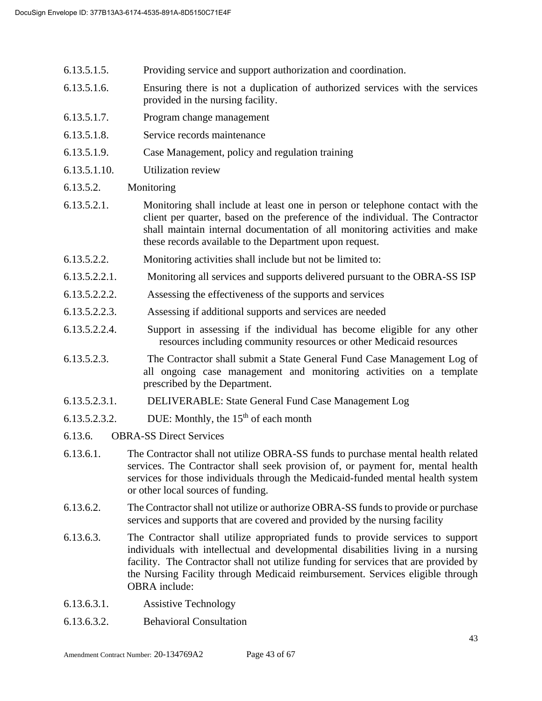- 6.13.5.1.5. Providing service and support authorization and coordination.
- 6.13.5.1.6. Ensuring there is not a duplication of authorized services with the services provided in the nursing facility.
- 6.13.5.1.7. Program change management
- 6.13.5.1.8. Service records maintenance
- 6.13.5.1.9. Case Management, policy and regulation training
- 6.13.5.1.10. Utilization review
- 6.13.5.2. Monitoring
- 6.13.5.2.1. Monitoring shall include at least one in person or telephone contact with the client per quarter, based on the preference of the individual. The Contractor shall maintain internal documentation of all monitoring activities and make these records available to the Department upon request.
- 6.13.5.2.2. Monitoring activities shall include but not be limited to:
- 6.13.5.2.2.1. Monitoring all services and supports delivered pursuant to the OBRA-SS ISP
- 6.13.5.2.2.2. Assessing the effectiveness of the supports and services
- 6.13.5.2.2.3. Assessing if additional supports and services are needed
- 6.13.5.2.2.4. Support in assessing if the individual has become eligible for any other resources including community resources or other Medicaid resources
- 6.13.5.2.3. The Contractor shall submit a State General Fund Case Management Log of all ongoing case management and monitoring activities on a template prescribed by the Department.
- 6.13.5.2.3.1. DELIVERABLE: State General Fund Case Management Log
- 6.13.5.2.3.2. DUE: Monthly, the  $15<sup>th</sup>$  of each month
- 6.13.6. OBRA-SS Direct Services
- 6.13.6.1. The Contractor shall not utilize OBRA-SS funds to purchase mental health related services. The Contractor shall seek provision of, or payment for, mental health services for those individuals through the Medicaid-funded mental health system or other local sources of funding.
- 6.13.6.2. The Contractor shall not utilize or authorize OBRA-SS funds to provide or purchase services and supports that are covered and provided by the nursing facility
- 6.13.6.3. The Contractor shall utilize appropriated funds to provide services to support individuals with intellectual and developmental disabilities living in a nursing facility. The Contractor shall not utilize funding for services that are provided by the Nursing Facility through Medicaid reimbursement. Services eligible through OBRA include:
- 6.13.6.3.1. Assistive Technology
- 6.13.6.3.2. Behavioral Consultation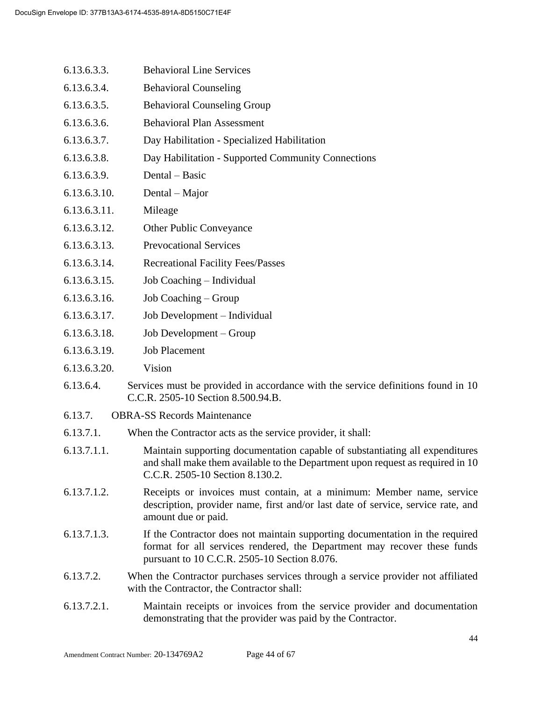- 6.13.6.3.3. Behavioral Line Services
- 6.13.6.3.4. Behavioral Counseling
- 6.13.6.3.5. Behavioral Counseling Group
- 6.13.6.3.6. Behavioral Plan Assessment
- 6.13.6.3.7. Day Habilitation Specialized Habilitation
- 6.13.6.3.8. Day Habilitation Supported Community Connections
- 6.13.6.3.9. Dental Basic
- 6.13.6.3.10. Dental Major
- 6.13.6.3.11. Mileage
- 6.13.6.3.12. Other Public Conveyance
- 6.13.6.3.13. Prevocational Services
- 6.13.6.3.14. Recreational Facility Fees/Passes
- 6.13.6.3.15. Job Coaching Individual
- 6.13.6.3.16. Job Coaching Group
- 6.13.6.3.17. Job Development Individual
- 6.13.6.3.18. Job Development Group
- 6.13.6.3.19. Job Placement
- 6.13.6.3.20. Vision
- 6.13.6.4. Services must be provided in accordance with the service definitions found in 10 C.C.R. 2505-10 Section 8.500.94.B.
- 6.13.7. OBRA-SS Records Maintenance
- 6.13.7.1. When the Contractor acts as the service provider, it shall:
- 6.13.7.1.1. Maintain supporting documentation capable of substantiating all expenditures and shall make them available to the Department upon request as required in 10 C.C.R. 2505-10 Section 8.130.2.
- 6.13.7.1.2. Receipts or invoices must contain, at a minimum: Member name, service description, provider name, first and/or last date of service, service rate, and amount due or paid.
- 6.13.7.1.3. If the Contractor does not maintain supporting documentation in the required format for all services rendered, the Department may recover these funds pursuant to 10 C.C.R. 2505-10 Section 8.076.
- 6.13.7.2. When the Contractor purchases services through a service provider not affiliated with the Contractor, the Contractor shall:
- 6.13.7.2.1. Maintain receipts or invoices from the service provider and documentation demonstrating that the provider was paid by the Contractor.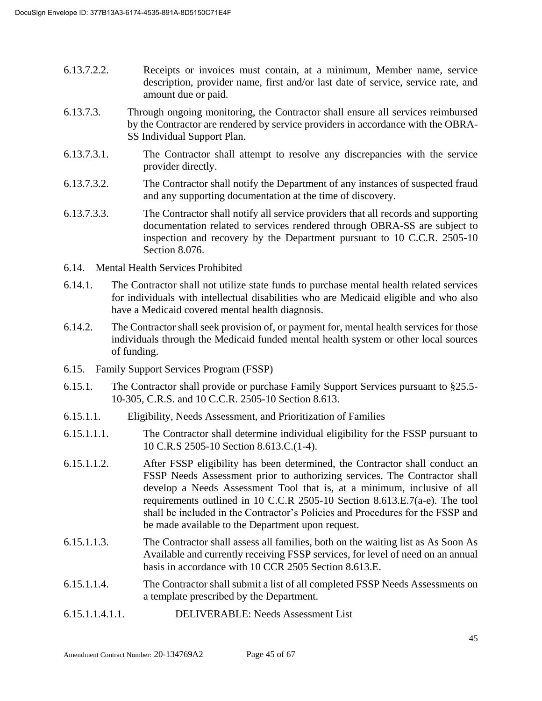- 6.13.7.2.2. Receipts or invoices must contain, at a minimum, Member name, service description, provider name, first and/or last date of service, service rate, and amount due or paid.
- 6.13.7.3. Through ongoing monitoring, the Contractor shall ensure all services reimbursed by the Contractor are rendered by service providers in accordance with the OBRA-SS Individual Support Plan.
- 6.13.7.3.1. The Contractor shall attempt to resolve any discrepancies with the service provider directly.
- 6.13.7.3.2. The Contractor shall notify the Department of any instances of suspected fraud and any supporting documentation at the time of discovery.
- 6.13.7.3.3. The Contractor shall notify all service providers that all records and supporting documentation related to services rendered through OBRA-SS are subject to inspection and recovery by the Department pursuant to 10 C.C.R. 2505-10 Section 8.076.
- 6.14. Mental Health Services Prohibited
- 6.14.1. The Contractor shall not utilize state funds to purchase mental health related services for individuals with intellectual disabilities who are Medicaid eligible and who also have a Medicaid covered mental health diagnosis.
- 6.14.2. The Contractor shall seek provision of, or payment for, mental health services for those individuals through the Medicaid funded mental health system or other local sources of funding.
- 6.15. Family Support Services Program (FSSP)
- 6.15.1. The Contractor shall provide or purchase Family Support Services pursuant to §25.5- 10-305, C.R.S. and 10 C.C.R. 2505-10 Section 8.613.
- 6.15.1.1. Eligibility, Needs Assessment, and Prioritization of Families
- 6.15.1.1.1. The Contractor shall determine individual eligibility for the FSSP pursuant to 10 C.R.S 2505-10 Section 8.613.C.(1-4).
- 6.15.1.1.2. After FSSP eligibility has been determined, the Contractor shall conduct an FSSP Needs Assessment prior to authorizing services. The Contractor shall develop a Needs Assessment Tool that is, at a minimum, inclusive of all requirements outlined in 10 C.C.R 2505-10 Section 8.613.E.7(a-e). The tool shall be included in the Contractor's Policies and Procedures for the FSSP and be made available to the Department upon request.
- 6.15.1.1.3. The Contractor shall assess all families, both on the waiting list as As Soon As Available and currently receiving FSSP services, for level of need on an annual basis in accordance with 10 CCR 2505 Section 8.613.E.
- 6.15.1.1.4. The Contractor shall submit a list of all completed FSSP Needs Assessments on a template prescribed by the Department.
- 6.15.1.1.4.1.1. DELIVERABLE: Needs Assessment List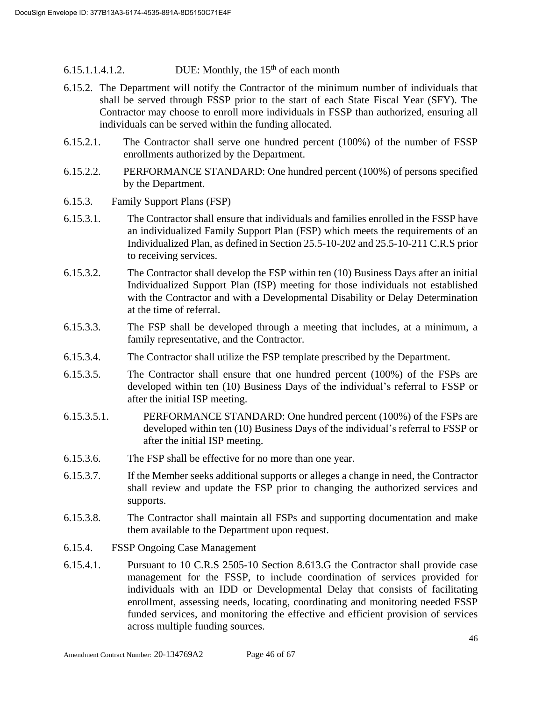6.15.1.1.4.1.2. DUE: Monthly, the  $15<sup>th</sup>$  of each month

- 6.15.2. The Department will notify the Contractor of the minimum number of individuals that shall be served through FSSP prior to the start of each State Fiscal Year (SFY). The Contractor may choose to enroll more individuals in FSSP than authorized, ensuring all individuals can be served within the funding allocated.
- 6.15.2.1. The Contractor shall serve one hundred percent (100%) of the number of FSSP enrollments authorized by the Department.
- 6.15.2.2. PERFORMANCE STANDARD: One hundred percent (100%) of persons specified by the Department.
- 6.15.3. Family Support Plans (FSP)
- 6.15.3.1. The Contractor shall ensure that individuals and families enrolled in the FSSP have an individualized Family Support Plan (FSP) which meets the requirements of an Individualized Plan, as defined in Section 25.5-10-202 and 25.5-10-211 C.R.S prior to receiving services.
- 6.15.3.2. The Contractor shall develop the FSP within ten (10) Business Days after an initial Individualized Support Plan (ISP) meeting for those individuals not established with the Contractor and with a Developmental Disability or Delay Determination at the time of referral.
- 6.15.3.3. The FSP shall be developed through a meeting that includes, at a minimum, a family representative, and the Contractor.
- 6.15.3.4. The Contractor shall utilize the FSP template prescribed by the Department.
- 6.15.3.5. The Contractor shall ensure that one hundred percent (100%) of the FSPs are developed within ten (10) Business Days of the individual's referral to FSSP or after the initial ISP meeting.
- 6.15.3.5.1. PERFORMANCE STANDARD: One hundred percent (100%) of the FSPs are developed within ten (10) Business Days of the individual's referral to FSSP or after the initial ISP meeting.
- 6.15.3.6. The FSP shall be effective for no more than one year.
- 6.15.3.7. If the Member seeks additional supports or alleges a change in need, the Contractor shall review and update the FSP prior to changing the authorized services and supports.
- 6.15.3.8. The Contractor shall maintain all FSPs and supporting documentation and make them available to the Department upon request.
- 6.15.4. FSSP Ongoing Case Management
- 6.15.4.1. Pursuant to 10 C.R.S 2505-10 Section 8.613.G the Contractor shall provide case management for the FSSP, to include coordination of services provided for individuals with an IDD or Developmental Delay that consists of facilitating enrollment, assessing needs, locating, coordinating and monitoring needed FSSP funded services, and monitoring the effective and efficient provision of services across multiple funding sources.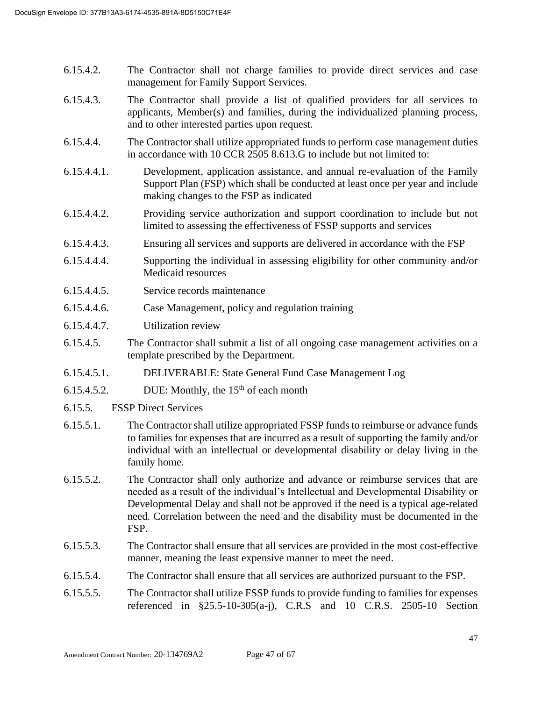- 6.15.4.2. The Contractor shall not charge families to provide direct services and case management for Family Support Services.
- 6.15.4.3. The Contractor shall provide a list of qualified providers for all services to applicants, Member(s) and families, during the individualized planning process, and to other interested parties upon request.
- 6.15.4.4. The Contractor shall utilize appropriated funds to perform case management duties in accordance with 10 CCR 2505 8.613.G to include but not limited to:
- 6.15.4.4.1. Development, application assistance, and annual re-evaluation of the Family Support Plan (FSP) which shall be conducted at least once per year and include making changes to the FSP as indicated
- 6.15.4.4.2. Providing service authorization and support coordination to include but not limited to assessing the effectiveness of FSSP supports and services
- 6.15.4.4.3. Ensuring all services and supports are delivered in accordance with the FSP
- 6.15.4.4.4. Supporting the individual in assessing eligibility for other community and/or Medicaid resources
- 6.15.4.4.5. Service records maintenance
- 6.15.4.4.6. Case Management, policy and regulation training
- 6.15.4.4.7. Utilization review
- 6.15.4.5. The Contractor shall submit a list of all ongoing case management activities on a template prescribed by the Department.
- 6.15.4.5.1. DELIVERABLE: State General Fund Case Management Log
- 6.15.4.5.2. DUE: Monthly, the  $15<sup>th</sup>$  of each month
- 6.15.5. FSSP Direct Services
- 6.15.5.1. The Contractor shall utilize appropriated FSSP funds to reimburse or advance funds to families for expenses that are incurred as a result of supporting the family and/or individual with an intellectual or developmental disability or delay living in the family home.
- 6.15.5.2. The Contractor shall only authorize and advance or reimburse services that are needed as a result of the individual's Intellectual and Developmental Disability or Developmental Delay and shall not be approved if the need is a typical age-related need. Correlation between the need and the disability must be documented in the FSP.
- 6.15.5.3. The Contractor shall ensure that all services are provided in the most cost-effective manner, meaning the least expensive manner to meet the need.
- 6.15.5.4. The Contractor shall ensure that all services are authorized pursuant to the FSP.
- 6.15.5.5. The Contractor shall utilize FSSP funds to provide funding to families for expenses referenced in §25.5-10-305(a-j), C.R.S and 10 C.R.S. 2505-10 Section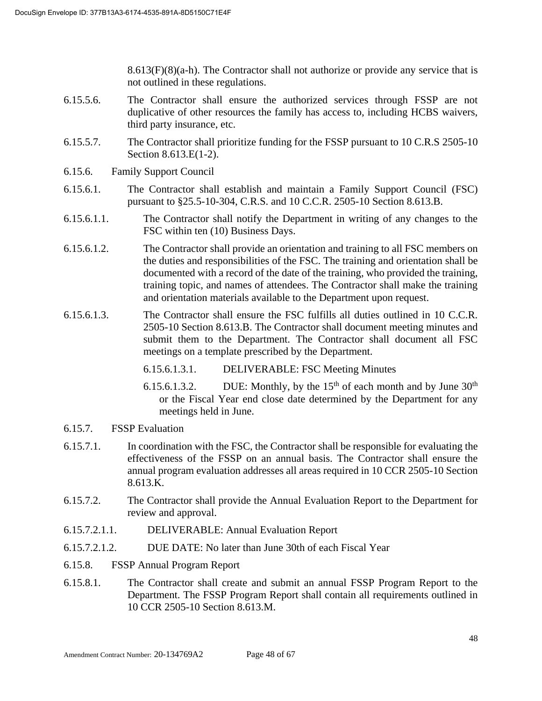$8.613(F)(8)(a-h)$ . The Contractor shall not authorize or provide any service that is not outlined in these regulations.

- 6.15.5.6. The Contractor shall ensure the authorized services through FSSP are not duplicative of other resources the family has access to, including HCBS waivers, third party insurance, etc.
- 6.15.5.7. The Contractor shall prioritize funding for the FSSP pursuant to 10 C.R.S 2505-10 Section 8.613.E(1-2).
- 6.15.6. Family Support Council
- 6.15.6.1. The Contractor shall establish and maintain a Family Support Council (FSC) pursuant to §25.5-10-304, C.R.S. and 10 C.C.R. 2505-10 Section 8.613.B.
- 6.15.6.1.1. The Contractor shall notify the Department in writing of any changes to the FSC within ten (10) Business Days.
- 6.15.6.1.2. The Contractor shall provide an orientation and training to all FSC members on the duties and responsibilities of the FSC. The training and orientation shall be documented with a record of the date of the training, who provided the training, training topic, and names of attendees. The Contractor shall make the training and orientation materials available to the Department upon request.
- 6.15.6.1.3. The Contractor shall ensure the FSC fulfills all duties outlined in 10 C.C.R. 2505-10 Section 8.613.B. The Contractor shall document meeting minutes and submit them to the Department. The Contractor shall document all FSC meetings on a template prescribed by the Department.
	- 6.15.6.1.3.1. DELIVERABLE: FSC Meeting Minutes
	- 6.15.6.1.3.2. DUE: Monthly, by the  $15<sup>th</sup>$  of each month and by June  $30<sup>th</sup>$ or the Fiscal Year end close date determined by the Department for any meetings held in June.
- 6.15.7. FSSP Evaluation
- 6.15.7.1. In coordination with the FSC, the Contractor shall be responsible for evaluating the effectiveness of the FSSP on an annual basis. The Contractor shall ensure the annual program evaluation addresses all areas required in 10 CCR 2505-10 Section 8.613.K.
- 6.15.7.2. The Contractor shall provide the Annual Evaluation Report to the Department for review and approval.
- 6.15.7.2.1.1. DELIVERABLE: Annual Evaluation Report
- 6.15.7.2.1.2. DUE DATE: No later than June 30th of each Fiscal Year
- 6.15.8. FSSP Annual Program Report
- 6.15.8.1. The Contractor shall create and submit an annual FSSP Program Report to the Department. The FSSP Program Report shall contain all requirements outlined in 10 CCR 2505-10 Section 8.613.M.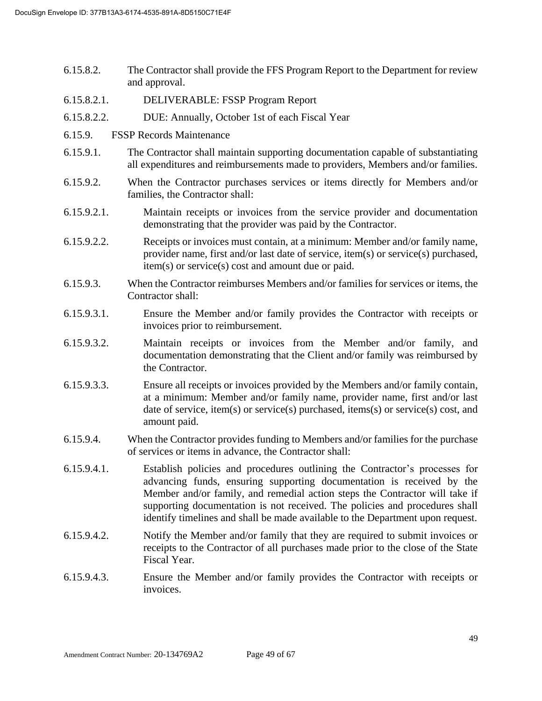- 6.15.8.2. The Contractor shall provide the FFS Program Report to the Department for review and approval.
- 6.15.8.2.1. DELIVERABLE: FSSP Program Report
- 6.15.8.2.2. DUE: Annually, October 1st of each Fiscal Year
- 6.15.9. FSSP Records Maintenance
- 6.15.9.1. The Contractor shall maintain supporting documentation capable of substantiating all expenditures and reimbursements made to providers, Members and/or families.
- 6.15.9.2. When the Contractor purchases services or items directly for Members and/or families, the Contractor shall:
- 6.15.9.2.1. Maintain receipts or invoices from the service provider and documentation demonstrating that the provider was paid by the Contractor.
- 6.15.9.2.2. Receipts or invoices must contain, at a minimum: Member and/or family name, provider name, first and/or last date of service, item(s) or service(s) purchased, item(s) or service(s) cost and amount due or paid.
- 6.15.9.3. When the Contractor reimburses Members and/or families for services or items, the Contractor shall:
- 6.15.9.3.1. Ensure the Member and/or family provides the Contractor with receipts or invoices prior to reimbursement.
- 6.15.9.3.2. Maintain receipts or invoices from the Member and/or family, and documentation demonstrating that the Client and/or family was reimbursed by the Contractor.
- 6.15.9.3.3. Ensure all receipts or invoices provided by the Members and/or family contain, at a minimum: Member and/or family name, provider name, first and/or last date of service, item(s) or service(s) purchased, items(s) or service(s) cost, and amount paid.
- 6.15.9.4. When the Contractor provides funding to Members and/or families for the purchase of services or items in advance, the Contractor shall:
- 6.15.9.4.1. Establish policies and procedures outlining the Contractor's processes for advancing funds, ensuring supporting documentation is received by the Member and/or family, and remedial action steps the Contractor will take if supporting documentation is not received. The policies and procedures shall identify timelines and shall be made available to the Department upon request.
- 6.15.9.4.2. Notify the Member and/or family that they are required to submit invoices or receipts to the Contractor of all purchases made prior to the close of the State Fiscal Year.
- 6.15.9.4.3. Ensure the Member and/or family provides the Contractor with receipts or invoices.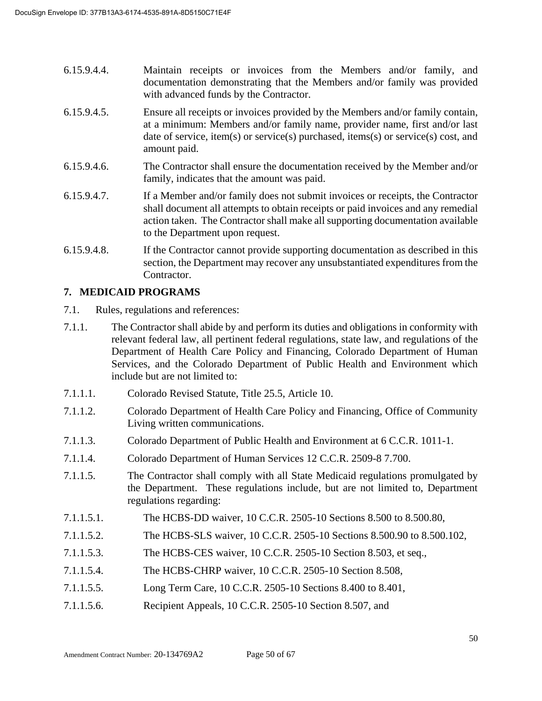- 6.15.9.4.4. Maintain receipts or invoices from the Members and/or family, and documentation demonstrating that the Members and/or family was provided with advanced funds by the Contractor.
- 6.15.9.4.5. Ensure all receipts or invoices provided by the Members and/or family contain, at a minimum: Members and/or family name, provider name, first and/or last date of service, item(s) or service(s) purchased, items(s) or service(s) cost, and amount paid.
- 6.15.9.4.6. The Contractor shall ensure the documentation received by the Member and/or family, indicates that the amount was paid.
- 6.15.9.4.7. If a Member and/or family does not submit invoices or receipts, the Contractor shall document all attempts to obtain receipts or paid invoices and any remedial action taken. The Contractor shall make all supporting documentation available to the Department upon request.
- 6.15.9.4.8. If the Contractor cannot provide supporting documentation as described in this section, the Department may recover any unsubstantiated expenditures from the Contractor.

## **7. MEDICAID PROGRAMS**

- 7.1. Rules, regulations and references:
- 7.1.1. The Contractor shall abide by and perform its duties and obligations in conformity with relevant federal law, all pertinent federal regulations, state law, and regulations of the Department of Health Care Policy and Financing, Colorado Department of Human Services, and the Colorado Department of Public Health and Environment which include but are not limited to:
- 7.1.1.1. Colorado Revised Statute, Title 25.5, Article 10.
- 7.1.1.2. Colorado Department of Health Care Policy and Financing, Office of Community Living written communications.
- 7.1.1.3. Colorado Department of Public Health and Environment at 6 C.C.R. 1011-1.
- 7.1.1.4. Colorado Department of Human Services 12 C.C.R. 2509-8 7.700.
- 7.1.1.5. The Contractor shall comply with all State Medicaid regulations promulgated by the Department. These regulations include, but are not limited to, Department regulations regarding:
- 7.1.1.5.1. The HCBS-DD waiver, 10 C.C.R. 2505-10 Sections 8.500 to 8.500.80,
- 7.1.1.5.2. The HCBS-SLS waiver, 10 C.C.R. 2505-10 Sections 8.500.90 to 8.500.102,
- 7.1.1.5.3. The HCBS-CES waiver, 10 C.C.R. 2505-10 Section 8.503, et seq.,
- 7.1.1.5.4. The HCBS-CHRP waiver, 10 C.C.R. 2505-10 Section 8.508,
- 7.1.1.5.5. Long Term Care, 10 C.C.R. 2505-10 Sections 8.400 to 8.401,
- 7.1.1.5.6. Recipient Appeals, 10 C.C.R. 2505-10 Section 8.507, and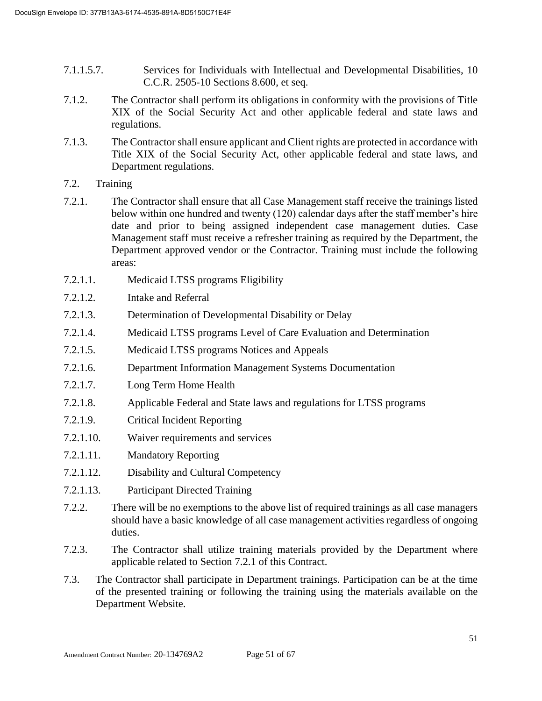- 7.1.1.5.7. Services for Individuals with Intellectual and Developmental Disabilities, 10 C.C.R. 2505-10 Sections 8.600, et seq.
- 7.1.2. The Contractor shall perform its obligations in conformity with the provisions of Title XIX of the Social Security Act and other applicable federal and state laws and regulations.
- 7.1.3. The Contractor shall ensure applicant and Client rights are protected in accordance with Title XIX of the Social Security Act, other applicable federal and state laws, and Department regulations.
- 7.2. Training
- 7.2.1. The Contractor shall ensure that all Case Management staff receive the trainings listed below within one hundred and twenty (120) calendar days after the staff member's hire date and prior to being assigned independent case management duties. Case Management staff must receive a refresher training as required by the Department, the Department approved vendor or the Contractor. Training must include the following areas:
- 7.2.1.1. Medicaid LTSS programs Eligibility
- 7.2.1.2. Intake and Referral
- 7.2.1.3. Determination of Developmental Disability or Delay
- 7.2.1.4. Medicaid LTSS programs Level of Care Evaluation and Determination
- 7.2.1.5. Medicaid LTSS programs Notices and Appeals
- 7.2.1.6. Department Information Management Systems Documentation
- 7.2.1.7. Long Term Home Health
- 7.2.1.8. Applicable Federal and State laws and regulations for LTSS programs
- 7.2.1.9. Critical Incident Reporting
- 7.2.1.10. Waiver requirements and services
- 7.2.1.11. Mandatory Reporting
- 7.2.1.12. Disability and Cultural Competency
- 7.2.1.13. Participant Directed Training
- 7.2.2. There will be no exemptions to the above list of required trainings as all case managers should have a basic knowledge of all case management activities regardless of ongoing duties.
- 7.2.3. The Contractor shall utilize training materials provided by the Department where applicable related to Section 7.2.1 of this Contract.
- 7.3. The Contractor shall participate in Department trainings. Participation can be at the time of the presented training or following the training using the materials available on the Department Website.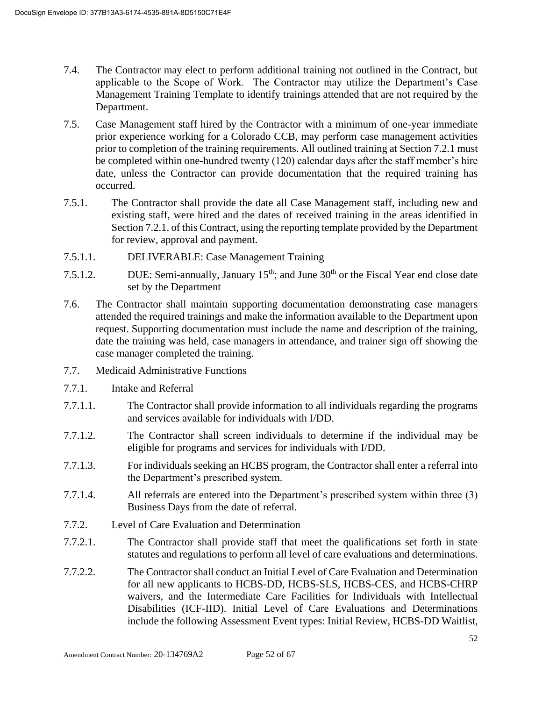- 7.4. The Contractor may elect to perform additional training not outlined in the Contract, but applicable to the Scope of Work. The Contractor may utilize the Department's Case Management Training Template to identify trainings attended that are not required by the Department.
- 7.5. Case Management staff hired by the Contractor with a minimum of one-year immediate prior experience working for a Colorado CCB, may perform case management activities prior to completion of the training requirements. All outlined training at Section 7.2.1 must be completed within one-hundred twenty (120) calendar days after the staff member's hire date, unless the Contractor can provide documentation that the required training has occurred.
- 7.5.1. The Contractor shall provide the date all Case Management staff, including new and existing staff, were hired and the dates of received training in the areas identified in Section 7.2.1. of this Contract, using the reporting template provided by the Department for review, approval and payment.
- 7.5.1.1. DELIVERABLE: Case Management Training
- 7.5.1.2. DUE: Semi-annually, January  $15<sup>th</sup>$ ; and June  $30<sup>th</sup>$  or the Fiscal Year end close date set by the Department
- 7.6. The Contractor shall maintain supporting documentation demonstrating case managers attended the required trainings and make the information available to the Department upon request. Supporting documentation must include the name and description of the training, date the training was held, case managers in attendance, and trainer sign off showing the case manager completed the training.
- 7.7. Medicaid Administrative Functions
- 7.7.1. Intake and Referral
- 7.7.1.1. The Contractor shall provide information to all individuals regarding the programs and services available for individuals with I/DD.
- 7.7.1.2. The Contractor shall screen individuals to determine if the individual may be eligible for programs and services for individuals with I/DD.
- 7.7.1.3. For individuals seeking an HCBS program, the Contractor shall enter a referral into the Department's prescribed system.
- 7.7.1.4. All referrals are entered into the Department's prescribed system within three (3) Business Days from the date of referral.
- 7.7.2. Level of Care Evaluation and Determination
- 7.7.2.1. The Contractor shall provide staff that meet the qualifications set forth in state statutes and regulations to perform all level of care evaluations and determinations.
- 7.7.2.2. The Contractor shall conduct an Initial Level of Care Evaluation and Determination for all new applicants to HCBS-DD, HCBS-SLS, HCBS-CES, and HCBS-CHRP waivers, and the Intermediate Care Facilities for Individuals with Intellectual Disabilities (ICF-IID). Initial Level of Care Evaluations and Determinations include the following Assessment Event types: Initial Review, HCBS-DD Waitlist,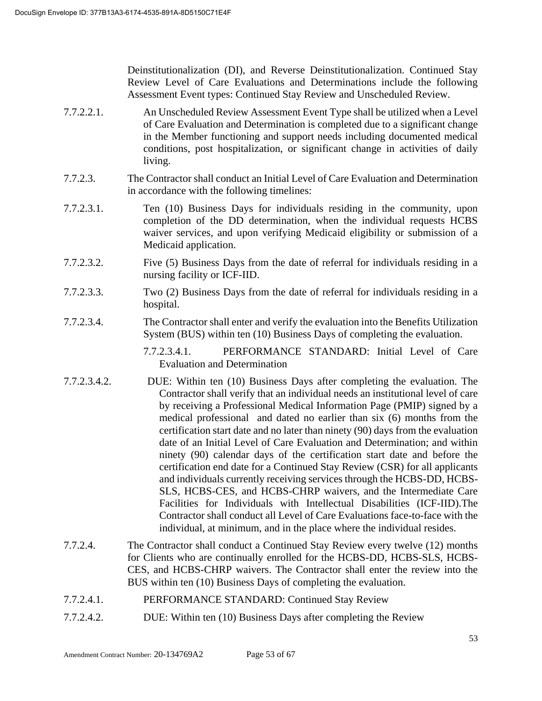Deinstitutionalization (DI), and Reverse Deinstitutionalization. Continued Stay Review Level of Care Evaluations and Determinations include the following Assessment Event types: Continued Stay Review and Unscheduled Review.

- 7.7.2.2.1. An Unscheduled Review Assessment Event Type shall be utilized when a Level of Care Evaluation and Determination is completed due to a significant change in the Member functioning and support needs including documented medical conditions, post hospitalization, or significant change in activities of daily living.
- 7.7.2.3. The Contractor shall conduct an Initial Level of Care Evaluation and Determination in accordance with the following timelines:
- 7.7.2.3.1. Ten (10) Business Days for individuals residing in the community, upon completion of the DD determination, when the individual requests HCBS waiver services, and upon verifying Medicaid eligibility or submission of a Medicaid application.
- 7.7.2.3.2. Five (5) Business Days from the date of referral for individuals residing in a nursing facility or ICF-IID.
- 7.7.2.3.3. Two (2) Business Days from the date of referral for individuals residing in a hospital.
- 7.7.2.3.4. The Contractor shall enter and verify the evaluation into the Benefits Utilization System (BUS) within ten (10) Business Days of completing the evaluation.

7.7.2.3.4.1. PERFORMANCE STANDARD: Initial Level of Care Evaluation and Determination

- 7.7.2.3.4.2. DUE: Within ten (10) Business Days after completing the evaluation. The Contractor shall verify that an individual needs an institutional level of care by receiving a Professional Medical Information Page (PMIP) signed by a medical professional and dated no earlier than six (6) months from the certification start date and no later than ninety (90) days from the evaluation date of an Initial Level of Care Evaluation and Determination; and within ninety (90) calendar days of the certification start date and before the certification end date for a Continued Stay Review (CSR) for all applicants and individuals currently receiving services through the HCBS-DD, HCBS-SLS, HCBS-CES, and HCBS-CHRP waivers, and the Intermediate Care Facilities for Individuals with Intellectual Disabilities (ICF-IID).The Contractor shall conduct all Level of Care Evaluations face-to-face with the individual, at minimum, and in the place where the individual resides.
- 7.7.2.4. The Contractor shall conduct a Continued Stay Review every twelve (12) months for Clients who are continually enrolled for the HCBS-DD, HCBS-SLS, HCBS-CES, and HCBS-CHRP waivers. The Contractor shall enter the review into the BUS within ten (10) Business Days of completing the evaluation.
- 7.7.2.4.1. PERFORMANCE STANDARD: Continued Stay Review
- 7.7.2.4.2. DUE: Within ten (10) Business Days after completing the Review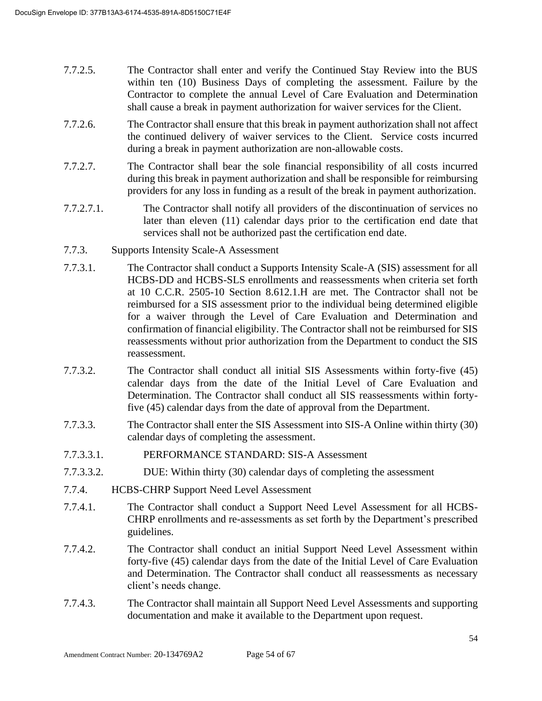- 7.7.2.5. The Contractor shall enter and verify the Continued Stay Review into the BUS within ten (10) Business Days of completing the assessment. Failure by the Contractor to complete the annual Level of Care Evaluation and Determination shall cause a break in payment authorization for waiver services for the Client.
- 7.7.2.6. The Contractor shall ensure that this break in payment authorization shall not affect the continued delivery of waiver services to the Client. Service costs incurred during a break in payment authorization are non-allowable costs.
- 7.7.2.7. The Contractor shall bear the sole financial responsibility of all costs incurred during this break in payment authorization and shall be responsible for reimbursing providers for any loss in funding as a result of the break in payment authorization.
- 7.7.2.7.1. The Contractor shall notify all providers of the discontinuation of services no later than eleven (11) calendar days prior to the certification end date that services shall not be authorized past the certification end date.
- 7.7.3. Supports Intensity Scale-A Assessment
- 7.7.3.1. The Contractor shall conduct a Supports Intensity Scale-A (SIS) assessment for all HCBS-DD and HCBS-SLS enrollments and reassessments when criteria set forth at 10 C.C.R. 2505-10 Section 8.612.1.H are met. The Contractor shall not be reimbursed for a SIS assessment prior to the individual being determined eligible for a waiver through the Level of Care Evaluation and Determination and confirmation of financial eligibility. The Contractor shall not be reimbursed for SIS reassessments without prior authorization from the Department to conduct the SIS reassessment.
- 7.7.3.2. The Contractor shall conduct all initial SIS Assessments within forty-five (45) calendar days from the date of the Initial Level of Care Evaluation and Determination. The Contractor shall conduct all SIS reassessments within fortyfive (45) calendar days from the date of approval from the Department.
- 7.7.3.3. The Contractor shall enter the SIS Assessment into SIS-A Online within thirty (30) calendar days of completing the assessment.
- 7.7.3.3.1. PERFORMANCE STANDARD: SIS-A Assessment
- 7.7.3.3.2. DUE: Within thirty (30) calendar days of completing the assessment
- 7.7.4. HCBS-CHRP Support Need Level Assessment
- 7.7.4.1. The Contractor shall conduct a Support Need Level Assessment for all HCBS-CHRP enrollments and re-assessments as set forth by the Department's prescribed guidelines.
- 7.7.4.2. The Contractor shall conduct an initial Support Need Level Assessment within forty-five (45) calendar days from the date of the Initial Level of Care Evaluation and Determination. The Contractor shall conduct all reassessments as necessary client's needs change.
- 7.7.4.3. The Contractor shall maintain all Support Need Level Assessments and supporting documentation and make it available to the Department upon request.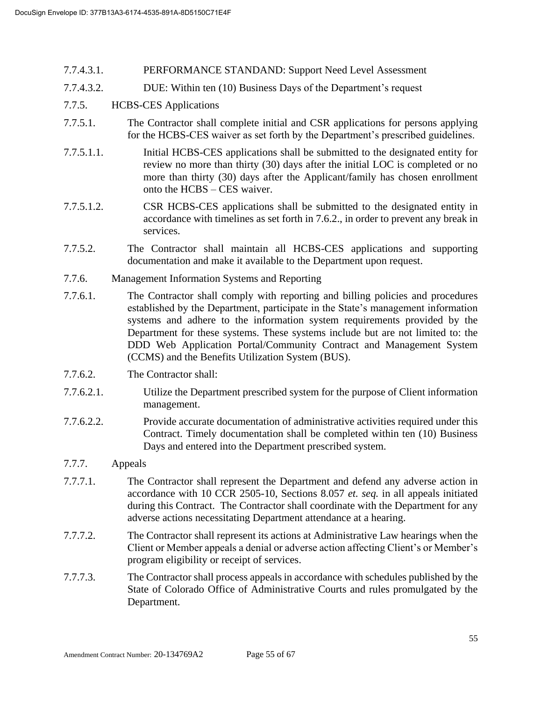- 7.7.4.3.1. PERFORMANCE STANDAND: Support Need Level Assessment
- 7.7.4.3.2. DUE: Within ten (10) Business Days of the Department's request

## 7.7.5. HCBS-CES Applications

- 7.7.5.1. The Contractor shall complete initial and CSR applications for persons applying for the HCBS-CES waiver as set forth by the Department's prescribed guidelines.
- 7.7.5.1.1. Initial HCBS-CES applications shall be submitted to the designated entity for review no more than thirty (30) days after the initial LOC is completed or no more than thirty (30) days after the Applicant/family has chosen enrollment onto the HCBS – CES waiver.
- 7.7.5.1.2. CSR HCBS-CES applications shall be submitted to the designated entity in accordance with timelines as set forth in 7.6.2., in order to prevent any break in services.
- 7.7.5.2. The Contractor shall maintain all HCBS-CES applications and supporting documentation and make it available to the Department upon request.
- 7.7.6. Management Information Systems and Reporting
- 7.7.6.1. The Contractor shall comply with reporting and billing policies and procedures established by the Department, participate in the State's management information systems and adhere to the information system requirements provided by the Department for these systems. These systems include but are not limited to: the DDD Web Application Portal/Community Contract and Management System (CCMS) and the Benefits Utilization System (BUS).
- 7.7.6.2. The Contractor shall:
- 7.7.6.2.1. Utilize the Department prescribed system for the purpose of Client information management.
- 7.7.6.2.2. Provide accurate documentation of administrative activities required under this Contract. Timely documentation shall be completed within ten (10) Business Days and entered into the Department prescribed system.

#### 7.7.7. Appeals

- 7.7.7.1. The Contractor shall represent the Department and defend any adverse action in accordance with 10 CCR 2505-10, Sections 8.057 *et. seq.* in all appeals initiated during this Contract. The Contractor shall coordinate with the Department for any adverse actions necessitating Department attendance at a hearing.
- 7.7.7.2. The Contractor shall represent its actions at Administrative Law hearings when the Client or Member appeals a denial or adverse action affecting Client's or Member's program eligibility or receipt of services.
- 7.7.7.3. The Contractor shall process appeals in accordance with schedules published by the State of Colorado Office of Administrative Courts and rules promulgated by the Department.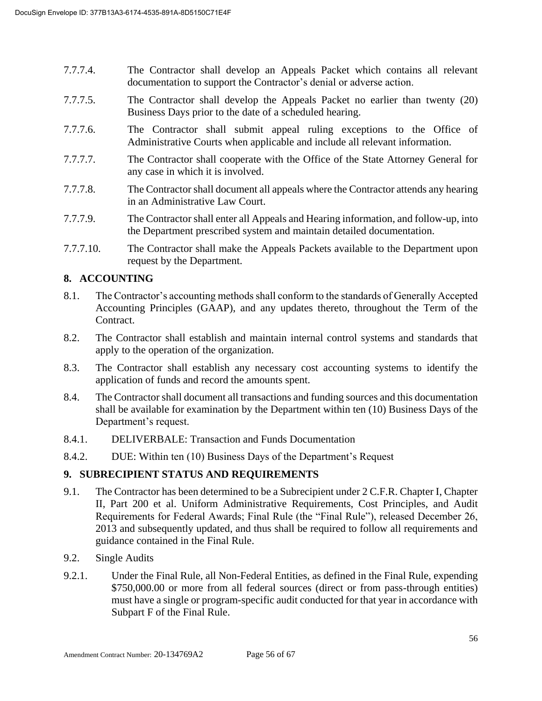- 7.7.7.4. The Contractor shall develop an Appeals Packet which contains all relevant documentation to support the Contractor's denial or adverse action.
- 7.7.7.5. The Contractor shall develop the Appeals Packet no earlier than twenty (20) Business Days prior to the date of a scheduled hearing.
- 7.7.7.6. The Contractor shall submit appeal ruling exceptions to the Office of Administrative Courts when applicable and include all relevant information.
- 7.7.7.7. The Contractor shall cooperate with the Office of the State Attorney General for any case in which it is involved.
- 7.7.7.8. The Contractor shall document all appeals where the Contractor attends any hearing in an Administrative Law Court.
- 7.7.7.9. The Contractor shall enter all Appeals and Hearing information, and follow-up, into the Department prescribed system and maintain detailed documentation.
- 7.7.7.10. The Contractor shall make the Appeals Packets available to the Department upon request by the Department.

# **8. ACCOUNTING**

- 8.1. The Contractor's accounting methods shall conform to the standards of Generally Accepted Accounting Principles (GAAP), and any updates thereto, throughout the Term of the Contract.
- 8.2. The Contractor shall establish and maintain internal control systems and standards that apply to the operation of the organization.
- 8.3. The Contractor shall establish any necessary cost accounting systems to identify the application of funds and record the amounts spent.
- 8.4. The Contractor shall document all transactions and funding sources and this documentation shall be available for examination by the Department within ten (10) Business Days of the Department's request.
- 8.4.1. DELIVERBALE: Transaction and Funds Documentation
- 8.4.2. DUE: Within ten (10) Business Days of the Department's Request

#### **9. SUBRECIPIENT STATUS AND REQUIREMENTS**

- 9.1. The Contractor has been determined to be a Subrecipient under 2 C.F.R. Chapter I, Chapter II, Part 200 et al. Uniform Administrative Requirements, Cost Principles, and Audit Requirements for Federal Awards; Final Rule (the "Final Rule"), released December 26, 2013 and subsequently updated, and thus shall be required to follow all requirements and guidance contained in the Final Rule.
- 9.2. Single Audits
- 9.2.1. Under the Final Rule, all Non-Federal Entities, as defined in the Final Rule, expending \$750,000.00 or more from all federal sources (direct or from pass-through entities) must have a single or program-specific audit conducted for that year in accordance with Subpart F of the Final Rule.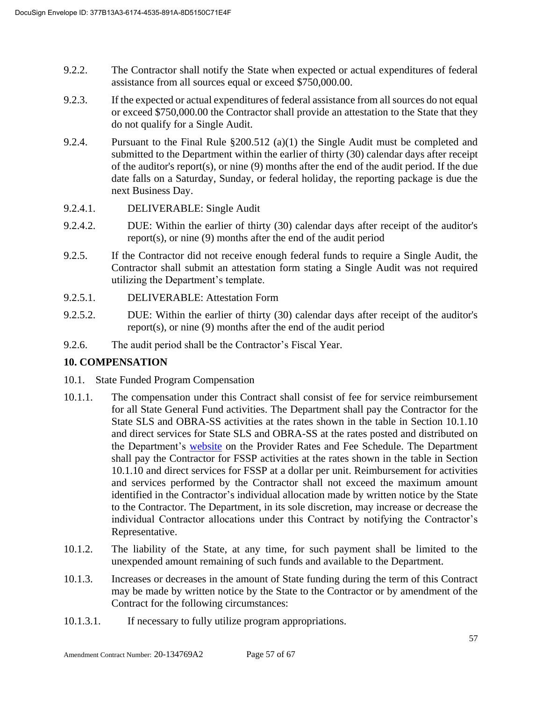- 9.2.2. The Contractor shall notify the State when expected or actual expenditures of federal assistance from all sources equal or exceed \$750,000.00.
- 9.2.3. If the expected or actual expenditures of federal assistance from all sources do not equal or exceed \$750,000.00 the Contractor shall provide an attestation to the State that they do not qualify for a Single Audit.
- 9.2.4. Pursuant to the Final Rule §200.512 (a)(1) the Single Audit must be completed and submitted to the Department within the earlier of thirty (30) calendar days after receipt of the auditor's report(s), or nine (9) months after the end of the audit period. If the due date falls on a Saturday, Sunday, or federal holiday, the reporting package is due the next Business Day.
- 9.2.4.1. DELIVERABLE: Single Audit
- 9.2.4.2. DUE: Within the earlier of thirty (30) calendar days after receipt of the auditor's report(s), or nine (9) months after the end of the audit period
- 9.2.5. If the Contractor did not receive enough federal funds to require a Single Audit, the Contractor shall submit an attestation form stating a Single Audit was not required utilizing the Department's template.
- 9.2.5.1. DELIVERABLE: Attestation Form
- 9.2.5.2. DUE: Within the earlier of thirty (30) calendar days after receipt of the auditor's report(s), or nine (9) months after the end of the audit period
- 9.2.6. The audit period shall be the Contractor's Fiscal Year.

# **10. COMPENSATION**

- 10.1. State Funded Program Compensation
- 10.1.1. The compensation under this Contract shall consist of fee for service reimbursement for all State General Fund activities. The Department shall pay the Contractor for the State SLS and OBRA-SS activities at the rates shown in the table in Section 10.1.10 and direct services for State SLS and OBRA-SS at the rates posted and distributed on the Department's [website](https://www.colorado.gov/pacific/hcpf/provider-rates-fee-schedule) on the Provider Rates and Fee Schedule. The Department shall pay the Contractor for FSSP activities at the rates shown in the table in Section 10.1.10 and direct services for FSSP at a dollar per unit. Reimbursement for activities and services performed by the Contractor shall not exceed the maximum amount identified in the Contractor's individual allocation made by written notice by the State to the Contractor. The Department, in its sole discretion, may increase or decrease the individual Contractor allocations under this Contract by notifying the Contractor's Representative.
- 10.1.2. The liability of the State, at any time, for such payment shall be limited to the unexpended amount remaining of such funds and available to the Department.
- 10.1.3. Increases or decreases in the amount of State funding during the term of this Contract may be made by written notice by the State to the Contractor or by amendment of the Contract for the following circumstances:
- 10.1.3.1. If necessary to fully utilize program appropriations.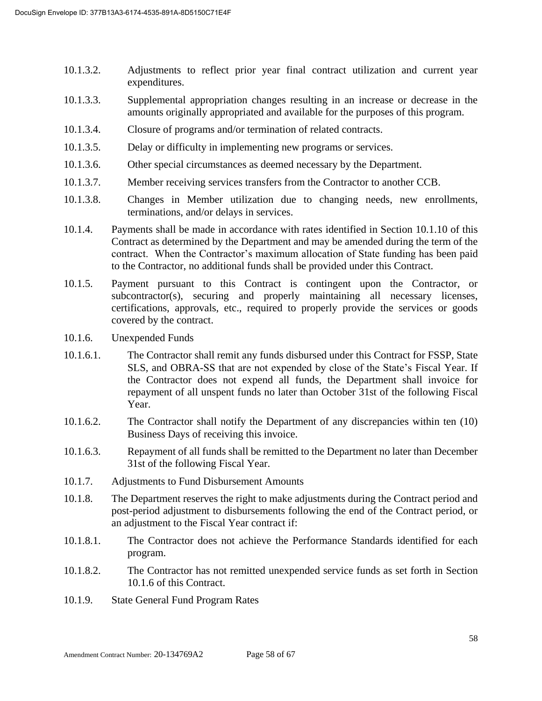- 10.1.3.2. Adjustments to reflect prior year final contract utilization and current year expenditures.
- 10.1.3.3. Supplemental appropriation changes resulting in an increase or decrease in the amounts originally appropriated and available for the purposes of this program.
- 10.1.3.4. Closure of programs and/or termination of related contracts.
- 10.1.3.5. Delay or difficulty in implementing new programs or services.
- 10.1.3.6. Other special circumstances as deemed necessary by the Department.
- 10.1.3.7. Member receiving services transfers from the Contractor to another CCB.
- 10.1.3.8. Changes in Member utilization due to changing needs, new enrollments, terminations, and/or delays in services.
- 10.1.4. Payments shall be made in accordance with rates identified in Section 10.1.10 of this Contract as determined by the Department and may be amended during the term of the contract. When the Contractor's maximum allocation of State funding has been paid to the Contractor, no additional funds shall be provided under this Contract.
- 10.1.5. Payment pursuant to this Contract is contingent upon the Contractor, or subcontractor(s), securing and properly maintaining all necessary licenses, certifications, approvals, etc., required to properly provide the services or goods covered by the contract.
- 10.1.6. Unexpended Funds
- 10.1.6.1. The Contractor shall remit any funds disbursed under this Contract for FSSP, State SLS, and OBRA-SS that are not expended by close of the State's Fiscal Year. If the Contractor does not expend all funds, the Department shall invoice for repayment of all unspent funds no later than October 31st of the following Fiscal Year.
- 10.1.6.2. The Contractor shall notify the Department of any discrepancies within ten (10) Business Days of receiving this invoice.
- 10.1.6.3. Repayment of all funds shall be remitted to the Department no later than December 31st of the following Fiscal Year.
- 10.1.7. Adjustments to Fund Disbursement Amounts
- 10.1.8. The Department reserves the right to make adjustments during the Contract period and post-period adjustment to disbursements following the end of the Contract period, or an adjustment to the Fiscal Year contract if:
- 10.1.8.1. The Contractor does not achieve the Performance Standards identified for each program.
- 10.1.8.2. The Contractor has not remitted unexpended service funds as set forth in Section 10.1.6 of this Contract.
- 10.1.9. State General Fund Program Rates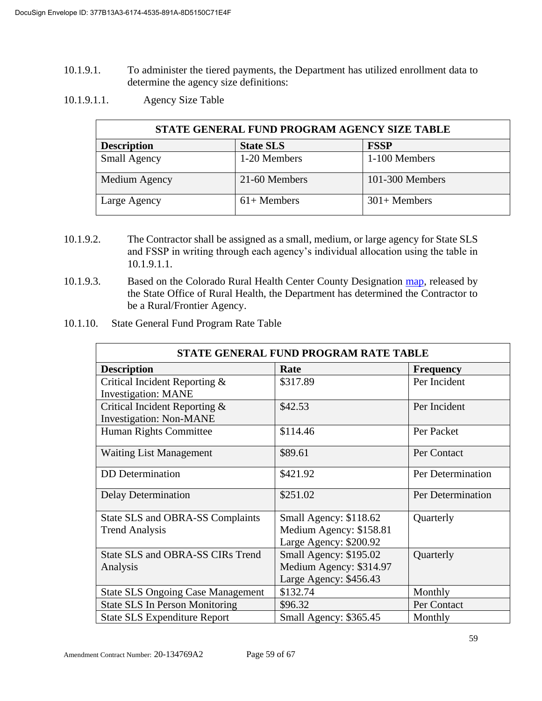- 10.1.9.1. To administer the tiered payments, the Department has utilized enrollment data to determine the agency size definitions:
- 10.1.9.1.1. Agency Size Table

| STATE GENERAL FUND PROGRAM AGENCY SIZE TABLE |                  |                 |  |
|----------------------------------------------|------------------|-----------------|--|
| <b>Description</b>                           | <b>State SLS</b> | <b>FSSP</b>     |  |
| <b>Small Agency</b>                          | 1-20 Members     | 1-100 Members   |  |
| Medium Agency                                | 21-60 Members    | 101-300 Members |  |
| Large Agency                                 | $61+$ Members    | $301+$ Members  |  |

- 10.1.9.2. The Contractor shall be assigned as a small, medium, or large agency for State SLS and FSSP in writing through each agency's individual allocation using the table in 10.1.9.1.1.
- 10.1.9.3. Based on the Colorado Rural Health Center County Designation [map,](https://coruralhealth.org/resources/maps-resource) released by the State Office of Rural Health, the Department has determined the Contractor to be a Rural/Frontier Agency.
- 10.1.10. State General Fund Program Rate Table

| STATE GENERAL FUND PROGRAM RATE TABLE                           |                         |                   |  |
|-----------------------------------------------------------------|-------------------------|-------------------|--|
| <b>Description</b><br>Rate<br><b>Frequency</b>                  |                         |                   |  |
| Critical Incident Reporting &<br><b>Investigation: MANE</b>     | \$317.89                | Per Incident      |  |
| Critical Incident Reporting &<br><b>Investigation: Non-MANE</b> | \$42.53                 | Per Incident      |  |
| Human Rights Committee                                          | \$114.46                | Per Packet        |  |
| <b>Waiting List Management</b>                                  | \$89.61                 | Per Contact       |  |
| <b>DD</b> Determination                                         | \$421.92                | Per Determination |  |
| Delay Determination                                             | \$251.02                | Per Determination |  |
| State SLS and OBRA-SS Complaints                                | Small Agency: \$118.62  | Quarterly         |  |
| <b>Trend Analysis</b>                                           | Medium Agency: \$158.81 |                   |  |
|                                                                 | Large Agency: \$200.92  |                   |  |
| State SLS and OBRA-SS CIRs Trend                                | Small Agency: \$195.02  | Quarterly         |  |
| Analysis                                                        | Medium Agency: \$314.97 |                   |  |
|                                                                 | Large Agency: \$456.43  |                   |  |
| <b>State SLS Ongoing Case Management</b>                        | \$132.74                | Monthly           |  |
| <b>State SLS In Person Monitoring</b>                           | \$96.32                 | Per Contact       |  |
| <b>State SLS Expenditure Report</b>                             | Small Agency: \$365.45  | Monthly           |  |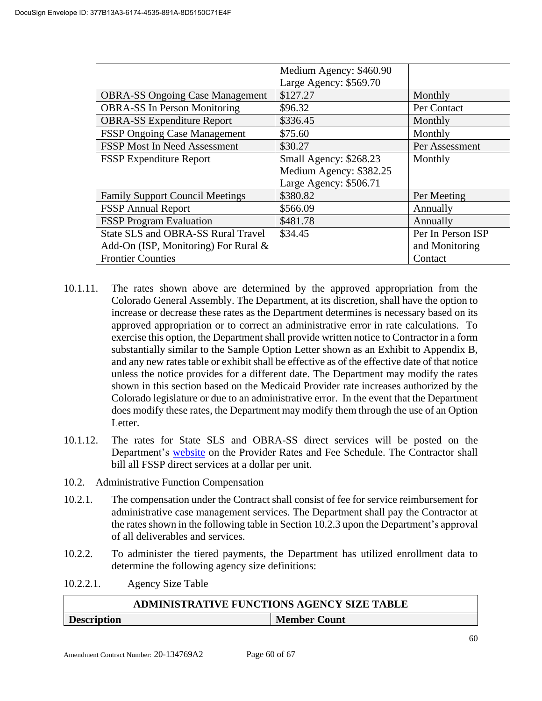|                                           | Medium Agency: \$460.90 |                   |
|-------------------------------------------|-------------------------|-------------------|
|                                           | Large Agency: \$569.70  |                   |
| <b>OBRA-SS Ongoing Case Management</b>    | \$127.27                | Monthly           |
| <b>OBRA-SS In Person Monitoring</b>       | \$96.32                 | Per Contact       |
| <b>OBRA-SS Expenditure Report</b>         | \$336.45                | Monthly           |
| <b>FSSP Ongoing Case Management</b>       | \$75.60                 | Monthly           |
| <b>FSSP Most In Need Assessment</b>       | \$30.27                 | Per Assessment    |
| <b>FSSP Expenditure Report</b>            | Small Agency: \$268.23  | Monthly           |
|                                           | Medium Agency: \$382.25 |                   |
|                                           | Large Agency: \$506.71  |                   |
| <b>Family Support Council Meetings</b>    | \$380.82                | Per Meeting       |
| <b>FSSP</b> Annual Report                 | \$566.09                | Annually          |
| <b>FSSP</b> Program Evaluation            | \$481.78                | Annually          |
| <b>State SLS and OBRA-SS Rural Travel</b> | \$34.45                 | Per In Person ISP |
| Add-On (ISP, Monitoring) For Rural $\&$   |                         | and Monitoring    |
| <b>Frontier Counties</b>                  |                         | Contact           |

- 10.1.11. The rates shown above are determined by the approved appropriation from the Colorado General Assembly. The Department, at its discretion, shall have the option to increase or decrease these rates as the Department determines is necessary based on its approved appropriation or to correct an administrative error in rate calculations. To exercise this option, the Department shall provide written notice to Contractor in a form substantially similar to the Sample Option Letter shown as an Exhibit to Appendix B, and any new rates table or exhibit shall be effective as of the effective date of that notice unless the notice provides for a different date. The Department may modify the rates shown in this section based on the Medicaid Provider rate increases authorized by the Colorado legislature or due to an administrative error. In the event that the Department does modify these rates, the Department may modify them through the use of an Option Letter.
- 10.1.12. The rates for State SLS and OBRA-SS direct services will be posted on the Department's [website](https://www.colorado.gov/pacific/hcpf/provider-rates-fee-schedule) on the Provider Rates and Fee Schedule. The Contractor shall bill all FSSP direct services at a dollar per unit.
- 10.2. Administrative Function Compensation
- 10.2.1. The compensation under the Contract shall consist of fee for service reimbursement for administrative case management services. The Department shall pay the Contractor at the rates shown in the following table in Section 10.2.3 upon the Department's approval of all deliverables and services.
- 10.2.2. To administer the tiered payments, the Department has utilized enrollment data to determine the following agency size definitions:
- 10.2.2.1. Agency Size Table

|                    | <b>ADMINISTRATIVE FUNCTIONS AGENCY SIZE TABLE</b> |  |  |  |
|--------------------|---------------------------------------------------|--|--|--|
| <b>Description</b> | <b>Member Count</b>                               |  |  |  |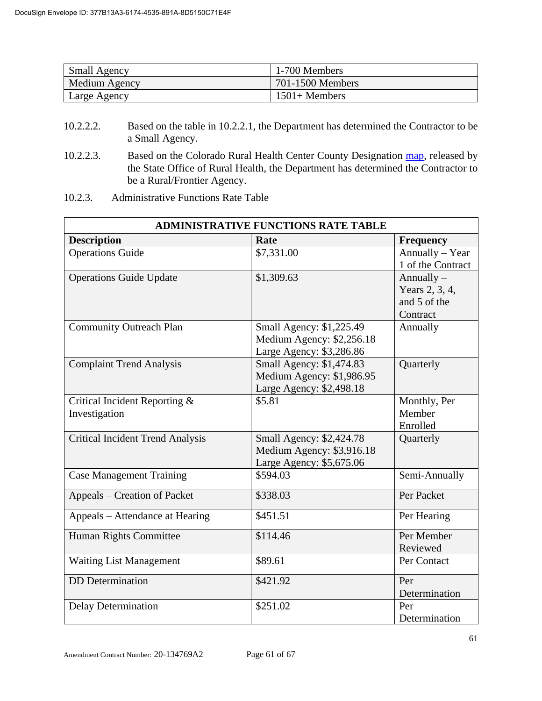| <b>Small Agency</b> | 1-700 Members    |
|---------------------|------------------|
| Medium Agency       | 701-1500 Members |
| Large Agency        | $1501 +$ Members |

- 10.2.2.2. Based on the table in 10.2.2.1, the Department has determined the Contractor to be a Small Agency.
- 10.2.2.3. Based on the Colorado Rural Health Center County Designation [map,](https://coruralhealth.org/resources/maps-resource) released by the State Office of Rural Health, the Department has determined the Contractor to be a Rural/Frontier Agency.
- 10.2.3. Administrative Functions Rate Table

| <b>ADMINISTRATIVE FUNCTIONS RATE TABLE</b>     |                                                                                   |                                                            |  |
|------------------------------------------------|-----------------------------------------------------------------------------------|------------------------------------------------------------|--|
| <b>Description</b>                             | Rate                                                                              | <b>Frequency</b>                                           |  |
| <b>Operations Guide</b>                        | \$7,331.00                                                                        | Annually - Year<br>1 of the Contract                       |  |
| <b>Operations Guide Update</b>                 | \$1,309.63                                                                        | Annually $-$<br>Years 2, 3, 4,<br>and 5 of the<br>Contract |  |
| <b>Community Outreach Plan</b>                 | Small Agency: \$1,225.49<br>Medium Agency: \$2,256.18<br>Large Agency: \$3,286.86 | Annually                                                   |  |
| <b>Complaint Trend Analysis</b>                | Small Agency: \$1,474.83<br>Medium Agency: \$1,986.95<br>Large Agency: \$2,498.18 | Quarterly                                                  |  |
| Critical Incident Reporting &<br>Investigation | \$5.81                                                                            | Monthly, Per<br>Member<br>Enrolled                         |  |
| <b>Critical Incident Trend Analysis</b>        | Small Agency: \$2,424.78<br>Medium Agency: \$3,916.18<br>Large Agency: \$5,675.06 | Quarterly                                                  |  |
| <b>Case Management Training</b>                | \$594.03                                                                          | Semi-Annually                                              |  |
| Appeals – Creation of Packet                   | \$338.03                                                                          | Per Packet                                                 |  |
| Appeals – Attendance at Hearing                | \$451.51                                                                          | Per Hearing                                                |  |
| Human Rights Committee                         | \$114.46                                                                          | Per Member<br>Reviewed                                     |  |
| <b>Waiting List Management</b>                 | \$89.61                                                                           | Per Contact                                                |  |
| <b>DD</b> Determination                        | \$421.92                                                                          | Per<br>Determination                                       |  |
| <b>Delay Determination</b>                     | \$251.02                                                                          | Per<br>Determination                                       |  |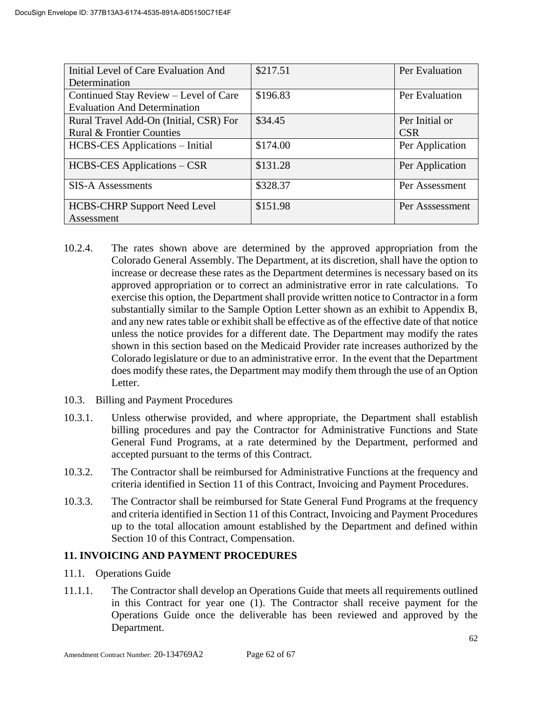| Initial Level of Care Evaluation And   | \$217.51 | Per Evaluation  |
|----------------------------------------|----------|-----------------|
| Determination                          |          |                 |
| Continued Stay Review – Level of Care  | \$196.83 | Per Evaluation  |
| <b>Evaluation And Determination</b>    |          |                 |
| Rural Travel Add-On (Initial, CSR) For | \$34.45  | Per Initial or  |
| <b>Rural &amp; Frontier Counties</b>   |          | <b>CSR</b>      |
| <b>HCBS-CES</b> Applications – Initial | \$174.00 | Per Application |
| HCBS-CES Applications – CSR            | \$131.28 | Per Application |
| <b>SIS-A Assessments</b>               | \$328.37 | Per Assessment  |
| <b>HCBS-CHRP Support Need Level</b>    | \$151.98 | Per Asssessment |
| Assessment                             |          |                 |

- 10.2.4. The rates shown above are determined by the approved appropriation from the Colorado General Assembly. The Department, at its discretion, shall have the option to increase or decrease these rates as the Department determines is necessary based on its approved appropriation or to correct an administrative error in rate calculations. To exercise this option, the Department shall provide written notice to Contractor in a form substantially similar to the Sample Option Letter shown as an exhibit to Appendix B, and any new rates table or exhibit shall be effective as of the effective date of that notice unless the notice provides for a different date. The Department may modify the rates shown in this section based on the Medicaid Provider rate increases authorized by the Colorado legislature or due to an administrative error. In the event that the Department does modify these rates, the Department may modify them through the use of an Option Letter.
- 10.3. Billing and Payment Procedures
- 10.3.1. Unless otherwise provided, and where appropriate, the Department shall establish billing procedures and pay the Contractor for Administrative Functions and State General Fund Programs, at a rate determined by the Department, performed and accepted pursuant to the terms of this Contract.
- 10.3.2. The Contractor shall be reimbursed for Administrative Functions at the frequency and criteria identified in Section 11 of this Contract, Invoicing and Payment Procedures.
- 10.3.3. The Contractor shall be reimbursed for State General Fund Programs at the frequency and criteria identified in Section 11 of this Contract, Invoicing and Payment Procedures up to the total allocation amount established by the Department and defined within Section 10 of this Contract, Compensation.

#### **11. INVOICING AND PAYMENT PROCEDURES**

- 11.1. Operations Guide
- 11.1.1. The Contractor shall develop an Operations Guide that meets all requirements outlined in this Contract for year one (1). The Contractor shall receive payment for the Operations Guide once the deliverable has been reviewed and approved by the Department.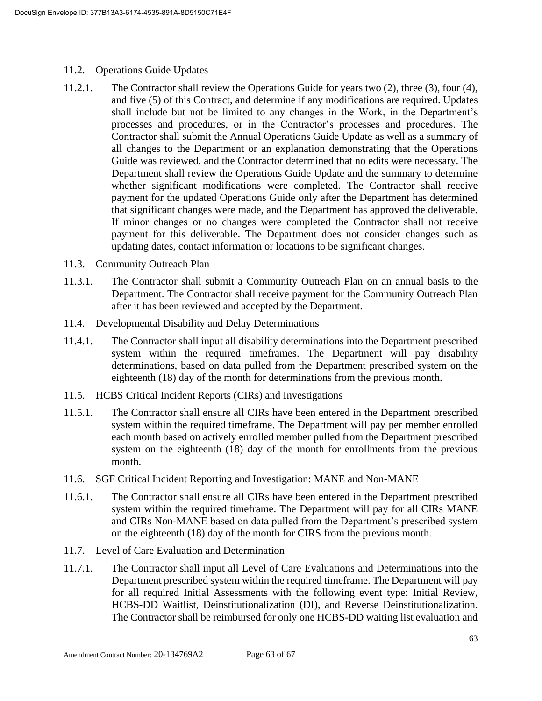- 11.2. Operations Guide Updates
- 11.2.1. The Contractor shall review the Operations Guide for years two (2), three (3), four (4), and five (5) of this Contract, and determine if any modifications are required. Updates shall include but not be limited to any changes in the Work, in the Department's processes and procedures, or in the Contractor's processes and procedures. The Contractor shall submit the Annual Operations Guide Update as well as a summary of all changes to the Department or an explanation demonstrating that the Operations Guide was reviewed, and the Contractor determined that no edits were necessary. The Department shall review the Operations Guide Update and the summary to determine whether significant modifications were completed. The Contractor shall receive payment for the updated Operations Guide only after the Department has determined that significant changes were made, and the Department has approved the deliverable. If minor changes or no changes were completed the Contractor shall not receive payment for this deliverable. The Department does not consider changes such as updating dates, contact information or locations to be significant changes.
- 11.3. Community Outreach Plan
- 11.3.1. The Contractor shall submit a Community Outreach Plan on an annual basis to the Department. The Contractor shall receive payment for the Community Outreach Plan after it has been reviewed and accepted by the Department.
- 11.4. Developmental Disability and Delay Determinations
- 11.4.1. The Contractor shall input all disability determinations into the Department prescribed system within the required timeframes. The Department will pay disability determinations, based on data pulled from the Department prescribed system on the eighteenth (18) day of the month for determinations from the previous month.
- 11.5. HCBS Critical Incident Reports (CIRs) and Investigations
- 11.5.1. The Contractor shall ensure all CIRs have been entered in the Department prescribed system within the required timeframe. The Department will pay per member enrolled each month based on actively enrolled member pulled from the Department prescribed system on the eighteenth (18) day of the month for enrollments from the previous month.
- 11.6. SGF Critical Incident Reporting and Investigation: MANE and Non-MANE
- 11.6.1. The Contractor shall ensure all CIRs have been entered in the Department prescribed system within the required timeframe. The Department will pay for all CIRs MANE and CIRs Non-MANE based on data pulled from the Department's prescribed system on the eighteenth (18) day of the month for CIRS from the previous month.
- 11.7. Level of Care Evaluation and Determination
- 11.7.1. The Contractor shall input all Level of Care Evaluations and Determinations into the Department prescribed system within the required timeframe. The Department will pay for all required Initial Assessments with the following event type: Initial Review, HCBS-DD Waitlist, Deinstitutionalization (DI), and Reverse Deinstitutionalization. The Contractor shall be reimbursed for only one HCBS-DD waiting list evaluation and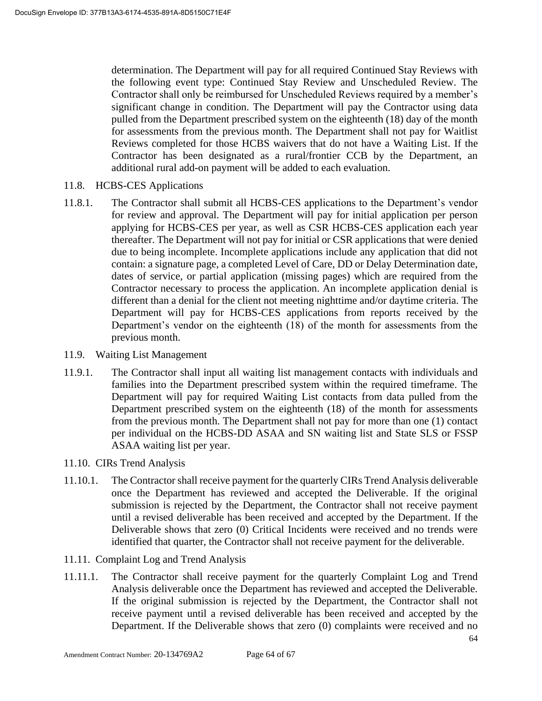determination. The Department will pay for all required Continued Stay Reviews with the following event type: Continued Stay Review and Unscheduled Review. The Contractor shall only be reimbursed for Unscheduled Reviews required by a member's significant change in condition. The Department will pay the Contractor using data pulled from the Department prescribed system on the eighteenth (18) day of the month for assessments from the previous month. The Department shall not pay for Waitlist Reviews completed for those HCBS waivers that do not have a Waiting List. If the Contractor has been designated as a rural/frontier CCB by the Department, an additional rural add-on payment will be added to each evaluation.

- 11.8. HCBS-CES Applications
- 11.8.1. The Contractor shall submit all HCBS-CES applications to the Department's vendor for review and approval. The Department will pay for initial application per person applying for HCBS-CES per year, as well as CSR HCBS-CES application each year thereafter. The Department will not pay for initial or CSR applications that were denied due to being incomplete. Incomplete applications include any application that did not contain: a signature page, a completed Level of Care, DD or Delay Determination date, dates of service, or partial application (missing pages) which are required from the Contractor necessary to process the application. An incomplete application denial is different than a denial for the client not meeting nighttime and/or daytime criteria. The Department will pay for HCBS-CES applications from reports received by the Department's vendor on the eighteenth (18) of the month for assessments from the previous month.
- 11.9. Waiting List Management
- 11.9.1. The Contractor shall input all waiting list management contacts with individuals and families into the Department prescribed system within the required timeframe. The Department will pay for required Waiting List contacts from data pulled from the Department prescribed system on the eighteenth (18) of the month for assessments from the previous month. The Department shall not pay for more than one (1) contact per individual on the HCBS-DD ASAA and SN waiting list and State SLS or FSSP ASAA waiting list per year.
- 11.10. CIRs Trend Analysis
- 11.10.1. The Contractor shall receive payment for the quarterly CIRs Trend Analysis deliverable once the Department has reviewed and accepted the Deliverable. If the original submission is rejected by the Department, the Contractor shall not receive payment until a revised deliverable has been received and accepted by the Department. If the Deliverable shows that zero (0) Critical Incidents were received and no trends were identified that quarter, the Contractor shall not receive payment for the deliverable.
- 11.11. Complaint Log and Trend Analysis
- 11.11.1. The Contractor shall receive payment for the quarterly Complaint Log and Trend Analysis deliverable once the Department has reviewed and accepted the Deliverable. If the original submission is rejected by the Department, the Contractor shall not receive payment until a revised deliverable has been received and accepted by the Department. If the Deliverable shows that zero (0) complaints were received and no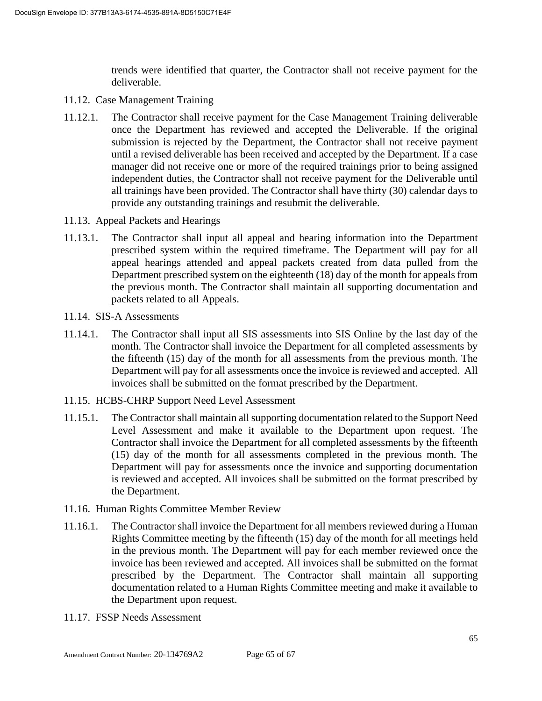trends were identified that quarter, the Contractor shall not receive payment for the deliverable.

- 11.12. Case Management Training
- 11.12.1. The Contractor shall receive payment for the Case Management Training deliverable once the Department has reviewed and accepted the Deliverable. If the original submission is rejected by the Department, the Contractor shall not receive payment until a revised deliverable has been received and accepted by the Department. If a case manager did not receive one or more of the required trainings prior to being assigned independent duties, the Contractor shall not receive payment for the Deliverable until all trainings have been provided. The Contractor shall have thirty (30) calendar days to provide any outstanding trainings and resubmit the deliverable.
- 11.13. Appeal Packets and Hearings
- 11.13.1. The Contractor shall input all appeal and hearing information into the Department prescribed system within the required timeframe. The Department will pay for all appeal hearings attended and appeal packets created from data pulled from the Department prescribed system on the eighteenth (18) day of the month for appeals from the previous month. The Contractor shall maintain all supporting documentation and packets related to all Appeals.
- 11.14. SIS-A Assessments
- 11.14.1. The Contractor shall input all SIS assessments into SIS Online by the last day of the month. The Contractor shall invoice the Department for all completed assessments by the fifteenth (15) day of the month for all assessments from the previous month. The Department will pay for all assessments once the invoice is reviewed and accepted. All invoices shall be submitted on the format prescribed by the Department.
- 11.15. HCBS-CHRP Support Need Level Assessment
- 11.15.1. The Contractor shall maintain all supporting documentation related to the Support Need Level Assessment and make it available to the Department upon request. The Contractor shall invoice the Department for all completed assessments by the fifteenth (15) day of the month for all assessments completed in the previous month. The Department will pay for assessments once the invoice and supporting documentation is reviewed and accepted. All invoices shall be submitted on the format prescribed by the Department.
- 11.16. Human Rights Committee Member Review
- 11.16.1. The Contractor shall invoice the Department for all members reviewed during a Human Rights Committee meeting by the fifteenth (15) day of the month for all meetings held in the previous month. The Department will pay for each member reviewed once the invoice has been reviewed and accepted. All invoices shall be submitted on the format prescribed by the Department. The Contractor shall maintain all supporting documentation related to a Human Rights Committee meeting and make it available to the Department upon request.
- 11.17. FSSP Needs Assessment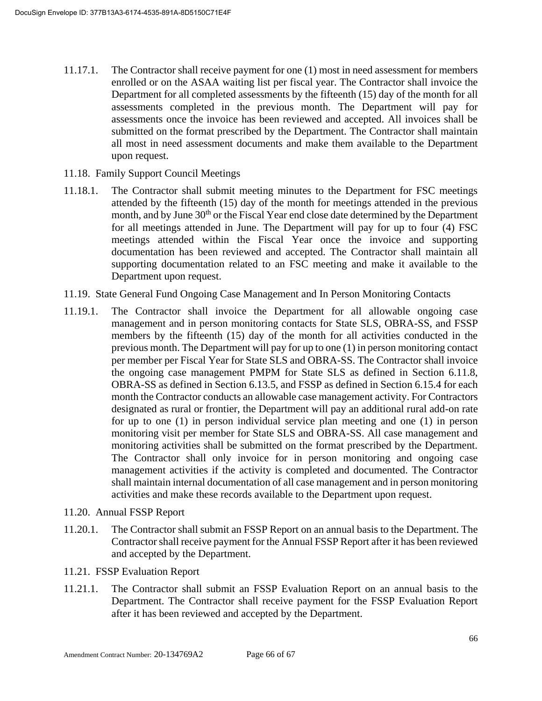- 11.17.1. The Contractor shall receive payment for one (1) most in need assessment for members enrolled or on the ASAA waiting list per fiscal year. The Contractor shall invoice the Department for all completed assessments by the fifteenth (15) day of the month for all assessments completed in the previous month. The Department will pay for assessments once the invoice has been reviewed and accepted. All invoices shall be submitted on the format prescribed by the Department. The Contractor shall maintain all most in need assessment documents and make them available to the Department upon request.
- 11.18. Family Support Council Meetings
- 11.18.1. The Contractor shall submit meeting minutes to the Department for FSC meetings attended by the fifteenth (15) day of the month for meetings attended in the previous month, and by June 30<sup>th</sup> or the Fiscal Year end close date determined by the Department for all meetings attended in June. The Department will pay for up to four (4) FSC meetings attended within the Fiscal Year once the invoice and supporting documentation has been reviewed and accepted. The Contractor shall maintain all supporting documentation related to an FSC meeting and make it available to the Department upon request.
- 11.19. State General Fund Ongoing Case Management and In Person Monitoring Contacts
- 11.19.1. The Contractor shall invoice the Department for all allowable ongoing case management and in person monitoring contacts for State SLS, OBRA-SS, and FSSP members by the fifteenth (15) day of the month for all activities conducted in the previous month. The Department will pay for up to one (1) in person monitoring contact per member per Fiscal Year for State SLS and OBRA-SS. The Contractor shall invoice the ongoing case management PMPM for State SLS as defined in Section 6.11.8, OBRA-SS as defined in Section 6.13.5, and FSSP as defined in Section 6.15.4 for each month the Contractor conducts an allowable case management activity. For Contractors designated as rural or frontier, the Department will pay an additional rural add-on rate for up to one (1) in person individual service plan meeting and one (1) in person monitoring visit per member for State SLS and OBRA-SS. All case management and monitoring activities shall be submitted on the format prescribed by the Department. The Contractor shall only invoice for in person monitoring and ongoing case management activities if the activity is completed and documented. The Contractor shall maintain internal documentation of all case management and in person monitoring activities and make these records available to the Department upon request.
- 11.20. Annual FSSP Report
- 11.20.1. The Contractor shall submit an FSSP Report on an annual basis to the Department. The Contractor shall receive payment for the Annual FSSP Report after it has been reviewed and accepted by the Department.
- 11.21. FSSP Evaluation Report
- 11.21.1. The Contractor shall submit an FSSP Evaluation Report on an annual basis to the Department. The Contractor shall receive payment for the FSSP Evaluation Report after it has been reviewed and accepted by the Department.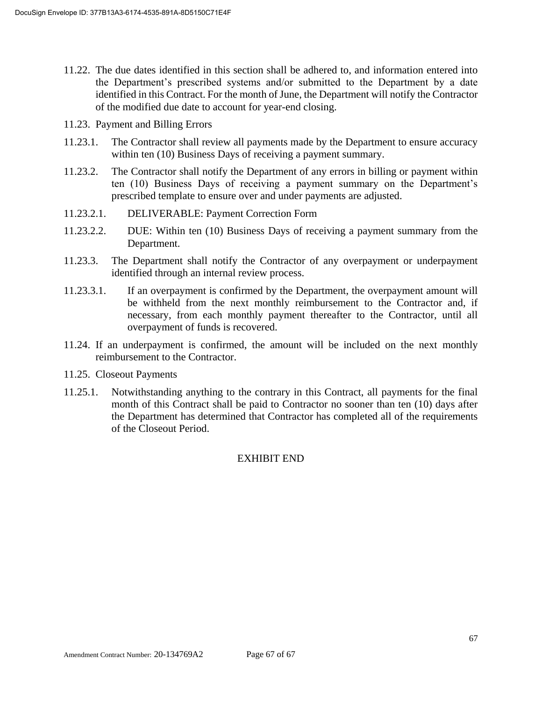- 11.22. The due dates identified in this section shall be adhered to, and information entered into the Department's prescribed systems and/or submitted to the Department by a date identified in this Contract. For the month of June, the Department will notify the Contractor of the modified due date to account for year-end closing.
- 11.23. Payment and Billing Errors
- 11.23.1. The Contractor shall review all payments made by the Department to ensure accuracy within ten (10) Business Days of receiving a payment summary.
- 11.23.2. The Contractor shall notify the Department of any errors in billing or payment within ten (10) Business Days of receiving a payment summary on the Department's prescribed template to ensure over and under payments are adjusted.
- 11.23.2.1. DELIVERABLE: Payment Correction Form
- 11.23.2.2. DUE: Within ten (10) Business Days of receiving a payment summary from the Department.
- 11.23.3. The Department shall notify the Contractor of any overpayment or underpayment identified through an internal review process.
- 11.23.3.1. If an overpayment is confirmed by the Department, the overpayment amount will be withheld from the next monthly reimbursement to the Contractor and, if necessary, from each monthly payment thereafter to the Contractor, until all overpayment of funds is recovered.
- 11.24. If an underpayment is confirmed, the amount will be included on the next monthly reimbursement to the Contractor.
- 11.25. Closeout Payments
- 11.25.1. Notwithstanding anything to the contrary in this Contract, all payments for the final month of this Contract shall be paid to Contractor no sooner than ten (10) days after the Department has determined that Contractor has completed all of the requirements of the Closeout Period.

#### EXHIBIT END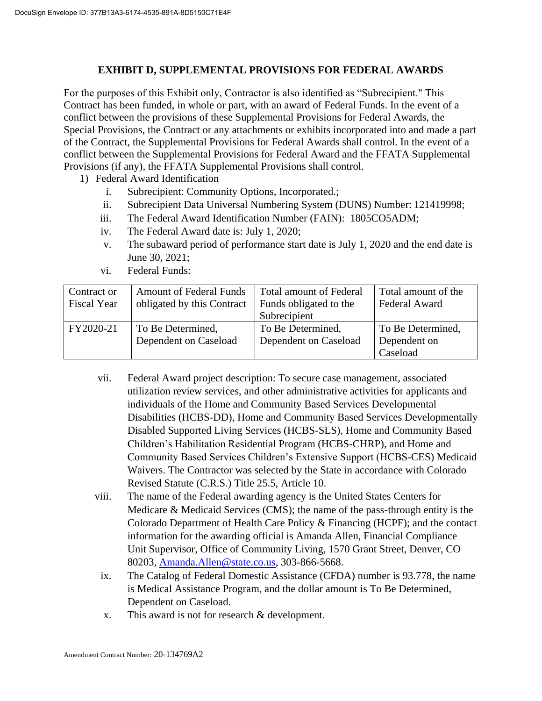## **EXHIBIT D, SUPPLEMENTAL PROVISIONS FOR FEDERAL AWARDS**

For the purposes of this Exhibit only, Contractor is also identified as "Subrecipient." This Contract has been funded, in whole or part, with an award of Federal Funds. In the event of a conflict between the provisions of these Supplemental Provisions for Federal Awards, the Special Provisions, the Contract or any attachments or exhibits incorporated into and made a part of the Contract, the Supplemental Provisions for Federal Awards shall control. In the event of a conflict between the Supplemental Provisions for Federal Award and the FFATA Supplemental Provisions (if any), the FFATA Supplemental Provisions shall control.

- 1) Federal Award Identification
	- i. Subrecipient: Community Options, Incorporated.;
	- ii. Subrecipient Data Universal Numbering System (DUNS) Number: 121419998;
	- iii. The Federal Award Identification Number (FAIN): 1805CO5ADM;
	- iv. The Federal Award date is: July 1, 2020;
	- v. The subaward period of performance start date is July 1, 2020 and the end date is June 30, 2021;
	- vi. Federal Funds:

| Contract or<br><b>Fiscal Year</b> | <b>Amount of Federal Funds</b><br>obligated by this Contract | <b>Total amount of Federal</b><br>Funds obligated to the<br>Subrecipient | Total amount of the<br>Federal Award          |
|-----------------------------------|--------------------------------------------------------------|--------------------------------------------------------------------------|-----------------------------------------------|
| FY2020-21                         | To Be Determined,<br>Dependent on Caseload                   | To Be Determined,<br>Dependent on Caseload                               | To Be Determined,<br>Dependent on<br>Caseload |

- vii. Federal Award project description: To secure case management, associated utilization review services, and other administrative activities for applicants and individuals of the Home and Community Based Services Developmental Disabilities (HCBS-DD), Home and Community Based Services Developmentally Disabled Supported Living Services (HCBS-SLS), Home and Community Based Children's Habilitation Residential Program (HCBS-CHRP), and Home and Community Based Services Children's Extensive Support (HCBS-CES) Medicaid Waivers. The Contractor was selected by the State in accordance with Colorado Revised Statute (C.R.S.) Title 25.5, Article 10.
- viii. The name of the Federal awarding agency is the United States Centers for Medicare & Medicaid Services (CMS); the name of the pass-through entity is the Colorado Department of Health Care Policy & Financing (HCPF); and the contact information for the awarding official is Amanda Allen, Financial Compliance Unit Supervisor, Office of Community Living, 1570 Grant Street, Denver, CO 80203, [Amanda.Allen@state.co.us,](mailto:Amanda.Allen@state.co.us) 303-866-5668.
	- ix. The Catalog of Federal Domestic Assistance (CFDA) number is 93.778, the name is Medical Assistance Program, and the dollar amount is To Be Determined, Dependent on Caseload.
	- x. This award is not for research & development.